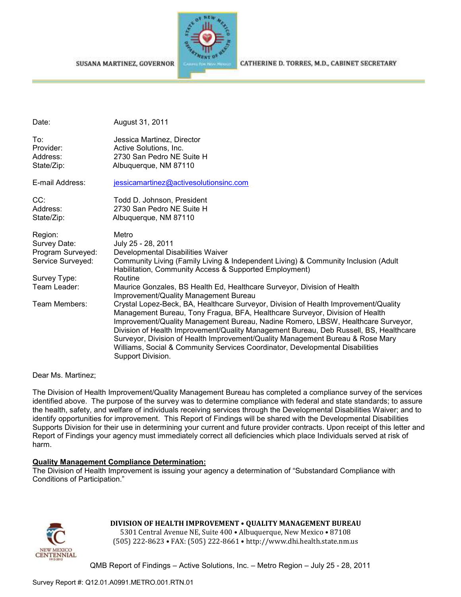



CATHERINE D. TORRES, M.D., CABINET SECRETARY

| Date:                                                             | August 31, 2011                                                                                                                                                                                                                                                                                                                                                                                                                                                                                                                          |
|-------------------------------------------------------------------|------------------------------------------------------------------------------------------------------------------------------------------------------------------------------------------------------------------------------------------------------------------------------------------------------------------------------------------------------------------------------------------------------------------------------------------------------------------------------------------------------------------------------------------|
| To:<br>Provider:<br>Address:                                      | Jessica Martinez, Director<br>Active Solutions, Inc.<br>2730 San Pedro NE Suite H                                                                                                                                                                                                                                                                                                                                                                                                                                                        |
| State/Zip:                                                        | Albuquerque, NM 87110                                                                                                                                                                                                                                                                                                                                                                                                                                                                                                                    |
| E-mail Address:                                                   | jessicamartinez@activesolutionsinc.com                                                                                                                                                                                                                                                                                                                                                                                                                                                                                                   |
| CC:<br>Address:                                                   | Todd D. Johnson, President<br>2730 San Pedro NE Suite H                                                                                                                                                                                                                                                                                                                                                                                                                                                                                  |
| State/Zip:                                                        | Albuquerque, NM 87110                                                                                                                                                                                                                                                                                                                                                                                                                                                                                                                    |
| Region:<br>Survey Date:<br>Program Surveyed:<br>Service Surveyed: | Metro<br>July 25 - 28, 2011<br>Developmental Disabilities Waiver<br>Community Living (Family Living & Independent Living) & Community Inclusion (Adult<br>Habilitation, Community Access & Supported Employment)                                                                                                                                                                                                                                                                                                                         |
| Survey Type:                                                      | Routine                                                                                                                                                                                                                                                                                                                                                                                                                                                                                                                                  |
| Team Leader:                                                      | Maurice Gonzales, BS Health Ed, Healthcare Surveyor, Division of Health<br>Improvement/Quality Management Bureau                                                                                                                                                                                                                                                                                                                                                                                                                         |
| Team Members:                                                     | Crystal Lopez-Beck, BA, Healthcare Surveyor, Division of Health Improvement/Quality<br>Management Bureau, Tony Fragua, BFA, Healthcare Surveyor, Division of Health<br>Improvement/Quality Management Bureau, Nadine Romero, LBSW, Healthcare Surveyor,<br>Division of Health Improvement/Quality Management Bureau, Deb Russell, BS, Healthcare<br>Surveyor, Division of Health Improvement/Quality Management Bureau & Rose Mary<br>Williams, Social & Community Services Coordinator, Developmental Disabilities<br>Support Division. |

Dear Ms. Martinez;

The Division of Health Improvement/Quality Management Bureau has completed a compliance survey of the services identified above. The purpose of the survey was to determine compliance with federal and state standards; to assure the health, safety, and welfare of individuals receiving services through the Developmental Disabilities Waiver; and to identify opportunities for improvement. This Report of Findings will be shared with the Developmental Disabilities Supports Division for their use in determining your current and future provider contracts. Upon receipt of this letter and Report of Findings your agency must immediately correct all deficiencies which place Individuals served at risk of harm.

### **Quality Management Compliance Determination:**

The Division of Health Improvement is issuing your agency a determination of "Substandard Compliance with Conditions of Participation."



## **DIVISION OF HEALTH IMPROVEMENT** • **QUALITY MANAGEMENT BUREAU**

5301 Central Avenue NE, Suite 400 • Albuquerque, New Mexico • 87108 (505) 222-8623 • FAX: (505) 222-8661 • http://www.dhi.health.state.nm.us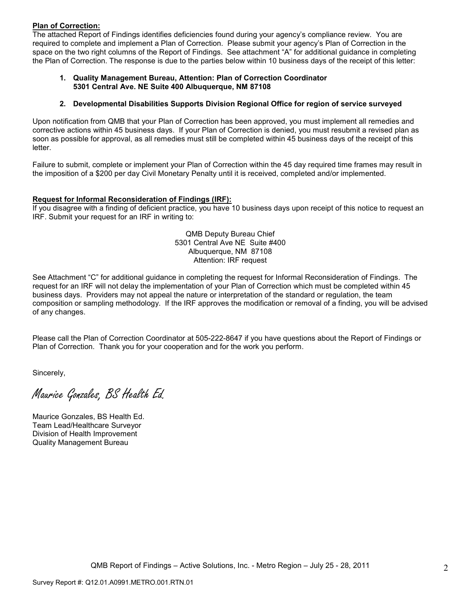#### **Plan of Correction:**

The attached Report of Findings identifies deficiencies found during your agency's compliance review. You are required to complete and implement a Plan of Correction. Please submit your agency's Plan of Correction in the space on the two right columns of the Report of Findings. See attachment "A" for additional guidance in completing the Plan of Correction. The response is due to the parties below within 10 business days of the receipt of this letter:

#### **1. Quality Management Bureau, Attention: Plan of Correction Coordinator 5301 Central Ave. NE Suite 400 Albuquerque, NM 87108**

#### **2. Developmental Disabilities Supports Division Regional Office for region of service surveyed**

Upon notification from QMB that your Plan of Correction has been approved, you must implement all remedies and corrective actions within 45 business days. If your Plan of Correction is denied, you must resubmit a revised plan as soon as possible for approval, as all remedies must still be completed within 45 business days of the receipt of this letter.

Failure to submit, complete or implement your Plan of Correction within the 45 day required time frames may result in the imposition of a \$200 per day Civil Monetary Penalty until it is received, completed and/or implemented.

#### **Request for Informal Reconsideration of Findings (IRF):**

If you disagree with a finding of deficient practice, you have 10 business days upon receipt of this notice to request an IRF. Submit your request for an IRF in writing to:

> QMB Deputy Bureau Chief 5301 Central Ave NE Suite #400 Albuquerque, NM 87108 Attention: IRF request

See Attachment "C" for additional guidance in completing the request for Informal Reconsideration of Findings. The request for an IRF will not delay the implementation of your Plan of Correction which must be completed within 45 business days. Providers may not appeal the nature or interpretation of the standard or regulation, the team composition or sampling methodology. If the IRF approves the modification or removal of a finding, you will be advised of any changes.

Please call the Plan of Correction Coordinator at 505-222-8647 if you have questions about the Report of Findings or Plan of Correction. Thank you for your cooperation and for the work you perform.

Sincerely,

Maurice Gonzales, BS Health Ed.

Maurice Gonzales, BS Health Ed. Team Lead/Healthcare Surveyor Division of Health Improvement Quality Management Bureau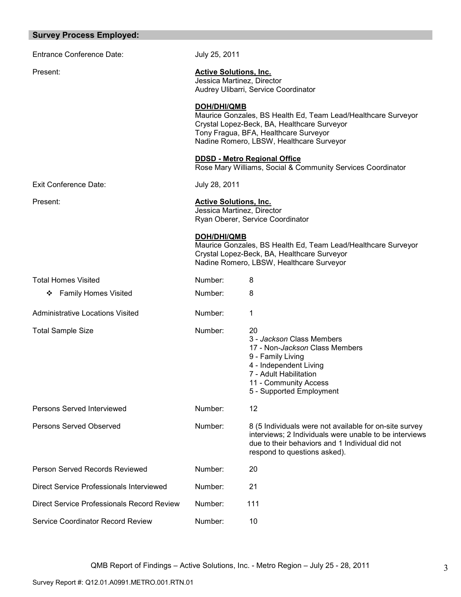| <b>Survey Process Employed:</b>            |                                                             |                                                                                                                                                                                                     |
|--------------------------------------------|-------------------------------------------------------------|-----------------------------------------------------------------------------------------------------------------------------------------------------------------------------------------------------|
| <b>Entrance Conference Date:</b>           | July 25, 2011                                               |                                                                                                                                                                                                     |
| Present:                                   | <b>Active Solutions, Inc.</b><br>Jessica Martinez, Director | Audrey Ulibarri, Service Coordinator                                                                                                                                                                |
|                                            | <b>DOH/DHI/QMB</b>                                          | Maurice Gonzales, BS Health Ed, Team Lead/Healthcare Surveyor<br>Crystal Lopez-Beck, BA, Healthcare Surveyor<br>Tony Fragua, BFA, Healthcare Surveyor<br>Nadine Romero, LBSW, Healthcare Surveyor   |
|                                            |                                                             | <b>DDSD - Metro Regional Office</b><br>Rose Mary Williams, Social & Community Services Coordinator                                                                                                  |
| <b>Exit Conference Date:</b>               | July 28, 2011                                               |                                                                                                                                                                                                     |
| Present:                                   | <b>Active Solutions, Inc.</b><br>Jessica Martinez, Director | Ryan Oberer, Service Coordinator                                                                                                                                                                    |
|                                            | <b>DOH/DHI/QMB</b>                                          | Maurice Gonzales, BS Health Ed, Team Lead/Healthcare Surveyor<br>Crystal Lopez-Beck, BA, Healthcare Surveyor<br>Nadine Romero, LBSW, Healthcare Surveyor                                            |
| <b>Total Homes Visited</b>                 | Number:                                                     | 8                                                                                                                                                                                                   |
| <b>Family Homes Visited</b><br>❖           | Number:                                                     | 8                                                                                                                                                                                                   |
| <b>Administrative Locations Visited</b>    | Number:                                                     | 1                                                                                                                                                                                                   |
| <b>Total Sample Size</b>                   | Number:                                                     | 20<br>3 - Jackson Class Members<br>17 - Non-Jackson Class Members<br>9 - Family Living<br>4 - Independent Living<br>7 - Adult Habilitation<br>11 - Community Access<br>5 - Supported Employment     |
| Persons Served Interviewed                 | Number:                                                     | 12                                                                                                                                                                                                  |
| Persons Served Observed                    | Number:                                                     | 8 (5 Individuals were not available for on-site survey<br>interviews; 2 Individuals were unable to be interviews<br>due to their behaviors and 1 Individual did not<br>respond to questions asked). |
| Person Served Records Reviewed             | Number:                                                     | 20                                                                                                                                                                                                  |
| Direct Service Professionals Interviewed   | Number:                                                     | 21                                                                                                                                                                                                  |
| Direct Service Professionals Record Review | Number:                                                     | 111                                                                                                                                                                                                 |
| Service Coordinator Record Review          | Number:                                                     | 10                                                                                                                                                                                                  |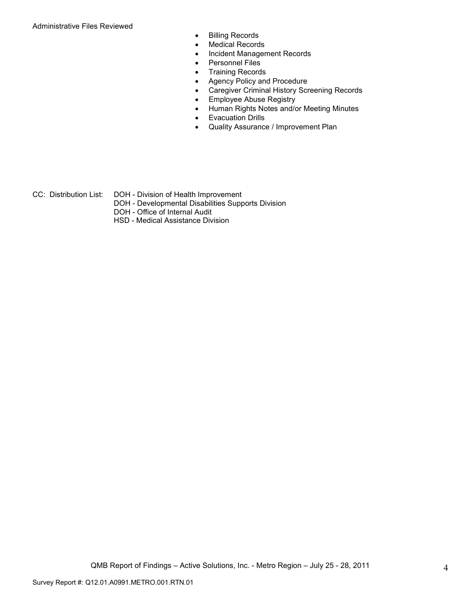Administrative Files Reviewed

- Billing Records
- Medical Records
- Incident Management Records
- Personnel Files
- Training Records
- Agency Policy and Procedure
- Caregiver Criminal History Screening Records
- Employee Abuse Registry
- Human Rights Notes and/or Meeting Minutes
- Evacuation Drills
- Quality Assurance / Improvement Plan
- CC: Distribution List: DOH Division of Health Improvement
	- DOH Developmental Disabilities Supports Division
	- DOH Office of Internal Audit
	- HSD Medical Assistance Division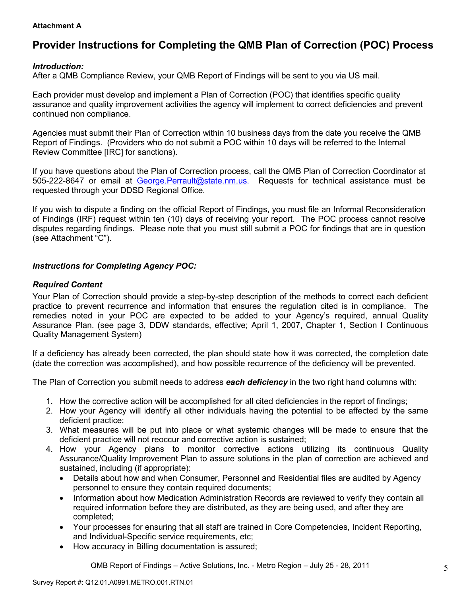#### **Attachment A**

## **Provider Instructions for Completing the QMB Plan of Correction (POC) Process**

## *Introduction:*

After a QMB Compliance Review, your QMB Report of Findings will be sent to you via US mail.

Each provider must develop and implement a Plan of Correction (POC) that identifies specific quality assurance and quality improvement activities the agency will implement to correct deficiencies and prevent continued non compliance.

Agencies must submit their Plan of Correction within 10 business days from the date you receive the QMB Report of Findings. (Providers who do not submit a POC within 10 days will be referred to the Internal Review Committee [IRC] for sanctions).

If you have questions about the Plan of Correction process, call the QMB Plan of Correction Coordinator at 505-222-8647 or email at George.Perrault@state.nm.us. Requests for technical assistance must be requested through your DDSD Regional Office.

If you wish to dispute a finding on the official Report of Findings, you must file an Informal Reconsideration of Findings (IRF) request within ten (10) days of receiving your report. The POC process cannot resolve disputes regarding findings. Please note that you must still submit a POC for findings that are in question (see Attachment "C").

## *Instructions for Completing Agency POC:*

### *Required Content*

Your Plan of Correction should provide a step-by-step description of the methods to correct each deficient practice to prevent recurrence and information that ensures the regulation cited is in compliance. The remedies noted in your POC are expected to be added to your Agency's required, annual Quality Assurance Plan. (see page 3, DDW standards, effective; April 1, 2007, Chapter 1, Section I Continuous Quality Management System)

If a deficiency has already been corrected, the plan should state how it was corrected, the completion date (date the correction was accomplished), and how possible recurrence of the deficiency will be prevented.

The Plan of Correction you submit needs to address *each deficiency* in the two right hand columns with:

- 1. How the corrective action will be accomplished for all cited deficiencies in the report of findings;
- 2. How your Agency will identify all other individuals having the potential to be affected by the same deficient practice;
- 3. What measures will be put into place or what systemic changes will be made to ensure that the deficient practice will not reoccur and corrective action is sustained;
- 4. How your Agency plans to monitor corrective actions utilizing its continuous Quality Assurance/Quality Improvement Plan to assure solutions in the plan of correction are achieved and sustained, including (if appropriate):
	- Details about how and when Consumer, Personnel and Residential files are audited by Agency personnel to ensure they contain required documents;
	- Information about how Medication Administration Records are reviewed to verify they contain all required information before they are distributed, as they are being used, and after they are completed;
	- Your processes for ensuring that all staff are trained in Core Competencies, Incident Reporting, and Individual-Specific service requirements, etc;
	- How accuracy in Billing documentation is assured;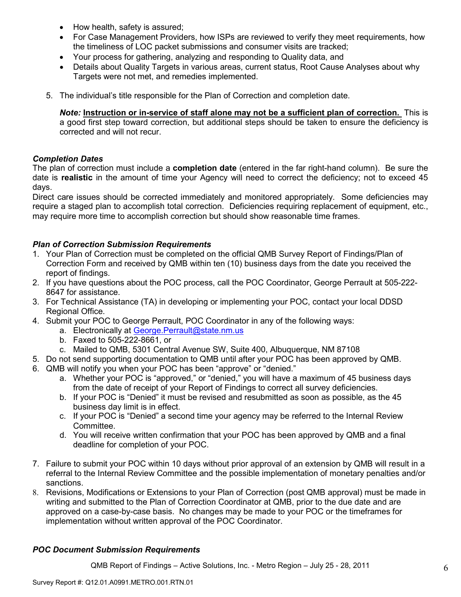- How health, safety is assured;
- For Case Management Providers, how ISPs are reviewed to verify they meet requirements, how the timeliness of LOC packet submissions and consumer visits are tracked;
- Your process for gathering, analyzing and responding to Quality data, and
- Details about Quality Targets in various areas, current status, Root Cause Analyses about why Targets were not met, and remedies implemented.
- 5. The individual's title responsible for the Plan of Correction and completion date.

*Note:* **Instruction or in-service of staff alone may not be a sufficient plan of correction.** This is a good first step toward correction, but additional steps should be taken to ensure the deficiency is corrected and will not recur.

### *Completion Dates*

The plan of correction must include a **completion date** (entered in the far right-hand column). Be sure the date is **realistic** in the amount of time your Agency will need to correct the deficiency; not to exceed 45 days.

Direct care issues should be corrected immediately and monitored appropriately. Some deficiencies may require a staged plan to accomplish total correction. Deficiencies requiring replacement of equipment, etc., may require more time to accomplish correction but should show reasonable time frames.

## *Plan of Correction Submission Requirements*

- 1. Your Plan of Correction must be completed on the official QMB Survey Report of Findings/Plan of Correction Form and received by QMB within ten (10) business days from the date you received the report of findings.
- 2. If you have questions about the POC process, call the POC Coordinator, George Perrault at 505-222- 8647 for assistance.
- 3. For Technical Assistance (TA) in developing or implementing your POC, contact your local DDSD Regional Office.
- 4. Submit your POC to George Perrault, POC Coordinator in any of the following ways:
	- a. Electronically at George.Perrault@state.nm.us
	- b. Faxed to 505-222-8661, or
	- c. Mailed to QMB, 5301 Central Avenue SW, Suite 400, Albuquerque, NM 87108
- 5. Do not send supporting documentation to QMB until after your POC has been approved by QMB.
- 6. QMB will notify you when your POC has been "approve" or "denied."
	- a. Whether your POC is "approved," or "denied," you will have a maximum of 45 business days from the date of receipt of your Report of Findings to correct all survey deficiencies.
	- b. If your POC is "Denied" it must be revised and resubmitted as soon as possible, as the 45 business day limit is in effect.
	- c. If your POC is "Denied" a second time your agency may be referred to the Internal Review Committee.
	- d. You will receive written confirmation that your POC has been approved by QMB and a final deadline for completion of your POC.
- 7. Failure to submit your POC within 10 days without prior approval of an extension by QMB will result in a referral to the Internal Review Committee and the possible implementation of monetary penalties and/or sanctions.
- 8. Revisions, Modifications or Extensions to your Plan of Correction (post QMB approval) must be made in writing and submitted to the Plan of Correction Coordinator at QMB, prior to the due date and are approved on a case-by-case basis. No changes may be made to your POC or the timeframes for implementation without written approval of the POC Coordinator.

## *POC Document Submission Requirements*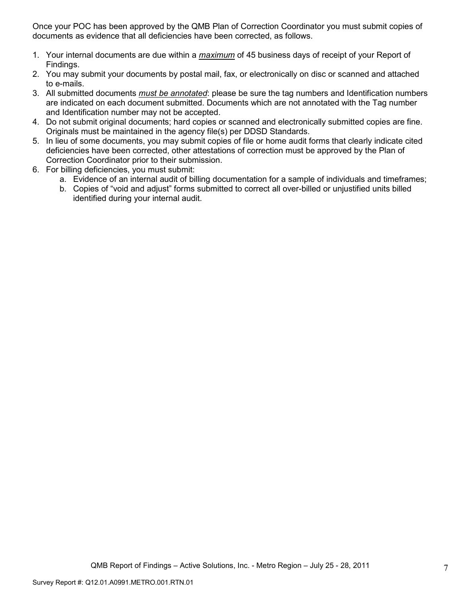Once your POC has been approved by the QMB Plan of Correction Coordinator you must submit copies of documents as evidence that all deficiencies have been corrected, as follows.

- 1. Your internal documents are due within a *maximum* of 45 business days of receipt of your Report of Findings.
- 2. You may submit your documents by postal mail, fax, or electronically on disc or scanned and attached to e-mails.
- 3. All submitted documents *must be annotated*: please be sure the tag numbers and Identification numbers are indicated on each document submitted. Documents which are not annotated with the Tag number and Identification number may not be accepted.
- 4. Do not submit original documents; hard copies or scanned and electronically submitted copies are fine. Originals must be maintained in the agency file(s) per DDSD Standards.
- 5. In lieu of some documents, you may submit copies of file or home audit forms that clearly indicate cited deficiencies have been corrected, other attestations of correction must be approved by the Plan of Correction Coordinator prior to their submission.
- 6. For billing deficiencies, you must submit:
	- a. Evidence of an internal audit of billing documentation for a sample of individuals and timeframes;
	- b. Copies of "void and adjust" forms submitted to correct all over-billed or unjustified units billed identified during your internal audit.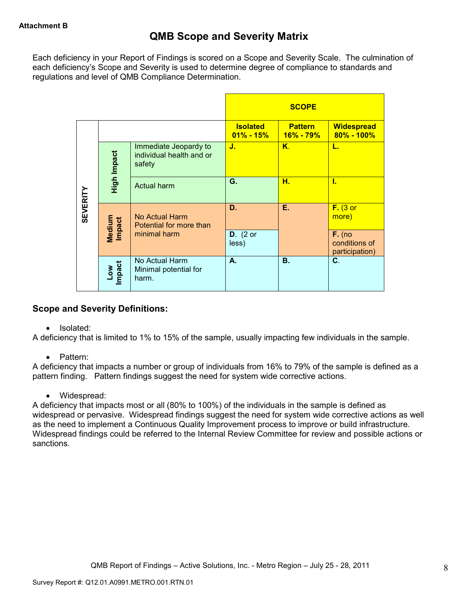Each deficiency in your Report of Findings is scored on a Scope and Severity Scale. The culmination of each deficiency's Scope and Severity is used to determine degree of compliance to standards and regulations and level of QMB Compliance Determination.

|                 |                      |                                                             |                                  | <b>SCOPE</b>                    |                                             |
|-----------------|----------------------|-------------------------------------------------------------|----------------------------------|---------------------------------|---------------------------------------------|
|                 |                      |                                                             | <b>Isolated</b><br>$01\% - 15\%$ | <b>Pattern</b><br>$16\% - 79\%$ | <b>Widespread</b><br>$80\% - 100\%$         |
|                 | High Impact          | Immediate Jeopardy to<br>individual health and or<br>safety | J.                               | Κ.                              | L.                                          |
|                 |                      | <b>Actual harm</b>                                          | G.                               | н.                              | Ī.                                          |
| <b>SEVERITY</b> | Medium<br>Impact     | No Actual Harm<br>Potential for more than                   | D.                               | Е.                              | $F.$ (3 or<br>more)                         |
|                 |                      | minimal harm                                                | $D.$ (2 or<br>less)              |                                 | $F.$ (no<br>conditions of<br>participation) |
|                 | <b>Impact</b><br>Low | No Actual Harm<br>Minimal potential for<br>harm.            | А.                               | В.                              | C.                                          |

## **Scope and Severity Definitions:**

• Isolated:

A deficiency that is limited to 1% to 15% of the sample, usually impacting few individuals in the sample.

• Pattern:

A deficiency that impacts a number or group of individuals from 16% to 79% of the sample is defined as a pattern finding. Pattern findings suggest the need for system wide corrective actions.

• Widespread:

A deficiency that impacts most or all (80% to 100%) of the individuals in the sample is defined as widespread or pervasive. Widespread findings suggest the need for system wide corrective actions as well as the need to implement a Continuous Quality Improvement process to improve or build infrastructure. Widespread findings could be referred to the Internal Review Committee for review and possible actions or sanctions.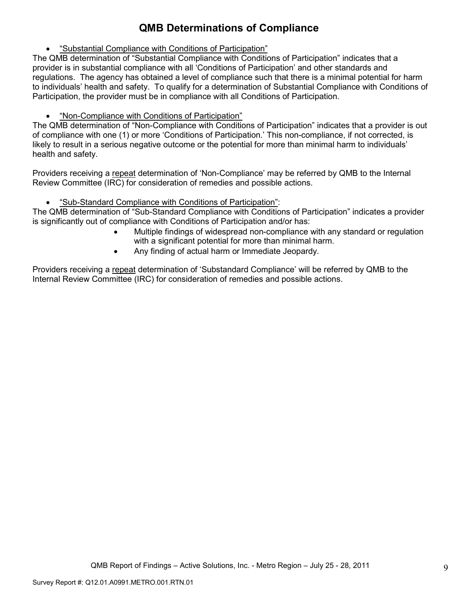# **QMB Determinations of Compliance**

• "Substantial Compliance with Conditions of Participation"

The QMB determination of "Substantial Compliance with Conditions of Participation" indicates that a provider is in substantial compliance with all 'Conditions of Participation' and other standards and regulations. The agency has obtained a level of compliance such that there is a minimal potential for harm to individuals' health and safety. To qualify for a determination of Substantial Compliance with Conditions of Participation, the provider must be in compliance with all Conditions of Participation.

• "Non-Compliance with Conditions of Participation"

The QMB determination of "Non-Compliance with Conditions of Participation" indicates that a provider is out of compliance with one (1) or more 'Conditions of Participation.' This non-compliance, if not corrected, is likely to result in a serious negative outcome or the potential for more than minimal harm to individuals' health and safety.

Providers receiving a repeat determination of 'Non-Compliance' may be referred by QMB to the Internal Review Committee (IRC) for consideration of remedies and possible actions.

• "Sub-Standard Compliance with Conditions of Participation":

The QMB determination of "Sub-Standard Compliance with Conditions of Participation" indicates a provider is significantly out of compliance with Conditions of Participation and/or has:

- Multiple findings of widespread non-compliance with any standard or regulation with a significant potential for more than minimal harm.
- Any finding of actual harm or Immediate Jeopardy.

Providers receiving a repeat determination of 'Substandard Compliance' will be referred by QMB to the Internal Review Committee (IRC) for consideration of remedies and possible actions.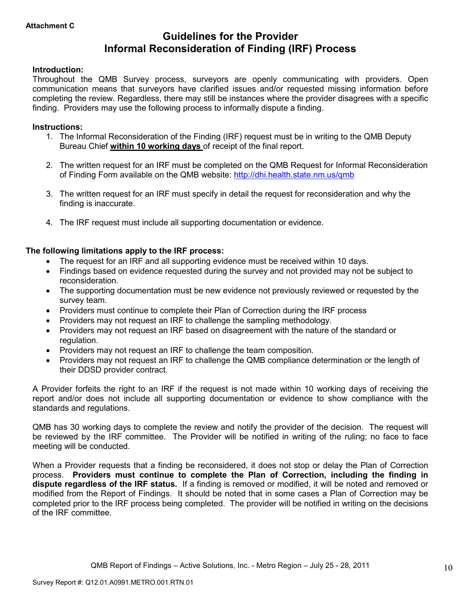## **Guidelines for the Provider Informal Reconsideration of Finding (IRF) Process**

### **Introduction:**

Throughout the QMB Survey process, surveyors are openly communicating with providers. Open communication means that surveyors have clarified issues and/or requested missing information before completing the review. Regardless, there may still be instances where the provider disagrees with a specific finding. Providers may use the following process to informally dispute a finding.

#### **Instructions:**

- 1. The Informal Reconsideration of the Finding (IRF) request must be in writing to the QMB Deputy Bureau Chief **within 10 working days** of receipt of the final report.
- 2. The written request for an IRF must be completed on the QMB Request for Informal Reconsideration of Finding Form available on the QMB website: http://dhi.health.state.nm.us/qmb
- 3. The written request for an IRF must specify in detail the request for reconsideration and why the finding is inaccurate.
- 4. The IRF request must include all supporting documentation or evidence.

## **The following limitations apply to the IRF process:**

- The request for an IRF and all supporting evidence must be received within 10 days.
- Findings based on evidence requested during the survey and not provided may not be subject to reconsideration.
- The supporting documentation must be new evidence not previously reviewed or requested by the survey team.
- Providers must continue to complete their Plan of Correction during the IRF process
- Providers may not request an IRF to challenge the sampling methodology.
- Providers may not request an IRF based on disagreement with the nature of the standard or regulation.
- Providers may not request an IRF to challenge the team composition.
- Providers may not request an IRF to challenge the QMB compliance determination or the length of their DDSD provider contract.

A Provider forfeits the right to an IRF if the request is not made within 10 working days of receiving the report and/or does not include all supporting documentation or evidence to show compliance with the standards and regulations.

QMB has 30 working days to complete the review and notify the provider of the decision. The request will be reviewed by the IRF committee. The Provider will be notified in writing of the ruling; no face to face meeting will be conducted.

When a Provider requests that a finding be reconsidered, it does not stop or delay the Plan of Correction process. **Providers must continue to complete the Plan of Correction, including the finding in dispute regardless of the IRF status.** If a finding is removed or modified, it will be noted and removed or modified from the Report of Findings. It should be noted that in some cases a Plan of Correction may be completed prior to the IRF process being completed. The provider will be notified in writing on the decisions of the IRF committee.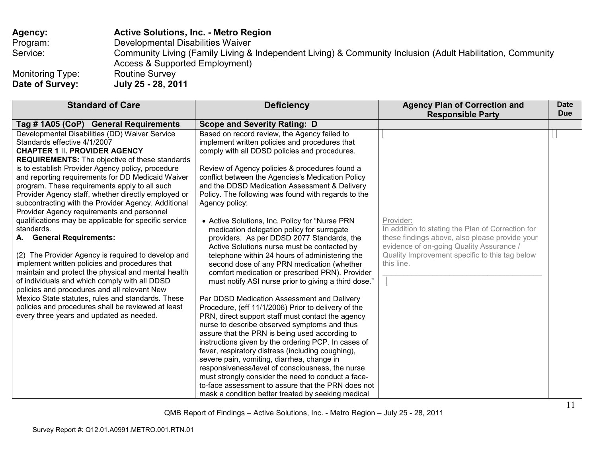| Agency:                             | <b>Active Solutions, Inc. - Metro Region</b>                                                                                                 |
|-------------------------------------|----------------------------------------------------------------------------------------------------------------------------------------------|
| Program:                            | Developmental Disabilities Waiver                                                                                                            |
| Service:                            | Community Living (Family Living & Independent Living) & Community Inclusion (Adult Habilitation, Community<br>Access & Supported Employment) |
| Monitoring Type:<br>Date of Survey: | <b>Routine Survey</b><br>July 25 - 28, 2011                                                                                                  |

| <b>Standard of Care</b>                                                                                                                                                                                                                                                                                                                                                                                                                                                                                                                                                                                                                                                                                                                                                                                                                                                                                                                                                                                                          | <b>Deficiency</b>                                                                                                                                                                                                                                                                                                                                                                                                                                                                                                                                                                                                                                                                                                                                                                                                                                                                                                                                                                                                                                                                                                                                                                                                                                                                                                                                                               | <b>Agency Plan of Correction and</b><br><b>Responsible Party</b>                                                                                                                                                             | <b>Date</b><br><b>Due</b> |
|----------------------------------------------------------------------------------------------------------------------------------------------------------------------------------------------------------------------------------------------------------------------------------------------------------------------------------------------------------------------------------------------------------------------------------------------------------------------------------------------------------------------------------------------------------------------------------------------------------------------------------------------------------------------------------------------------------------------------------------------------------------------------------------------------------------------------------------------------------------------------------------------------------------------------------------------------------------------------------------------------------------------------------|---------------------------------------------------------------------------------------------------------------------------------------------------------------------------------------------------------------------------------------------------------------------------------------------------------------------------------------------------------------------------------------------------------------------------------------------------------------------------------------------------------------------------------------------------------------------------------------------------------------------------------------------------------------------------------------------------------------------------------------------------------------------------------------------------------------------------------------------------------------------------------------------------------------------------------------------------------------------------------------------------------------------------------------------------------------------------------------------------------------------------------------------------------------------------------------------------------------------------------------------------------------------------------------------------------------------------------------------------------------------------------|------------------------------------------------------------------------------------------------------------------------------------------------------------------------------------------------------------------------------|---------------------------|
| Tag # 1A05 (CoP) General Requirements                                                                                                                                                                                                                                                                                                                                                                                                                                                                                                                                                                                                                                                                                                                                                                                                                                                                                                                                                                                            | <b>Scope and Severity Rating: D</b>                                                                                                                                                                                                                                                                                                                                                                                                                                                                                                                                                                                                                                                                                                                                                                                                                                                                                                                                                                                                                                                                                                                                                                                                                                                                                                                                             |                                                                                                                                                                                                                              |                           |
| Developmental Disabilities (DD) Waiver Service<br>Standards effective 4/1/2007<br><b>CHAPTER 1 II. PROVIDER AGENCY</b><br><b>REQUIREMENTS:</b> The objective of these standards<br>is to establish Provider Agency policy, procedure<br>and reporting requirements for DD Medicaid Waiver<br>program. These requirements apply to all such<br>Provider Agency staff, whether directly employed or<br>subcontracting with the Provider Agency. Additional<br>Provider Agency requirements and personnel<br>qualifications may be applicable for specific service<br>standards.<br>A. General Requirements:<br>(2) The Provider Agency is required to develop and<br>implement written policies and procedures that<br>maintain and protect the physical and mental health<br>of individuals and which comply with all DDSD<br>policies and procedures and all relevant New<br>Mexico State statutes, rules and standards. These<br>policies and procedures shall be reviewed at least<br>every three years and updated as needed. | Based on record review, the Agency failed to<br>implement written policies and procedures that<br>comply with all DDSD policies and procedures.<br>Review of Agency policies & procedures found a<br>conflict between the Agencies's Medication Policy<br>and the DDSD Medication Assessment & Delivery<br>Policy. The following was found with regards to the<br>Agency policy:<br>• Active Solutions, Inc. Policy for "Nurse PRN<br>medication delegation policy for surrogate<br>providers. As per DDSD 2077 Standards, the<br>Active Solutions nurse must be contacted by<br>telephone within 24 hours of administering the<br>second dose of any PRN medication (whether<br>comfort medication or prescribed PRN). Provider<br>must notify ASI nurse prior to giving a third dose."<br>Per DDSD Medication Assessment and Delivery<br>Procedure, (eff 11/1/2006) Prior to delivery of the<br>PRN, direct support staff must contact the agency<br>nurse to describe observed symptoms and thus<br>assure that the PRN is being used according to<br>instructions given by the ordering PCP. In cases of<br>fever, respiratory distress (including coughing),<br>severe pain, vomiting, diarrhea, change in<br>responsiveness/level of consciousness, the nurse<br>must strongly consider the need to conduct a face-<br>to-face assessment to assure that the PRN does not | Provider:<br>In addition to stating the Plan of Correction for<br>these findings above, also please provide your<br>evidence of on-going Quality Assurance /<br>Quality Improvement specific to this tag below<br>this line. |                           |
|                                                                                                                                                                                                                                                                                                                                                                                                                                                                                                                                                                                                                                                                                                                                                                                                                                                                                                                                                                                                                                  | mask a condition better treated by seeking medical                                                                                                                                                                                                                                                                                                                                                                                                                                                                                                                                                                                                                                                                                                                                                                                                                                                                                                                                                                                                                                                                                                                                                                                                                                                                                                                              |                                                                                                                                                                                                                              |                           |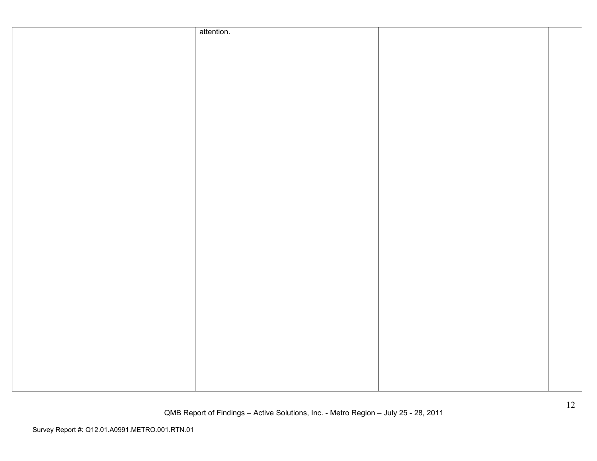| attention. |  |
|------------|--|
|            |  |
|            |  |
|            |  |
|            |  |
|            |  |
|            |  |
|            |  |
|            |  |
|            |  |
|            |  |
|            |  |
|            |  |
|            |  |
|            |  |
|            |  |
|            |  |
|            |  |
|            |  |
|            |  |
|            |  |
|            |  |
|            |  |
|            |  |
|            |  |
|            |  |
|            |  |
|            |  |
|            |  |
|            |  |
|            |  |
|            |  |
|            |  |
|            |  |
|            |  |
|            |  |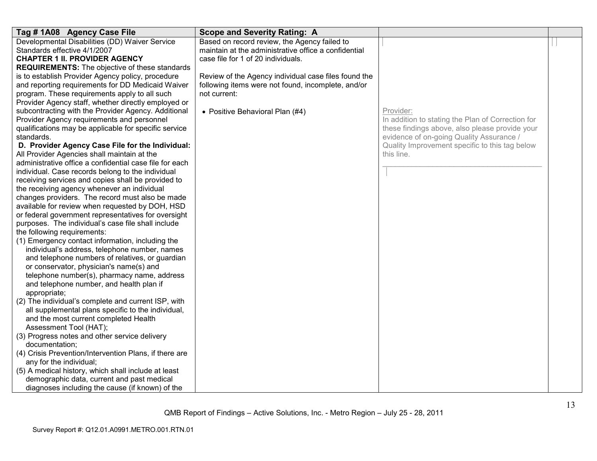| Tag #1A08 Agency Case File                              | <b>Scope and Severity Rating: A</b>                  |                                                   |  |
|---------------------------------------------------------|------------------------------------------------------|---------------------------------------------------|--|
| Developmental Disabilities (DD) Waiver Service          | Based on record review, the Agency failed to         |                                                   |  |
| Standards effective 4/1/2007                            | maintain at the administrative office a confidential |                                                   |  |
| <b>CHAPTER 1 II. PROVIDER AGENCY</b>                    | case file for 1 of 20 individuals.                   |                                                   |  |
| <b>REQUIREMENTS:</b> The objective of these standards   |                                                      |                                                   |  |
| is to establish Provider Agency policy, procedure       | Review of the Agency individual case files found the |                                                   |  |
| and reporting requirements for DD Medicaid Waiver       | following items were not found, incomplete, and/or   |                                                   |  |
| program. These requirements apply to all such           | not current:                                         |                                                   |  |
| Provider Agency staff, whether directly employed or     |                                                      |                                                   |  |
| subcontracting with the Provider Agency. Additional     | • Positive Behavioral Plan (#4)                      | Provider:                                         |  |
| Provider Agency requirements and personnel              |                                                      | In addition to stating the Plan of Correction for |  |
| qualifications may be applicable for specific service   |                                                      | these findings above, also please provide your    |  |
| standards.                                              |                                                      | evidence of on-going Quality Assurance /          |  |
| D. Provider Agency Case File for the Individual:        |                                                      | Quality Improvement specific to this tag below    |  |
| All Provider Agencies shall maintain at the             |                                                      | this line.                                        |  |
| administrative office a confidential case file for each |                                                      |                                                   |  |
| individual. Case records belong to the individual       |                                                      |                                                   |  |
| receiving services and copies shall be provided to      |                                                      |                                                   |  |
| the receiving agency whenever an individual             |                                                      |                                                   |  |
| changes providers. The record must also be made         |                                                      |                                                   |  |
| available for review when requested by DOH, HSD         |                                                      |                                                   |  |
| or federal government representatives for oversight     |                                                      |                                                   |  |
| purposes. The individual's case file shall include      |                                                      |                                                   |  |
| the following requirements:                             |                                                      |                                                   |  |
| (1) Emergency contact information, including the        |                                                      |                                                   |  |
| individual's address, telephone number, names           |                                                      |                                                   |  |
| and telephone numbers of relatives, or guardian         |                                                      |                                                   |  |
| or conservator, physician's name(s) and                 |                                                      |                                                   |  |
| telephone number(s), pharmacy name, address             |                                                      |                                                   |  |
| and telephone number, and health plan if                |                                                      |                                                   |  |
| appropriate;                                            |                                                      |                                                   |  |
| (2) The individual's complete and current ISP, with     |                                                      |                                                   |  |
| all supplemental plans specific to the individual,      |                                                      |                                                   |  |
| and the most current completed Health                   |                                                      |                                                   |  |
| Assessment Tool (HAT);                                  |                                                      |                                                   |  |
| (3) Progress notes and other service delivery           |                                                      |                                                   |  |
| documentation;                                          |                                                      |                                                   |  |
| (4) Crisis Prevention/Intervention Plans, if there are  |                                                      |                                                   |  |
| any for the individual;                                 |                                                      |                                                   |  |
| (5) A medical history, which shall include at least     |                                                      |                                                   |  |
| demographic data, current and past medical              |                                                      |                                                   |  |
| diagnoses including the cause (if known) of the         |                                                      |                                                   |  |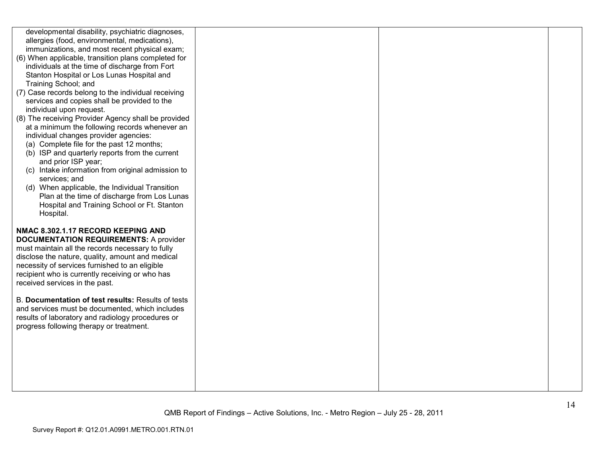| developmental disability, psychiatric diagnoses,<br>allergies (food, environmental, medications),<br>immunizations, and most recent physical exam;<br>(6) When applicable, transition plans completed for                                                                                                                          |  |  |
|------------------------------------------------------------------------------------------------------------------------------------------------------------------------------------------------------------------------------------------------------------------------------------------------------------------------------------|--|--|
| individuals at the time of discharge from Fort<br>Stanton Hospital or Los Lunas Hospital and<br>Training School; and                                                                                                                                                                                                               |  |  |
| (7) Case records belong to the individual receiving<br>services and copies shall be provided to the<br>individual upon request.                                                                                                                                                                                                    |  |  |
| (8) The receiving Provider Agency shall be provided<br>at a minimum the following records whenever an<br>individual changes provider agencies:<br>(a) Complete file for the past 12 months;<br>(b) ISP and quarterly reports from the current<br>and prior ISP year;                                                               |  |  |
| (c) Intake information from original admission to<br>services; and<br>(d) When applicable, the Individual Transition<br>Plan at the time of discharge from Los Lunas<br>Hospital and Training School or Ft. Stanton<br>Hospital.                                                                                                   |  |  |
| NMAC 8.302.1.17 RECORD KEEPING AND<br><b>DOCUMENTATION REQUIREMENTS: A provider</b><br>must maintain all the records necessary to fully<br>disclose the nature, quality, amount and medical<br>necessity of services furnished to an eligible<br>recipient who is currently receiving or who has<br>received services in the past. |  |  |
| B. Documentation of test results: Results of tests<br>and services must be documented, which includes<br>results of laboratory and radiology procedures or<br>progress following therapy or treatment.                                                                                                                             |  |  |
|                                                                                                                                                                                                                                                                                                                                    |  |  |
|                                                                                                                                                                                                                                                                                                                                    |  |  |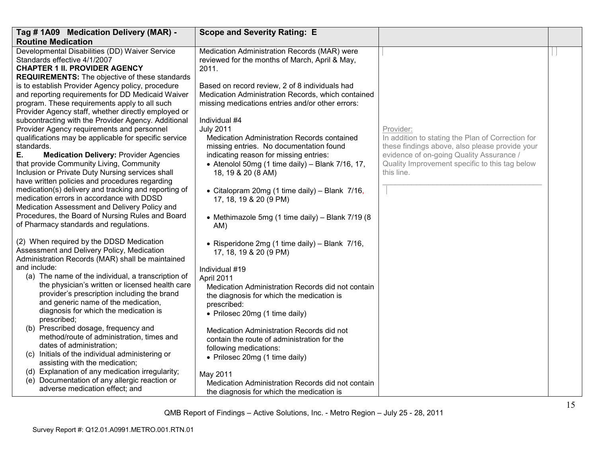| Tag # 1A09 Medication Delivery (MAR) -                                                                                                                                                                                                                                                                                                                                                                                                                                                                                                                                                                                                                                                                                                                    | <b>Scope and Severity Rating: E</b>                                                                                                                                                                                                                                                                                                                                                                                                                                                            |                                                                                                                                                                                                                              |  |
|-----------------------------------------------------------------------------------------------------------------------------------------------------------------------------------------------------------------------------------------------------------------------------------------------------------------------------------------------------------------------------------------------------------------------------------------------------------------------------------------------------------------------------------------------------------------------------------------------------------------------------------------------------------------------------------------------------------------------------------------------------------|------------------------------------------------------------------------------------------------------------------------------------------------------------------------------------------------------------------------------------------------------------------------------------------------------------------------------------------------------------------------------------------------------------------------------------------------------------------------------------------------|------------------------------------------------------------------------------------------------------------------------------------------------------------------------------------------------------------------------------|--|
| <b>Routine Medication</b>                                                                                                                                                                                                                                                                                                                                                                                                                                                                                                                                                                                                                                                                                                                                 |                                                                                                                                                                                                                                                                                                                                                                                                                                                                                                |                                                                                                                                                                                                                              |  |
| Developmental Disabilities (DD) Waiver Service<br>Standards effective 4/1/2007<br><b>CHAPTER 1 II. PROVIDER AGENCY</b><br><b>REQUIREMENTS:</b> The objective of these standards                                                                                                                                                                                                                                                                                                                                                                                                                                                                                                                                                                           | Medication Administration Records (MAR) were<br>reviewed for the months of March, April & May,<br>2011.                                                                                                                                                                                                                                                                                                                                                                                        |                                                                                                                                                                                                                              |  |
| is to establish Provider Agency policy, procedure<br>and reporting requirements for DD Medicaid Waiver<br>program. These requirements apply to all such<br>Provider Agency staff, whether directly employed or<br>subcontracting with the Provider Agency. Additional<br>Provider Agency requirements and personnel<br>qualifications may be applicable for specific service<br>standards.<br>Ε.<br><b>Medication Delivery: Provider Agencies</b><br>that provide Community Living, Community<br>Inclusion or Private Duty Nursing services shall<br>have written policies and procedures regarding<br>medication(s) delivery and tracking and reporting of<br>medication errors in accordance with DDSD<br>Medication Assessment and Delivery Policy and | Based on record review, 2 of 8 individuals had<br>Medication Administration Records, which contained<br>missing medications entries and/or other errors:<br>Individual #4<br><b>July 2011</b><br><b>Medication Administration Records contained</b><br>missing entries. No documentation found<br>indicating reason for missing entries:<br>• Atenolol 50mg (1 time daily) - Blank 7/16, 17,<br>18, 19 & 20 (8 AM)<br>• Citalopram 20mg (1 time daily) - Blank 7/16,<br>17, 18, 19 & 20 (9 PM) | Provider:<br>In addition to stating the Plan of Correction for<br>these findings above, also please provide your<br>evidence of on-going Quality Assurance /<br>Quality Improvement specific to this tag below<br>this line. |  |
| Procedures, the Board of Nursing Rules and Board<br>of Pharmacy standards and regulations.                                                                                                                                                                                                                                                                                                                                                                                                                                                                                                                                                                                                                                                                | • Methimazole 5mg (1 time daily) - Blank 7/19 (8<br>AM)                                                                                                                                                                                                                                                                                                                                                                                                                                        |                                                                                                                                                                                                                              |  |
| (2) When required by the DDSD Medication<br>Assessment and Delivery Policy, Medication<br>Administration Records (MAR) shall be maintained                                                                                                                                                                                                                                                                                                                                                                                                                                                                                                                                                                                                                | • Risperidone 2mg (1 time daily) - Blank 7/16,<br>17, 18, 19 & 20 (9 PM)                                                                                                                                                                                                                                                                                                                                                                                                                       |                                                                                                                                                                                                                              |  |
| and include:<br>(a) The name of the individual, a transcription of<br>the physician's written or licensed health care<br>provider's prescription including the brand<br>and generic name of the medication,<br>diagnosis for which the medication is<br>prescribed;                                                                                                                                                                                                                                                                                                                                                                                                                                                                                       | Individual #19<br>April 2011<br>Medication Administration Records did not contain<br>the diagnosis for which the medication is<br>prescribed:<br>• Prilosec 20mg (1 time daily)                                                                                                                                                                                                                                                                                                                |                                                                                                                                                                                                                              |  |
| (b) Prescribed dosage, frequency and<br>method/route of administration, times and<br>dates of administration;<br>(c) Initials of the individual administering or<br>assisting with the medication;                                                                                                                                                                                                                                                                                                                                                                                                                                                                                                                                                        | Medication Administration Records did not<br>contain the route of administration for the<br>following medications:<br>• Prilosec 20mg (1 time daily)                                                                                                                                                                                                                                                                                                                                           |                                                                                                                                                                                                                              |  |
| (d) Explanation of any medication irregularity;<br>Documentation of any allergic reaction or<br>(e)<br>adverse medication effect; and                                                                                                                                                                                                                                                                                                                                                                                                                                                                                                                                                                                                                     | May 2011<br>Medication Administration Records did not contain<br>the diagnosis for which the medication is                                                                                                                                                                                                                                                                                                                                                                                     |                                                                                                                                                                                                                              |  |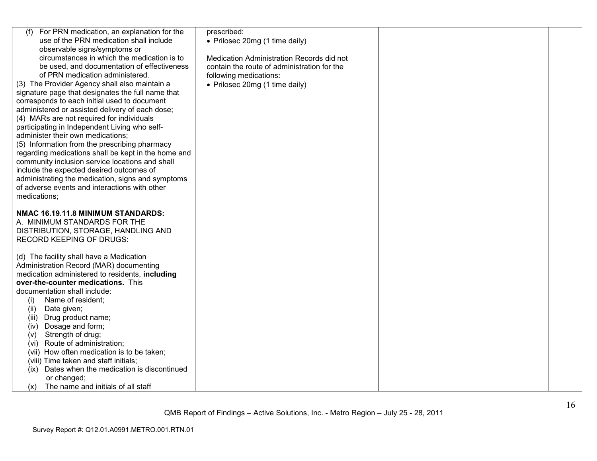| (f) For PRN medication, an explanation for the      | prescribed:                                 |  |
|-----------------------------------------------------|---------------------------------------------|--|
| use of the PRN medication shall include             | • Prilosec 20mg (1 time daily)              |  |
| observable signs/symptoms or                        |                                             |  |
| circumstances in which the medication is to         | Medication Administration Records did not   |  |
| be used, and documentation of effectiveness         | contain the route of administration for the |  |
| of PRN medication administered.                     | following medications:                      |  |
| (3) The Provider Agency shall also maintain a       | • Prilosec 20mg (1 time daily)              |  |
| signature page that designates the full name that   |                                             |  |
| corresponds to each initial used to document        |                                             |  |
| administered or assisted delivery of each dose;     |                                             |  |
| (4) MARs are not required for individuals           |                                             |  |
| participating in Independent Living who self-       |                                             |  |
| administer their own medications;                   |                                             |  |
| (5) Information from the prescribing pharmacy       |                                             |  |
| regarding medications shall be kept in the home and |                                             |  |
| community inclusion service locations and shall     |                                             |  |
| include the expected desired outcomes of            |                                             |  |
|                                                     |                                             |  |
| administrating the medication, signs and symptoms   |                                             |  |
| of adverse events and interactions with other       |                                             |  |
| medications;                                        |                                             |  |
|                                                     |                                             |  |
| NMAC 16.19.11.8 MINIMUM STANDARDS:                  |                                             |  |
| A. MINIMUM STANDARDS FOR THE                        |                                             |  |
| DISTRIBUTION, STORAGE, HANDLING AND                 |                                             |  |
| <b>RECORD KEEPING OF DRUGS:</b>                     |                                             |  |
|                                                     |                                             |  |
| (d) The facility shall have a Medication            |                                             |  |
| Administration Record (MAR) documenting             |                                             |  |
| medication administered to residents, including     |                                             |  |
| over-the-counter medications. This                  |                                             |  |
| documentation shall include:                        |                                             |  |
| Name of resident;<br>(i)                            |                                             |  |
| (ii)<br>Date given;                                 |                                             |  |
| Drug product name;<br>(iii)                         |                                             |  |
| Dosage and form;<br>(iv)                            |                                             |  |
| Strength of drug;<br>(v)                            |                                             |  |
| (vi) Route of administration;                       |                                             |  |
| (vii) How often medication is to be taken;          |                                             |  |
| (viii) Time taken and staff initials;               |                                             |  |
| (ix) Dates when the medication is discontinued      |                                             |  |
| or changed;                                         |                                             |  |
| The name and initials of all staff<br>(x)           |                                             |  |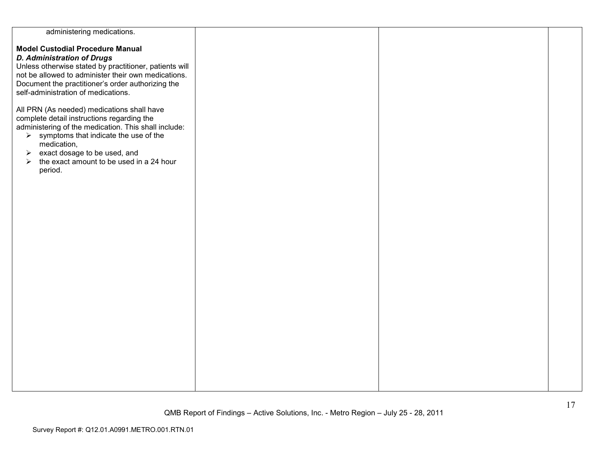| administering medications.                                        |  |  |
|-------------------------------------------------------------------|--|--|
|                                                                   |  |  |
| <b>Model Custodial Procedure Manual</b>                           |  |  |
| <b>D. Administration of Drugs</b>                                 |  |  |
| Unless otherwise stated by practitioner, patients will            |  |  |
| not be allowed to administer their own medications.               |  |  |
| Document the practitioner's order authorizing the                 |  |  |
| self-administration of medications.                               |  |  |
|                                                                   |  |  |
| All PRN (As needed) medications shall have                        |  |  |
| complete detail instructions regarding the                        |  |  |
| administering of the medication. This shall include:              |  |  |
| $\triangleright$ symptoms that indicate the use of the            |  |  |
| medication,                                                       |  |  |
| exact dosage to be used, and<br>➤                                 |  |  |
| the exact amount to be used in a 24 hour<br>$\blacktriangleright$ |  |  |
| period.                                                           |  |  |
|                                                                   |  |  |
|                                                                   |  |  |
|                                                                   |  |  |
|                                                                   |  |  |
|                                                                   |  |  |
|                                                                   |  |  |
|                                                                   |  |  |
|                                                                   |  |  |
|                                                                   |  |  |
|                                                                   |  |  |
|                                                                   |  |  |
|                                                                   |  |  |
|                                                                   |  |  |
|                                                                   |  |  |
|                                                                   |  |  |
|                                                                   |  |  |
|                                                                   |  |  |
|                                                                   |  |  |
|                                                                   |  |  |
|                                                                   |  |  |
|                                                                   |  |  |
|                                                                   |  |  |
|                                                                   |  |  |
|                                                                   |  |  |
|                                                                   |  |  |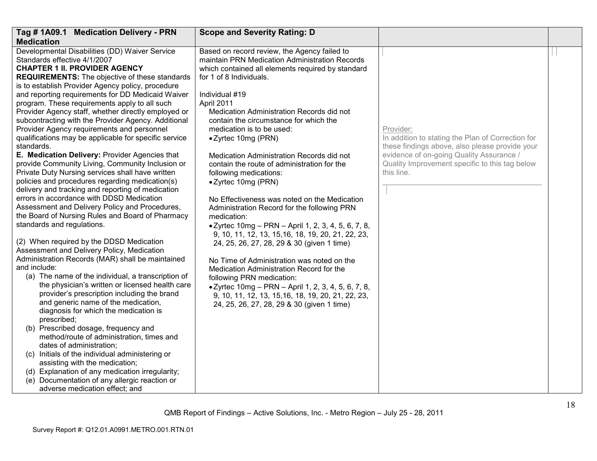| Tag # 1A09.1 Medication Delivery - PRN                                                                 | <b>Scope and Severity Rating: D</b>                                                                       |                                                   |  |
|--------------------------------------------------------------------------------------------------------|-----------------------------------------------------------------------------------------------------------|---------------------------------------------------|--|
| <b>Medication</b>                                                                                      |                                                                                                           |                                                   |  |
| Developmental Disabilities (DD) Waiver Service                                                         | Based on record review, the Agency failed to                                                              |                                                   |  |
| Standards effective 4/1/2007                                                                           | maintain PRN Medication Administration Records                                                            |                                                   |  |
| <b>CHAPTER 1 II. PROVIDER AGENCY</b>                                                                   | which contained all elements required by standard                                                         |                                                   |  |
| <b>REQUIREMENTS:</b> The objective of these standards                                                  | for 1 of 8 Individuals.                                                                                   |                                                   |  |
| is to establish Provider Agency policy, procedure<br>and reporting requirements for DD Medicaid Waiver | Individual #19                                                                                            |                                                   |  |
| program. These requirements apply to all such                                                          | April 2011                                                                                                |                                                   |  |
| Provider Agency staff, whether directly employed or                                                    | Medication Administration Records did not                                                                 |                                                   |  |
| subcontracting with the Provider Agency. Additional                                                    | contain the circumstance for which the                                                                    |                                                   |  |
| Provider Agency requirements and personnel                                                             | medication is to be used:                                                                                 | Provider:                                         |  |
| qualifications may be applicable for specific service                                                  | • Zyrtec 10mg (PRN)                                                                                       | In addition to stating the Plan of Correction for |  |
| standards.                                                                                             |                                                                                                           | these findings above, also please provide your    |  |
| E. Medication Delivery: Provider Agencies that                                                         | Medication Administration Records did not                                                                 | evidence of on-going Quality Assurance /          |  |
| provide Community Living, Community Inclusion or                                                       | contain the route of administration for the                                                               | Quality Improvement specific to this tag below    |  |
| Private Duty Nursing services shall have written                                                       | following medications:                                                                                    | this line.                                        |  |
| policies and procedures regarding medication(s)                                                        | • Zyrtec 10mg (PRN)                                                                                       |                                                   |  |
| delivery and tracking and reporting of medication                                                      |                                                                                                           |                                                   |  |
| errors in accordance with DDSD Medication                                                              | No Effectiveness was noted on the Medication                                                              |                                                   |  |
| Assessment and Delivery Policy and Procedures,<br>the Board of Nursing Rules and Board of Pharmacy     | Administration Record for the following PRN                                                               |                                                   |  |
| standards and regulations.                                                                             | medication:                                                                                               |                                                   |  |
|                                                                                                        | • Zyrtec 10mg – PRN – April 1, 2, 3, 4, 5, 6, 7, 8,<br>9, 10, 11, 12, 13, 15, 16, 18, 19, 20, 21, 22, 23, |                                                   |  |
| (2) When required by the DDSD Medication                                                               | 24, 25, 26, 27, 28, 29 & 30 (given 1 time)                                                                |                                                   |  |
| Assessment and Delivery Policy, Medication                                                             |                                                                                                           |                                                   |  |
| Administration Records (MAR) shall be maintained                                                       | No Time of Administration was noted on the                                                                |                                                   |  |
| and include:                                                                                           | Medication Administration Record for the                                                                  |                                                   |  |
| (a) The name of the individual, a transcription of                                                     | following PRN medication:                                                                                 |                                                   |  |
| the physician's written or licensed health care                                                        | • Zyrtec 10mg - PRN - April 1, 2, 3, 4, 5, 6, 7, 8,                                                       |                                                   |  |
| provider's prescription including the brand                                                            | 9, 10, 11, 12, 13, 15, 16, 18, 19, 20, 21, 22, 23,                                                        |                                                   |  |
| and generic name of the medication,                                                                    | 24, 25, 26, 27, 28, 29 & 30 (given 1 time)                                                                |                                                   |  |
| diagnosis for which the medication is                                                                  |                                                                                                           |                                                   |  |
| prescribed;<br>(b) Prescribed dosage, frequency and                                                    |                                                                                                           |                                                   |  |
| method/route of administration, times and                                                              |                                                                                                           |                                                   |  |
| dates of administration;                                                                               |                                                                                                           |                                                   |  |
| (c) Initials of the individual administering or                                                        |                                                                                                           |                                                   |  |
| assisting with the medication;                                                                         |                                                                                                           |                                                   |  |
| (d) Explanation of any medication irregularity;                                                        |                                                                                                           |                                                   |  |
| (e) Documentation of any allergic reaction or                                                          |                                                                                                           |                                                   |  |
| adverse medication effect; and                                                                         |                                                                                                           |                                                   |  |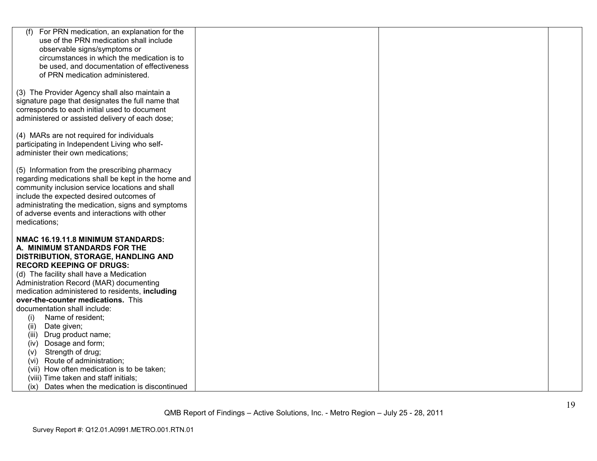| (f)<br>For PRN medication, an explanation for the                                                 |  |  |
|---------------------------------------------------------------------------------------------------|--|--|
| use of the PRN medication shall include                                                           |  |  |
| observable signs/symptoms or                                                                      |  |  |
| circumstances in which the medication is to                                                       |  |  |
| be used, and documentation of effectiveness                                                       |  |  |
| of PRN medication administered.                                                                   |  |  |
|                                                                                                   |  |  |
| (3) The Provider Agency shall also maintain a                                                     |  |  |
| signature page that designates the full name that<br>corresponds to each initial used to document |  |  |
| administered or assisted delivery of each dose;                                                   |  |  |
|                                                                                                   |  |  |
| (4) MARs are not required for individuals                                                         |  |  |
| participating in Independent Living who self-                                                     |  |  |
| administer their own medications;                                                                 |  |  |
|                                                                                                   |  |  |
| (5) Information from the prescribing pharmacy                                                     |  |  |
| regarding medications shall be kept in the home and                                               |  |  |
| community inclusion service locations and shall                                                   |  |  |
| include the expected desired outcomes of                                                          |  |  |
| administrating the medication, signs and symptoms                                                 |  |  |
| of adverse events and interactions with other                                                     |  |  |
| medications;                                                                                      |  |  |
| NMAC 16.19.11.8 MINIMUM STANDARDS:                                                                |  |  |
| A. MINIMUM STANDARDS FOR THE                                                                      |  |  |
| DISTRIBUTION, STORAGE, HANDLING AND                                                               |  |  |
| <b>RECORD KEEPING OF DRUGS:</b>                                                                   |  |  |
| (d) The facility shall have a Medication                                                          |  |  |
| Administration Record (MAR) documenting                                                           |  |  |
| medication administered to residents, including                                                   |  |  |
| over-the-counter medications. This                                                                |  |  |
| documentation shall include:                                                                      |  |  |
| Name of resident;<br>(i)                                                                          |  |  |
| Date given;<br>(ii)                                                                               |  |  |
| (iii) Drug product name;                                                                          |  |  |
| Dosage and form;<br>(iv)                                                                          |  |  |
| Strength of drug;<br>(V)                                                                          |  |  |
| (vi) Route of administration;                                                                     |  |  |
| (vii) How often medication is to be taken;                                                        |  |  |
| (viii) Time taken and staff initials;                                                             |  |  |
| (ix) Dates when the medication is discontinued                                                    |  |  |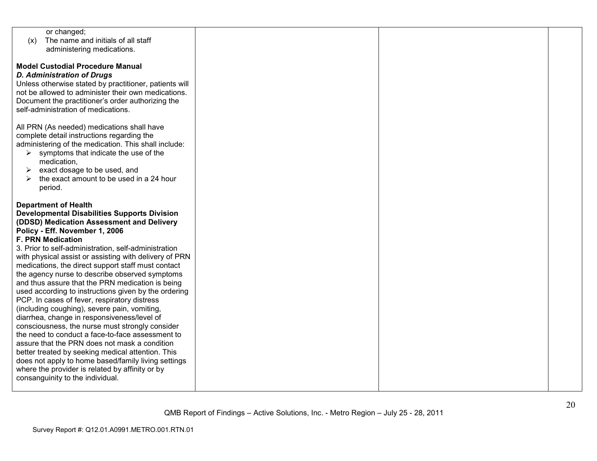| or changed;                                            |  |  |
|--------------------------------------------------------|--|--|
| The name and initials of all staff<br>(x)              |  |  |
| administering medications.                             |  |  |
|                                                        |  |  |
| <b>Model Custodial Procedure Manual</b>                |  |  |
|                                                        |  |  |
| <b>D. Administration of Drugs</b>                      |  |  |
| Unless otherwise stated by practitioner, patients will |  |  |
| not be allowed to administer their own medications.    |  |  |
| Document the practitioner's order authorizing the      |  |  |
| self-administration of medications.                    |  |  |
|                                                        |  |  |
| All PRN (As needed) medications shall have             |  |  |
|                                                        |  |  |
| complete detail instructions regarding the             |  |  |
| administering of the medication. This shall include:   |  |  |
| symptoms that indicate the use of the<br>➤             |  |  |
| medication,                                            |  |  |
| exact dosage to be used, and<br>➤                      |  |  |
| the exact amount to be used in a 24 hour               |  |  |
| period.                                                |  |  |
|                                                        |  |  |
| <b>Department of Health</b>                            |  |  |
|                                                        |  |  |
| <b>Developmental Disabilities Supports Division</b>    |  |  |
| (DDSD) Medication Assessment and Delivery              |  |  |
| Policy - Eff. November 1, 2006                         |  |  |
| <b>F. PRN Medication</b>                               |  |  |
| 3. Prior to self-administration, self-administration   |  |  |
| with physical assist or assisting with delivery of PRN |  |  |
| medications, the direct support staff must contact     |  |  |
| the agency nurse to describe observed symptoms         |  |  |
|                                                        |  |  |
| and thus assure that the PRN medication is being       |  |  |
| used according to instructions given by the ordering   |  |  |
| PCP. In cases of fever, respiratory distress           |  |  |
| (including coughing), severe pain, vomiting,           |  |  |
| diarrhea, change in responsiveness/level of            |  |  |
| consciousness, the nurse must strongly consider        |  |  |
| the need to conduct a face-to-face assessment to       |  |  |
| assure that the PRN does not mask a condition          |  |  |
| better treated by seeking medical attention. This      |  |  |
|                                                        |  |  |
| does not apply to home based/family living settings    |  |  |
| where the provider is related by affinity or by        |  |  |
| consanguinity to the individual.                       |  |  |
|                                                        |  |  |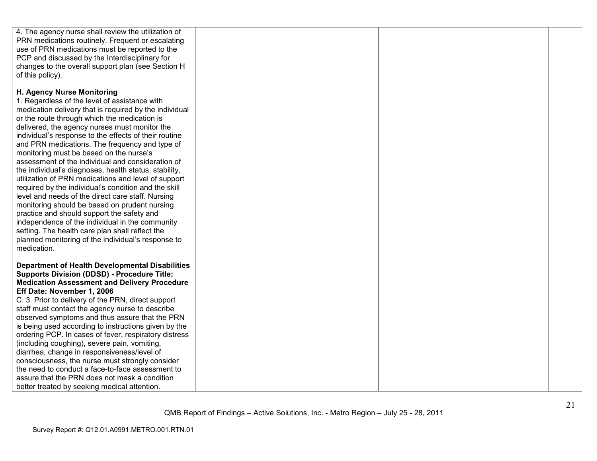| 4. The agency nurse shall review the utilization of<br>PRN medications routinely. Frequent or escalating<br>use of PRN medications must be reported to the<br>PCP and discussed by the Interdisciplinary for<br>changes to the overall support plan (see Section H<br>of this policy).                                                                                                                                                                                                                                                                                                                                                                                                                                                                                                                                                                                                                                                                   |  |  |
|----------------------------------------------------------------------------------------------------------------------------------------------------------------------------------------------------------------------------------------------------------------------------------------------------------------------------------------------------------------------------------------------------------------------------------------------------------------------------------------------------------------------------------------------------------------------------------------------------------------------------------------------------------------------------------------------------------------------------------------------------------------------------------------------------------------------------------------------------------------------------------------------------------------------------------------------------------|--|--|
| H. Agency Nurse Monitoring<br>1. Regardless of the level of assistance with<br>medication delivery that is required by the individual<br>or the route through which the medication is<br>delivered, the agency nurses must monitor the<br>individual's response to the effects of their routine<br>and PRN medications. The frequency and type of<br>monitoring must be based on the nurse's<br>assessment of the individual and consideration of<br>the individual's diagnoses, health status, stability,<br>utilization of PRN medications and level of support<br>required by the individual's condition and the skill<br>level and needs of the direct care staff. Nursing<br>monitoring should be based on prudent nursing<br>practice and should support the safety and<br>independence of the individual in the community<br>setting. The health care plan shall reflect the<br>planned monitoring of the individual's response to<br>medication. |  |  |
| <b>Department of Health Developmental Disabilities</b><br><b>Supports Division (DDSD) - Procedure Title:</b><br><b>Medication Assessment and Delivery Procedure</b><br>Eff Date: November 1, 2006<br>C. 3. Prior to delivery of the PRN, direct support<br>staff must contact the agency nurse to describe<br>observed symptoms and thus assure that the PRN<br>is being used according to instructions given by the<br>ordering PCP. In cases of fever, respiratory distress<br>(including coughing), severe pain, vomiting,<br>diarrhea, change in responsiveness/level of<br>consciousness, the nurse must strongly consider<br>the need to conduct a face-to-face assessment to<br>assure that the PRN does not mask a condition<br>better treated by seeking medical attention.                                                                                                                                                                     |  |  |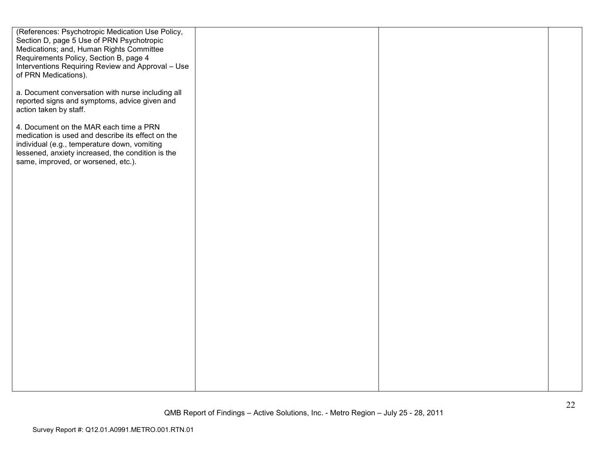| (References: Psychotropic Medication Use Policy,<br>Section D, page 5 Use of PRN Psychotropic<br>Medications; and, Human Rights Committee<br>Requirements Policy, Section B, page 4<br>Interventions Requiring Review and Approval - Use<br>of PRN Medications). |  |  |
|------------------------------------------------------------------------------------------------------------------------------------------------------------------------------------------------------------------------------------------------------------------|--|--|
| a. Document conversation with nurse including all<br>reported signs and symptoms, advice given and<br>action taken by staff.                                                                                                                                     |  |  |
| 4. Document on the MAR each time a PRN<br>medication is used and describe its effect on the<br>individual (e.g., temperature down, vomiting<br>lessened, anxiety increased, the condition is the<br>same, improved, or worsened, etc.).                          |  |  |
|                                                                                                                                                                                                                                                                  |  |  |
|                                                                                                                                                                                                                                                                  |  |  |
|                                                                                                                                                                                                                                                                  |  |  |
|                                                                                                                                                                                                                                                                  |  |  |
|                                                                                                                                                                                                                                                                  |  |  |
|                                                                                                                                                                                                                                                                  |  |  |
|                                                                                                                                                                                                                                                                  |  |  |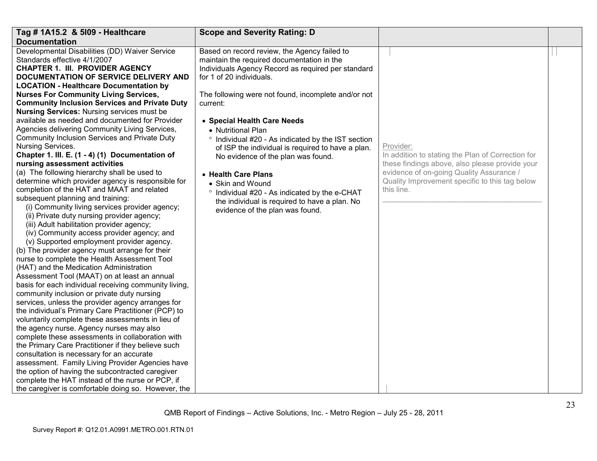| Tag # 1A15.2 & 5109 - Healthcare                                                | <b>Scope and Severity Rating: D</b>                 |                                                              |  |
|---------------------------------------------------------------------------------|-----------------------------------------------------|--------------------------------------------------------------|--|
| <b>Documentation</b>                                                            |                                                     |                                                              |  |
| Developmental Disabilities (DD) Waiver Service                                  | Based on record review, the Agency failed to        |                                                              |  |
| Standards effective 4/1/2007                                                    | maintain the required documentation in the          |                                                              |  |
| CHAPTER 1. III. PROVIDER AGENCY                                                 | Individuals Agency Record as required per standard  |                                                              |  |
| DOCUMENTATION OF SERVICE DELIVERY AND                                           | for 1 of 20 individuals.                            |                                                              |  |
| <b>LOCATION - Healthcare Documentation by</b>                                   |                                                     |                                                              |  |
| <b>Nurses For Community Living Services,</b>                                    | The following were not found, incomplete and/or not |                                                              |  |
| <b>Community Inclusion Services and Private Duty</b>                            | current:                                            |                                                              |  |
| <b>Nursing Services: Nursing services must be</b>                               |                                                     |                                                              |  |
| available as needed and documented for Provider                                 | • Special Health Care Needs                         |                                                              |  |
| Agencies delivering Community Living Services,                                  | • Nutritional Plan                                  |                                                              |  |
| Community Inclusion Services and Private Duty                                   | ° Individual #20 - As indicated by the IST section  |                                                              |  |
| Nursing Services.                                                               | of ISP the individual is required to have a plan.   | Provider:                                                    |  |
| Chapter 1. III. E. (1 - 4) (1) Documentation of                                 | No evidence of the plan was found.                  | In addition to stating the Plan of Correction for            |  |
| nursing assessment activities                                                   |                                                     | these findings above, also please provide your               |  |
| (a) The following hierarchy shall be used to                                    | • Health Care Plans                                 | evidence of on-going Quality Assurance /                     |  |
| determine which provider agency is responsible for                              | • Skin and Wound                                    | Quality Improvement specific to this tag below<br>this line. |  |
| completion of the HAT and MAAT and related<br>subsequent planning and training: | ° Individual #20 - As indicated by the e-CHAT       |                                                              |  |
| (i) Community living services provider agency;                                  | the individual is required to have a plan. No       |                                                              |  |
| (ii) Private duty nursing provider agency;                                      | evidence of the plan was found.                     |                                                              |  |
| (iii) Adult habilitation provider agency;                                       |                                                     |                                                              |  |
| (iv) Community access provider agency; and                                      |                                                     |                                                              |  |
| (v) Supported employment provider agency.                                       |                                                     |                                                              |  |
| (b) The provider agency must arrange for their                                  |                                                     |                                                              |  |
| nurse to complete the Health Assessment Tool                                    |                                                     |                                                              |  |
| (HAT) and the Medication Administration                                         |                                                     |                                                              |  |
| Assessment Tool (MAAT) on at least an annual                                    |                                                     |                                                              |  |
| basis for each individual receiving community living,                           |                                                     |                                                              |  |
| community inclusion or private duty nursing                                     |                                                     |                                                              |  |
| services, unless the provider agency arranges for                               |                                                     |                                                              |  |
| the individual's Primary Care Practitioner (PCP) to                             |                                                     |                                                              |  |
| voluntarily complete these assessments in lieu of                               |                                                     |                                                              |  |
| the agency nurse. Agency nurses may also                                        |                                                     |                                                              |  |
| complete these assessments in collaboration with                                |                                                     |                                                              |  |
| the Primary Care Practitioner if they believe such                              |                                                     |                                                              |  |
| consultation is necessary for an accurate                                       |                                                     |                                                              |  |
| assessment. Family Living Provider Agencies have                                |                                                     |                                                              |  |
| the option of having the subcontracted caregiver                                |                                                     |                                                              |  |
| complete the HAT instead of the nurse or PCP, if                                |                                                     |                                                              |  |
| the caregiver is comfortable doing so. However, the                             |                                                     |                                                              |  |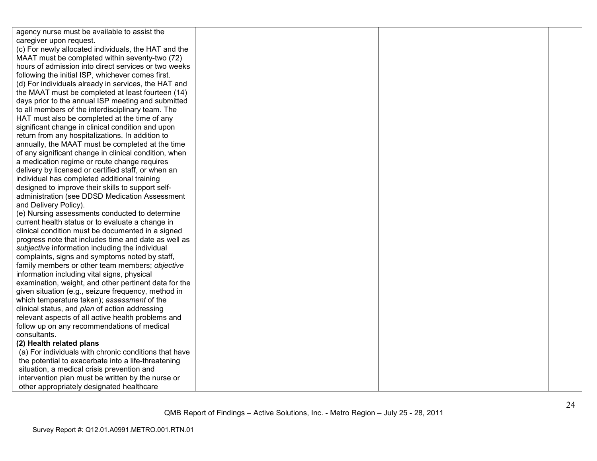| agency nurse must be available to assist the          |  |  |
|-------------------------------------------------------|--|--|
| caregiver upon request.                               |  |  |
| (c) For newly allocated individuals, the HAT and the  |  |  |
| MAAT must be completed within seventy-two (72)        |  |  |
| hours of admission into direct services or two weeks  |  |  |
| following the initial ISP, whichever comes first.     |  |  |
| (d) For individuals already in services, the HAT and  |  |  |
| the MAAT must be completed at least fourteen (14)     |  |  |
| days prior to the annual ISP meeting and submitted    |  |  |
| to all members of the interdisciplinary team. The     |  |  |
| HAT must also be completed at the time of any         |  |  |
| significant change in clinical condition and upon     |  |  |
| return from any hospitalizations. In addition to      |  |  |
| annually, the MAAT must be completed at the time      |  |  |
| of any significant change in clinical condition, when |  |  |
| a medication regime or route change requires          |  |  |
| delivery by licensed or certified staff, or when an   |  |  |
| individual has completed additional training          |  |  |
| designed to improve their skills to support self-     |  |  |
| administration (see DDSD Medication Assessment        |  |  |
| and Delivery Policy).                                 |  |  |
| (e) Nursing assessments conducted to determine        |  |  |
| current health status or to evaluate a change in      |  |  |
| clinical condition must be documented in a signed     |  |  |
| progress note that includes time and date as well as  |  |  |
| subjective information including the individual       |  |  |
| complaints, signs and symptoms noted by staff,        |  |  |
| family members or other team members; objective       |  |  |
| information including vital signs, physical           |  |  |
| examination, weight, and other pertinent data for the |  |  |
| given situation (e.g., seizure frequency, method in   |  |  |
| which temperature taken); assessment of the           |  |  |
| clinical status, and plan of action addressing        |  |  |
| relevant aspects of all active health problems and    |  |  |
| follow up on any recommendations of medical           |  |  |
| consultants.                                          |  |  |
| (2) Health related plans                              |  |  |
| (a) For individuals with chronic conditions that have |  |  |
| the potential to exacerbate into a life-threatening   |  |  |
| situation, a medical crisis prevention and            |  |  |
| intervention plan must be written by the nurse or     |  |  |
| other appropriately designated healthcare             |  |  |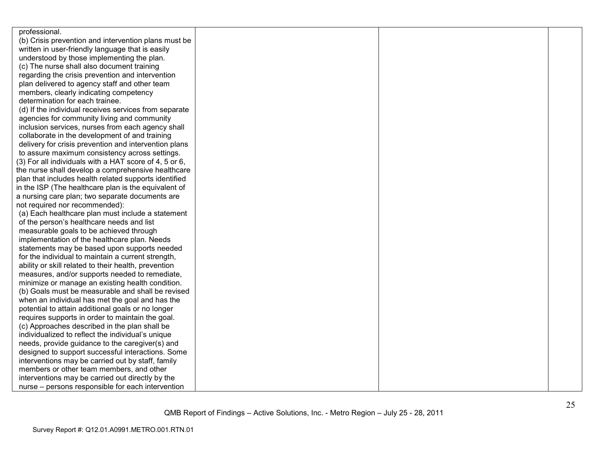| professional.                                          |  |  |
|--------------------------------------------------------|--|--|
| (b) Crisis prevention and intervention plans must be   |  |  |
| written in user-friendly language that is easily       |  |  |
| understood by those implementing the plan.             |  |  |
| (c) The nurse shall also document training             |  |  |
| regarding the crisis prevention and intervention       |  |  |
| plan delivered to agency staff and other team          |  |  |
| members, clearly indicating competency                 |  |  |
| determination for each trainee.                        |  |  |
| (d) If the individual receives services from separate  |  |  |
| agencies for community living and community            |  |  |
| inclusion services, nurses from each agency shall      |  |  |
| collaborate in the development of and training         |  |  |
| delivery for crisis prevention and intervention plans  |  |  |
| to assure maximum consistency across settings.         |  |  |
| (3) For all individuals with a HAT score of 4, 5 or 6, |  |  |
| the nurse shall develop a comprehensive healthcare     |  |  |
| plan that includes health related supports identified  |  |  |
| in the ISP (The healthcare plan is the equivalent of   |  |  |
| a nursing care plan; two separate documents are        |  |  |
| not required nor recommended):                         |  |  |
| (a) Each healthcare plan must include a statement      |  |  |
| of the person's healthcare needs and list              |  |  |
| measurable goals to be achieved through                |  |  |
| implementation of the healthcare plan. Needs           |  |  |
| statements may be based upon supports needed           |  |  |
| for the individual to maintain a current strength,     |  |  |
| ability or skill related to their health, prevention   |  |  |
| measures, and/or supports needed to remediate,         |  |  |
| minimize or manage an existing health condition.       |  |  |
| (b) Goals must be measurable and shall be revised      |  |  |
| when an individual has met the goal and has the        |  |  |
| potential to attain additional goals or no longer      |  |  |
| requires supports in order to maintain the goal.       |  |  |
| (c) Approaches described in the plan shall be          |  |  |
| individualized to reflect the individual's unique      |  |  |
| needs, provide guidance to the caregiver(s) and        |  |  |
| designed to support successful interactions. Some      |  |  |
| interventions may be carried out by staff, family      |  |  |
| members or other team members, and other               |  |  |
| interventions may be carried out directly by the       |  |  |
| nurse – persons responsible for each intervention      |  |  |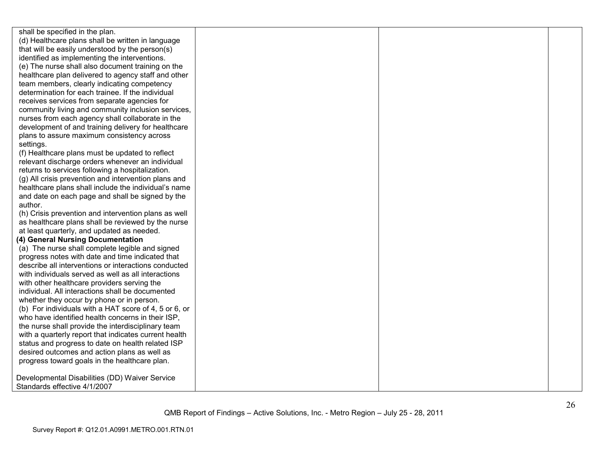shall be specified in the plan. (d) Healthcare plans shall be written in language that will be easily understood by the person(s) identified as implementing the interventions. (e) The nurse shall also document training on the healthcare plan delivered to agency staff and otherteam members, clearly indicating competency determination for each trainee. If the individual receives services from separate agencies for community living and community inclusion services, nurses from each agency shall collaborate in the development of and training delivery for healthcareplans to assure maximum consistency across settings. (f) Healthcare plans must be updated to reflect relevant discharge orders whenever an individual returns to services following a hospitalization. (g) All crisis prevention and intervention plans and healthcare plans shall include the individual's name and date on each page and shall be signed by the author. (h) Crisis prevention and intervention plans as well as healthcare plans shall be reviewed by the nurse at least quarterly, and updated as needed. **(4) General Nursing Documentation**  (a) The nurse shall complete legible and signed progress notes with date and time indicated that describe all interventions or interactions conducted with individuals served as well as all interactionswith other healthcare providers serving the individual. All interactions shall be documented whether they occur by phone or in person. (b) For individuals with a HAT score of 4, 5 or 6, or who have identified health concerns in their ISP, the nurse shall provide the interdisciplinary team with a quarterly report that indicates current health status and progress to date on health related ISP desired outcomes and action plans as well as progress toward goals in the healthcare plan. Developmental Disabilities (DD) Waiver Service Standards effective 4/1/2007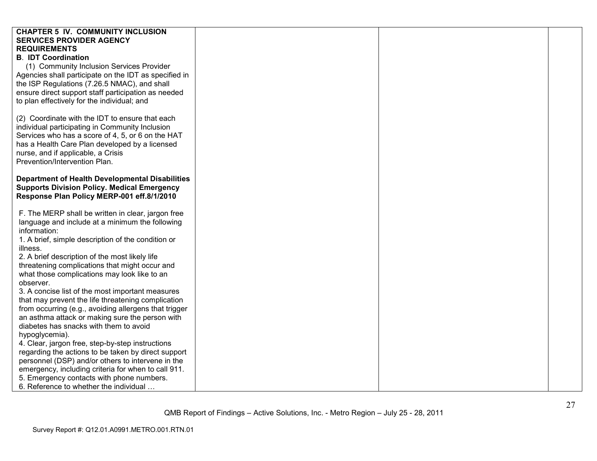| <b>CHAPTER 5 IV. COMMUNITY INCLUSION</b><br><b>SERVICES PROVIDER AGENCY</b> |  |  |
|-----------------------------------------------------------------------------|--|--|
| <b>REQUIREMENTS</b>                                                         |  |  |
| <b>B. IDT Coordination</b>                                                  |  |  |
|                                                                             |  |  |
| (1) Community Inclusion Services Provider                                   |  |  |
| Agencies shall participate on the IDT as specified in                       |  |  |
| the ISP Regulations (7.26.5 NMAC), and shall                                |  |  |
| ensure direct support staff participation as needed                         |  |  |
| to plan effectively for the individual; and                                 |  |  |
|                                                                             |  |  |
| (2) Coordinate with the IDT to ensure that each                             |  |  |
| individual participating in Community Inclusion                             |  |  |
| Services who has a score of 4, 5, or 6 on the HAT                           |  |  |
| has a Health Care Plan developed by a licensed                              |  |  |
| nurse, and if applicable, a Crisis                                          |  |  |
| Prevention/Intervention Plan.                                               |  |  |
|                                                                             |  |  |
| <b>Department of Health Developmental Disabilities</b>                      |  |  |
| <b>Supports Division Policy. Medical Emergency</b>                          |  |  |
| Response Plan Policy MERP-001 eff.8/1/2010                                  |  |  |
|                                                                             |  |  |
| F. The MERP shall be written in clear, jargon free                          |  |  |
| language and include at a minimum the following                             |  |  |
| information:                                                                |  |  |
| 1. A brief, simple description of the condition or                          |  |  |
| illness.                                                                    |  |  |
| 2. A brief description of the most likely life                              |  |  |
| threatening complications that might occur and                              |  |  |
| what those complications may look like to an                                |  |  |
| observer.                                                                   |  |  |
| 3. A concise list of the most important measures                            |  |  |
| that may prevent the life threatening complication                          |  |  |
| from occurring (e.g., avoiding allergens that trigger                       |  |  |
| an asthma attack or making sure the person with                             |  |  |
| diabetes has snacks with them to avoid                                      |  |  |
| hypoglycemia).                                                              |  |  |
| 4. Clear, jargon free, step-by-step instructions                            |  |  |
| regarding the actions to be taken by direct support                         |  |  |
| personnel (DSP) and/or others to intervene in the                           |  |  |
| emergency, including criteria for when to call 911.                         |  |  |
| 5. Emergency contacts with phone numbers.                                   |  |  |
| 6. Reference to whether the individual                                      |  |  |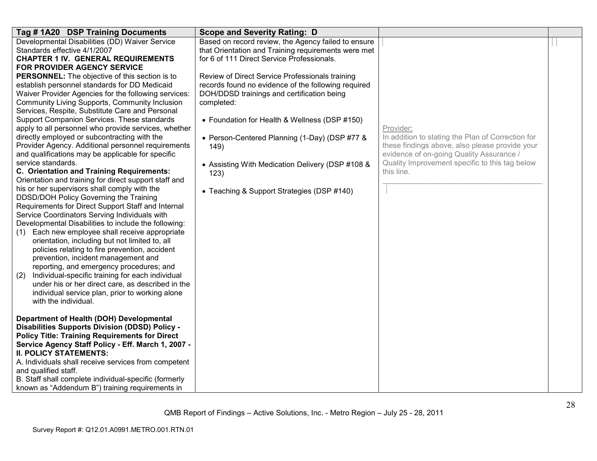| Tag #1A20 DSP Training Documents                                        | <b>Scope and Severity Rating: D</b>                 |                                                                                            |  |
|-------------------------------------------------------------------------|-----------------------------------------------------|--------------------------------------------------------------------------------------------|--|
| Developmental Disabilities (DD) Waiver Service                          | Based on record review, the Agency failed to ensure |                                                                                            |  |
| Standards effective 4/1/2007                                            | that Orientation and Training requirements were met |                                                                                            |  |
| <b>CHAPTER 1 IV. GENERAL REQUIREMENTS</b>                               | for 6 of 111 Direct Service Professionals.          |                                                                                            |  |
| FOR PROVIDER AGENCY SERVICE                                             |                                                     |                                                                                            |  |
| <b>PERSONNEL:</b> The objective of this section is to                   | Review of Direct Service Professionals training     |                                                                                            |  |
| establish personnel standards for DD Medicaid                           | records found no evidence of the following required |                                                                                            |  |
| Waiver Provider Agencies for the following services:                    | DOH/DDSD trainings and certification being          |                                                                                            |  |
| Community Living Supports, Community Inclusion                          | completed:                                          |                                                                                            |  |
| Services, Respite, Substitute Care and Personal                         |                                                     |                                                                                            |  |
| Support Companion Services. These standards                             | • Foundation for Health & Wellness (DSP #150)       |                                                                                            |  |
| apply to all personnel who provide services, whether                    |                                                     | Provider:                                                                                  |  |
| directly employed or subcontracting with the                            | • Person-Centered Planning (1-Day) (DSP #77 &       | In addition to stating the Plan of Correction for                                          |  |
| Provider Agency. Additional personnel requirements                      | 149)                                                | these findings above, also please provide your                                             |  |
| and qualifications may be applicable for specific<br>service standards. |                                                     | evidence of on-going Quality Assurance /<br>Quality Improvement specific to this tag below |  |
| <b>C. Orientation and Training Requirements:</b>                        | • Assisting With Medication Delivery (DSP #108 &    | this line.                                                                                 |  |
| Orientation and training for direct support staff and                   | 123)                                                |                                                                                            |  |
| his or her supervisors shall comply with the                            |                                                     |                                                                                            |  |
| DDSD/DOH Policy Governing the Training                                  | • Teaching & Support Strategies (DSP #140)          |                                                                                            |  |
| Requirements for Direct Support Staff and Internal                      |                                                     |                                                                                            |  |
| Service Coordinators Serving Individuals with                           |                                                     |                                                                                            |  |
| Developmental Disabilities to include the following:                    |                                                     |                                                                                            |  |
| Each new employee shall receive appropriate<br>(1)                      |                                                     |                                                                                            |  |
| orientation, including but not limited to, all                          |                                                     |                                                                                            |  |
| policies relating to fire prevention, accident                          |                                                     |                                                                                            |  |
| prevention, incident management and                                     |                                                     |                                                                                            |  |
| reporting, and emergency procedures; and                                |                                                     |                                                                                            |  |
| Individual-specific training for each individual<br>(2)                 |                                                     |                                                                                            |  |
| under his or her direct care, as described in the                       |                                                     |                                                                                            |  |
| individual service plan, prior to working alone                         |                                                     |                                                                                            |  |
| with the individual.                                                    |                                                     |                                                                                            |  |
|                                                                         |                                                     |                                                                                            |  |
| Department of Health (DOH) Developmental                                |                                                     |                                                                                            |  |
| <b>Disabilities Supports Division (DDSD) Policy -</b>                   |                                                     |                                                                                            |  |
| <b>Policy Title: Training Requirements for Direct</b>                   |                                                     |                                                                                            |  |
| Service Agency Staff Policy - Eff. March 1, 2007 -                      |                                                     |                                                                                            |  |
| <b>II. POLICY STATEMENTS:</b>                                           |                                                     |                                                                                            |  |
| A. Individuals shall receive services from competent                    |                                                     |                                                                                            |  |
| and qualified staff.                                                    |                                                     |                                                                                            |  |
| B. Staff shall complete individual-specific (formerly                   |                                                     |                                                                                            |  |
| known as "Addendum B") training requirements in                         |                                                     |                                                                                            |  |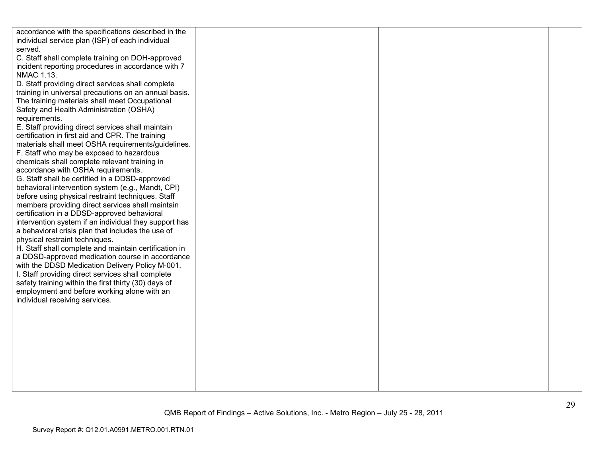| accordance with the specifications described in the                                                      |  |  |
|----------------------------------------------------------------------------------------------------------|--|--|
| individual service plan (ISP) of each individual                                                         |  |  |
| served.                                                                                                  |  |  |
| C. Staff shall complete training on DOH-approved                                                         |  |  |
| incident reporting procedures in accordance with 7                                                       |  |  |
| <b>NMAC 1.13.</b>                                                                                        |  |  |
| D. Staff providing direct services shall complete                                                        |  |  |
| training in universal precautions on an annual basis.                                                    |  |  |
| The training materials shall meet Occupational                                                           |  |  |
| Safety and Health Administration (OSHA)                                                                  |  |  |
| requirements.                                                                                            |  |  |
| E. Staff providing direct services shall maintain                                                        |  |  |
| certification in first aid and CPR. The training                                                         |  |  |
|                                                                                                          |  |  |
| materials shall meet OSHA requirements/guidelines.                                                       |  |  |
| F. Staff who may be exposed to hazardous<br>chemicals shall complete relevant training in                |  |  |
|                                                                                                          |  |  |
| accordance with OSHA requirements.                                                                       |  |  |
| G. Staff shall be certified in a DDSD-approved                                                           |  |  |
| behavioral intervention system (e.g., Mandt, CPI)                                                        |  |  |
| before using physical restraint techniques. Staff<br>members providing direct services shall maintain    |  |  |
| certification in a DDSD-approved behavioral                                                              |  |  |
| intervention system if an individual they support has                                                    |  |  |
| a behavioral crisis plan that includes the use of                                                        |  |  |
| physical restraint techniques.                                                                           |  |  |
|                                                                                                          |  |  |
| H. Staff shall complete and maintain certification in<br>a DDSD-approved medication course in accordance |  |  |
|                                                                                                          |  |  |
| with the DDSD Medication Delivery Policy M-001.                                                          |  |  |
| I. Staff providing direct services shall complete                                                        |  |  |
| safety training within the first thirty (30) days of                                                     |  |  |
| employment and before working alone with an                                                              |  |  |
| individual receiving services.                                                                           |  |  |
|                                                                                                          |  |  |
|                                                                                                          |  |  |
|                                                                                                          |  |  |
|                                                                                                          |  |  |
|                                                                                                          |  |  |
|                                                                                                          |  |  |
|                                                                                                          |  |  |
|                                                                                                          |  |  |
|                                                                                                          |  |  |
|                                                                                                          |  |  |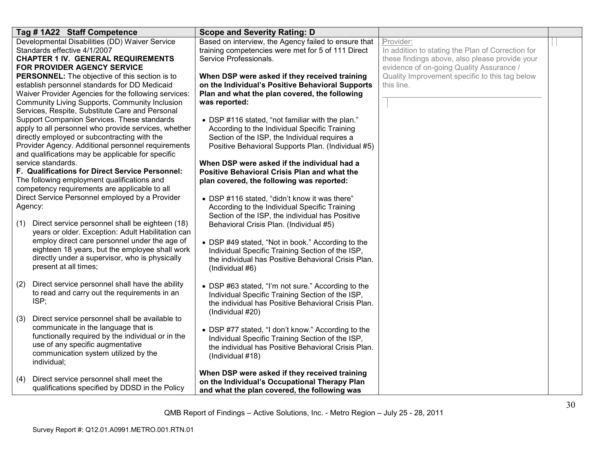| Tag # 1A22 Staff Competence                                                                                                                                                                                                                                                               | <b>Scope and Severity Rating: D</b>                                                                                                                                                                                        |                                                                                                                                                              |  |
|-------------------------------------------------------------------------------------------------------------------------------------------------------------------------------------------------------------------------------------------------------------------------------------------|----------------------------------------------------------------------------------------------------------------------------------------------------------------------------------------------------------------------------|--------------------------------------------------------------------------------------------------------------------------------------------------------------|--|
| Developmental Disabilities (DD) Waiver Service<br>Standards effective 4/1/2007<br><b>CHAPTER 1 IV. GENERAL REQUIREMENTS</b><br>FOR PROVIDER AGENCY SERVICE                                                                                                                                | Based on interview, the Agency failed to ensure that<br>training competencies were met for 5 of 111 Direct<br>Service Professionals.                                                                                       | Provider:<br>In addition to stating the Plan of Correction for<br>these findings above, also please provide your<br>evidence of on-going Quality Assurance / |  |
| <b>PERSONNEL:</b> The objective of this section is to<br>establish personnel standards for DD Medicaid<br>Waiver Provider Agencies for the following services:<br>Community Living Supports, Community Inclusion<br>Services, Respite, Substitute Care and Personal                       | When DSP were asked if they received training<br>on the Individual's Positive Behavioral Supports<br>Plan and what the plan covered, the following<br>was reported:                                                        | Quality Improvement specific to this tag below<br>this line.                                                                                                 |  |
| Support Companion Services. These standards<br>apply to all personnel who provide services, whether<br>directly employed or subcontracting with the<br>Provider Agency. Additional personnel requirements<br>and qualifications may be applicable for specific                            | • DSP #116 stated, "not familiar with the plan."<br>According to the Individual Specific Training<br>Section of the ISP, the Individual requires a<br>Positive Behavioral Supports Plan. (Individual #5)                   |                                                                                                                                                              |  |
| service standards.<br>F. Qualifications for Direct Service Personnel:<br>The following employment qualifications and<br>competency requirements are applicable to all                                                                                                                     | When DSP were asked if the individual had a<br>Positive Behavioral Crisis Plan and what the<br>plan covered, the following was reported:                                                                                   |                                                                                                                                                              |  |
| Direct Service Personnel employed by a Provider<br>Agency:                                                                                                                                                                                                                                | • DSP #116 stated, "didn't know it was there"<br>According to the Individual Specific Training<br>Section of the ISP, the individual has Positive                                                                          |                                                                                                                                                              |  |
| Direct service personnel shall be eighteen (18)<br>(1)<br>years or older. Exception: Adult Habilitation can<br>employ direct care personnel under the age of<br>eighteen 18 years, but the employee shall work<br>directly under a supervisor, who is physically<br>present at all times; | Behavioral Crisis Plan. (Individual #5)<br>• DSP #49 stated, "Not in book." According to the<br>Individual Specific Training Section of the ISP,<br>the individual has Positive Behavioral Crisis Plan.<br>(Individual #6) |                                                                                                                                                              |  |
| Direct service personnel shall have the ability<br>(2)<br>to read and carry out the requirements in an<br>ISP;                                                                                                                                                                            | • DSP #63 stated, "I'm not sure." According to the<br>Individual Specific Training Section of the ISP,<br>the individual has Positive Behavioral Crisis Plan.<br>(Individual #20)                                          |                                                                                                                                                              |  |
| Direct service personnel shall be available to<br>(3)<br>communicate in the language that is<br>functionally required by the individual or in the<br>use of any specific augmentative<br>communication system utilized by the<br>individual;                                              | • DSP #77 stated, "I don't know." According to the<br>Individual Specific Training Section of the ISP,<br>the individual has Positive Behavioral Crisis Plan.<br>(Individual #18)                                          |                                                                                                                                                              |  |
| Direct service personnel shall meet the<br>(4)<br>qualifications specified by DDSD in the Policy                                                                                                                                                                                          | When DSP were asked if they received training<br>on the Individual's Occupational Therapy Plan<br>and what the plan covered, the following was                                                                             |                                                                                                                                                              |  |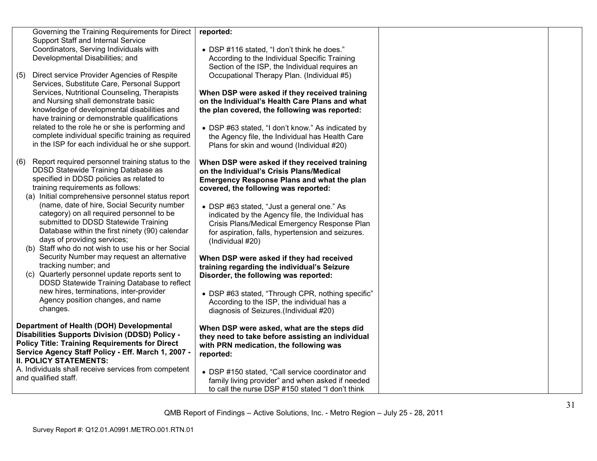| Governing the Training Requirements for Direct<br>Support Staff and Internal Service<br>Coordinators, Serving Individuals with<br>Developmental Disabilities; and                                                                                                                                                                                                                                                                                                                                                                                                                                                                                                                                                                                                                  | reported:<br>• DSP #116 stated, "I don't think he does."<br>According to the Individual Specific Training<br>Section of the ISP, the Individual requires an                                                                                                                                                                                                                                                                                                                                                                                                                                                                                                                                        |  |
|------------------------------------------------------------------------------------------------------------------------------------------------------------------------------------------------------------------------------------------------------------------------------------------------------------------------------------------------------------------------------------------------------------------------------------------------------------------------------------------------------------------------------------------------------------------------------------------------------------------------------------------------------------------------------------------------------------------------------------------------------------------------------------|----------------------------------------------------------------------------------------------------------------------------------------------------------------------------------------------------------------------------------------------------------------------------------------------------------------------------------------------------------------------------------------------------------------------------------------------------------------------------------------------------------------------------------------------------------------------------------------------------------------------------------------------------------------------------------------------------|--|
| Direct service Provider Agencies of Respite<br>(5)<br>Services, Substitute Care, Personal Support<br>Services, Nutritional Counseling, Therapists<br>and Nursing shall demonstrate basic<br>knowledge of developmental disabilities and<br>have training or demonstrable qualifications<br>related to the role he or she is performing and<br>complete individual specific training as required<br>in the ISP for each individual he or she support.                                                                                                                                                                                                                                                                                                                               | Occupational Therapy Plan. (Individual #5)<br>When DSP were asked if they received training<br>on the Individual's Health Care Plans and what<br>the plan covered, the following was reported:<br>• DSP #63 stated, "I don't know." As indicated by<br>the Agency file, the Individual has Health Care<br>Plans for skin and wound (Individual #20)                                                                                                                                                                                                                                                                                                                                                |  |
| Report required personnel training status to the<br>(6)<br>DDSD Statewide Training Database as<br>specified in DDSD policies as related to<br>training requirements as follows:<br>(a) Initial comprehensive personnel status report<br>(name, date of hire, Social Security number<br>category) on all required personnel to be<br>submitted to DDSD Statewide Training<br>Database within the first ninety (90) calendar<br>days of providing services;<br>(b) Staff who do not wish to use his or her Social<br>Security Number may request an alternative<br>tracking number; and<br>(c) Quarterly personnel update reports sent to<br>DDSD Statewide Training Database to reflect<br>new hires, terminations, inter-provider<br>Agency position changes, and name<br>changes. | When DSP were asked if they received training<br>on the Individual's Crisis Plans/Medical<br><b>Emergency Response Plans and what the plan</b><br>covered, the following was reported:<br>• DSP #63 stated, "Just a general one." As<br>indicated by the Agency file, the Individual has<br>Crisis Plans/Medical Emergency Response Plan<br>for aspiration, falls, hypertension and seizures.<br>(Individual #20)<br>When DSP were asked if they had received<br>training regarding the individual's Seizure<br>Disorder, the following was reported:<br>• DSP #63 stated, "Through CPR, nothing specific"<br>According to the ISP, the individual has a<br>diagnosis of Seizures.(Individual #20) |  |
| Department of Health (DOH) Developmental<br>Disabilities Supports Division (DDSD) Policy -<br><b>Policy Title: Training Requirements for Direct</b><br>Service Agency Staff Policy - Eff. March 1, 2007 -<br><b>II. POLICY STATEMENTS:</b>                                                                                                                                                                                                                                                                                                                                                                                                                                                                                                                                         | When DSP were asked, what are the steps did<br>they need to take before assisting an individual<br>with PRN medication, the following was<br>reported:                                                                                                                                                                                                                                                                                                                                                                                                                                                                                                                                             |  |
| A. Individuals shall receive services from competent<br>and qualified staff.                                                                                                                                                                                                                                                                                                                                                                                                                                                                                                                                                                                                                                                                                                       | • DSP #150 stated, "Call service coordinator and<br>family living provider" and when asked if needed<br>to call the nurse DSP #150 stated "I don't think                                                                                                                                                                                                                                                                                                                                                                                                                                                                                                                                           |  |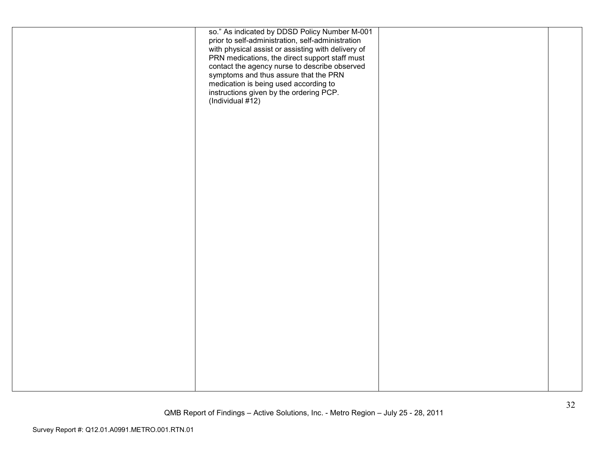| so." As indicated by DDSD Policy Number M-001<br>prior to self-administration, self-administration<br>with physical assist or assisting with delivery of<br>PRN medications, the direct support staff must<br>contact the agency nurse to describe observed<br>symptoms and thus assure that the PRN<br>medication is being used according to<br>instructions given by the ordering PCP.<br>(Individual $\sharp$ 12) |  |
|----------------------------------------------------------------------------------------------------------------------------------------------------------------------------------------------------------------------------------------------------------------------------------------------------------------------------------------------------------------------------------------------------------------------|--|
|                                                                                                                                                                                                                                                                                                                                                                                                                      |  |
|                                                                                                                                                                                                                                                                                                                                                                                                                      |  |
|                                                                                                                                                                                                                                                                                                                                                                                                                      |  |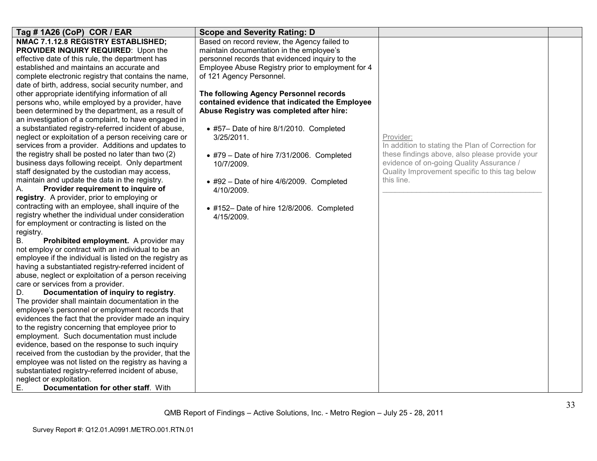| Tag # 1A26 (CoP) COR / EAR                                                                              | <b>Scope and Severity Rating: D</b>               |                                                   |  |
|---------------------------------------------------------------------------------------------------------|---------------------------------------------------|---------------------------------------------------|--|
| NMAC 7.1.12.8 REGISTRY ESTABLISHED;                                                                     | Based on record review, the Agency failed to      |                                                   |  |
| PROVIDER INQUIRY REQUIRED: Upon the                                                                     | maintain documentation in the employee's          |                                                   |  |
| effective date of this rule, the department has                                                         | personnel records that evidenced inquiry to the   |                                                   |  |
| established and maintains an accurate and                                                               | Employee Abuse Registry prior to employment for 4 |                                                   |  |
| complete electronic registry that contains the name,                                                    | of 121 Agency Personnel.                          |                                                   |  |
| date of birth, address, social security number, and                                                     |                                                   |                                                   |  |
| other appropriate identifying information of all                                                        | The following Agency Personnel records            |                                                   |  |
| persons who, while employed by a provider, have                                                         | contained evidence that indicated the Employee    |                                                   |  |
| been determined by the department, as a result of                                                       | Abuse Registry was completed after hire:          |                                                   |  |
| an investigation of a complaint, to have engaged in                                                     |                                                   |                                                   |  |
| a substantiated registry-referred incident of abuse,                                                    | • #57- Date of hire 8/1/2010. Completed           |                                                   |  |
| neglect or exploitation of a person receiving care or                                                   | $3/25/2011$ .                                     | Provider:                                         |  |
| services from a provider. Additions and updates to                                                      |                                                   | In addition to stating the Plan of Correction for |  |
| the registry shall be posted no later than two (2)                                                      | $*$ #79 - Date of hire 7/31/2006. Completed       | these findings above, also please provide your    |  |
| business days following receipt. Only department                                                        | 10/7/2009.                                        | evidence of on-going Quality Assurance /          |  |
| staff designated by the custodian may access,                                                           |                                                   | Quality Improvement specific to this tag below    |  |
| maintain and update the data in the registry.                                                           | • #92 - Date of hire 4/6/2009. Completed          | this line.                                        |  |
| Provider requirement to inquire of<br>А.                                                                | 4/10/2009.                                        |                                                   |  |
| registry. A provider, prior to employing or                                                             |                                                   |                                                   |  |
| contracting with an employee, shall inquire of the                                                      | • #152- Date of hire 12/8/2006. Completed         |                                                   |  |
| registry whether the individual under consideration                                                     | 4/15/2009.                                        |                                                   |  |
| for employment or contracting is listed on the                                                          |                                                   |                                                   |  |
| registry.                                                                                               |                                                   |                                                   |  |
| <b>B.</b><br>Prohibited employment. A provider may                                                      |                                                   |                                                   |  |
| not employ or contract with an individual to be an                                                      |                                                   |                                                   |  |
| employee if the individual is listed on the registry as                                                 |                                                   |                                                   |  |
| having a substantiated registry-referred incident of                                                    |                                                   |                                                   |  |
| abuse, neglect or exploitation of a person receiving                                                    |                                                   |                                                   |  |
| care or services from a provider.                                                                       |                                                   |                                                   |  |
| Documentation of inquiry to registry.<br>D.                                                             |                                                   |                                                   |  |
| The provider shall maintain documentation in the                                                        |                                                   |                                                   |  |
| employee's personnel or employment records that<br>evidences the fact that the provider made an inquiry |                                                   |                                                   |  |
| to the registry concerning that employee prior to                                                       |                                                   |                                                   |  |
| employment. Such documentation must include                                                             |                                                   |                                                   |  |
| evidence, based on the response to such inquiry                                                         |                                                   |                                                   |  |
| received from the custodian by the provider, that the                                                   |                                                   |                                                   |  |
| employee was not listed on the registry as having a                                                     |                                                   |                                                   |  |
| substantiated registry-referred incident of abuse,                                                      |                                                   |                                                   |  |
| neglect or exploitation.                                                                                |                                                   |                                                   |  |
| Documentation for other staff. With<br>Е.                                                               |                                                   |                                                   |  |
|                                                                                                         |                                                   |                                                   |  |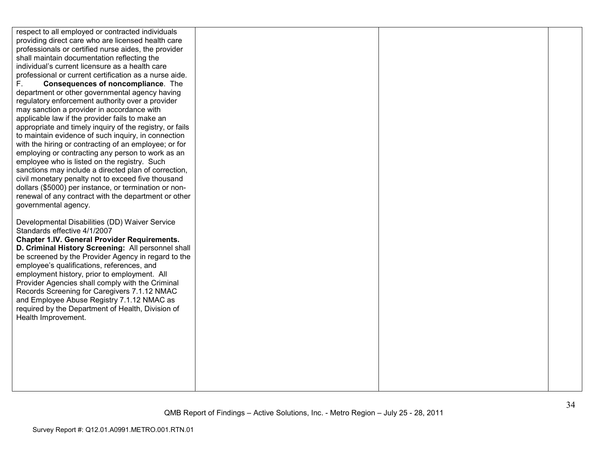| respect to all employed or contracted individuals<br>providing direct care who are licensed health care<br>professionals or certified nurse aides, the provider<br>shall maintain documentation reflecting the<br>individual's current licensure as a health care<br>professional or current certification as a nurse aide.<br>F.<br><b>Consequences of noncompliance.</b> The<br>department or other governmental agency having<br>regulatory enforcement authority over a provider<br>may sanction a provider in accordance with<br>applicable law if the provider fails to make an<br>appropriate and timely inquiry of the registry, or fails<br>to maintain evidence of such inquiry, in connection<br>with the hiring or contracting of an employee; or for<br>employing or contracting any person to work as an<br>employee who is listed on the registry. Such<br>sanctions may include a directed plan of correction,<br>civil monetary penalty not to exceed five thousand |  |  |
|--------------------------------------------------------------------------------------------------------------------------------------------------------------------------------------------------------------------------------------------------------------------------------------------------------------------------------------------------------------------------------------------------------------------------------------------------------------------------------------------------------------------------------------------------------------------------------------------------------------------------------------------------------------------------------------------------------------------------------------------------------------------------------------------------------------------------------------------------------------------------------------------------------------------------------------------------------------------------------------|--|--|
|                                                                                                                                                                                                                                                                                                                                                                                                                                                                                                                                                                                                                                                                                                                                                                                                                                                                                                                                                                                      |  |  |
| dollars (\$5000) per instance, or termination or non-                                                                                                                                                                                                                                                                                                                                                                                                                                                                                                                                                                                                                                                                                                                                                                                                                                                                                                                                |  |  |
| renewal of any contract with the department or other                                                                                                                                                                                                                                                                                                                                                                                                                                                                                                                                                                                                                                                                                                                                                                                                                                                                                                                                 |  |  |
| governmental agency.                                                                                                                                                                                                                                                                                                                                                                                                                                                                                                                                                                                                                                                                                                                                                                                                                                                                                                                                                                 |  |  |
| Developmental Disabilities (DD) Waiver Service                                                                                                                                                                                                                                                                                                                                                                                                                                                                                                                                                                                                                                                                                                                                                                                                                                                                                                                                       |  |  |
| Standards effective 4/1/2007                                                                                                                                                                                                                                                                                                                                                                                                                                                                                                                                                                                                                                                                                                                                                                                                                                                                                                                                                         |  |  |
| <b>Chapter 1.IV. General Provider Requirements.</b>                                                                                                                                                                                                                                                                                                                                                                                                                                                                                                                                                                                                                                                                                                                                                                                                                                                                                                                                  |  |  |
| D. Criminal History Screening: All personnel shall                                                                                                                                                                                                                                                                                                                                                                                                                                                                                                                                                                                                                                                                                                                                                                                                                                                                                                                                   |  |  |
| be screened by the Provider Agency in regard to the                                                                                                                                                                                                                                                                                                                                                                                                                                                                                                                                                                                                                                                                                                                                                                                                                                                                                                                                  |  |  |
| employee's qualifications, references, and                                                                                                                                                                                                                                                                                                                                                                                                                                                                                                                                                                                                                                                                                                                                                                                                                                                                                                                                           |  |  |
| employment history, prior to employment. All<br>Provider Agencies shall comply with the Criminal                                                                                                                                                                                                                                                                                                                                                                                                                                                                                                                                                                                                                                                                                                                                                                                                                                                                                     |  |  |
| Records Screening for Caregivers 7.1.12 NMAC                                                                                                                                                                                                                                                                                                                                                                                                                                                                                                                                                                                                                                                                                                                                                                                                                                                                                                                                         |  |  |
| and Employee Abuse Registry 7.1.12 NMAC as                                                                                                                                                                                                                                                                                                                                                                                                                                                                                                                                                                                                                                                                                                                                                                                                                                                                                                                                           |  |  |
| required by the Department of Health, Division of                                                                                                                                                                                                                                                                                                                                                                                                                                                                                                                                                                                                                                                                                                                                                                                                                                                                                                                                    |  |  |
| Health Improvement.                                                                                                                                                                                                                                                                                                                                                                                                                                                                                                                                                                                                                                                                                                                                                                                                                                                                                                                                                                  |  |  |
|                                                                                                                                                                                                                                                                                                                                                                                                                                                                                                                                                                                                                                                                                                                                                                                                                                                                                                                                                                                      |  |  |
|                                                                                                                                                                                                                                                                                                                                                                                                                                                                                                                                                                                                                                                                                                                                                                                                                                                                                                                                                                                      |  |  |
|                                                                                                                                                                                                                                                                                                                                                                                                                                                                                                                                                                                                                                                                                                                                                                                                                                                                                                                                                                                      |  |  |
|                                                                                                                                                                                                                                                                                                                                                                                                                                                                                                                                                                                                                                                                                                                                                                                                                                                                                                                                                                                      |  |  |
|                                                                                                                                                                                                                                                                                                                                                                                                                                                                                                                                                                                                                                                                                                                                                                                                                                                                                                                                                                                      |  |  |
|                                                                                                                                                                                                                                                                                                                                                                                                                                                                                                                                                                                                                                                                                                                                                                                                                                                                                                                                                                                      |  |  |
|                                                                                                                                                                                                                                                                                                                                                                                                                                                                                                                                                                                                                                                                                                                                                                                                                                                                                                                                                                                      |  |  |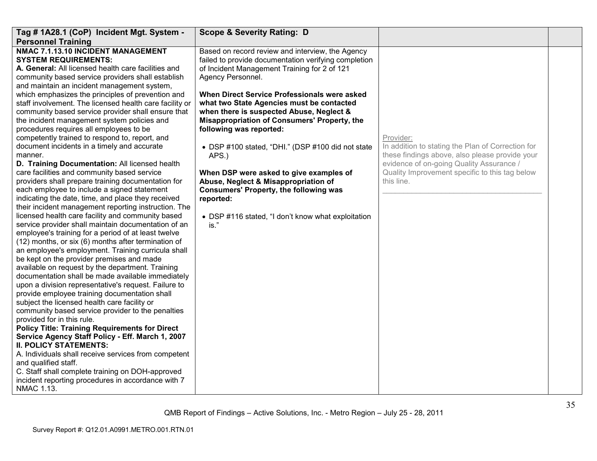| Tag # 1A28.1 (CoP) Incident Mgt. System -<br><b>Personnel Training</b>                                                                                                                                                                                                                                                                                                                                                                                                                                                                                                                                                                                                                                                                                                                                                                                                                                                                                                                                                                                                                                                                                                                                                                                                                                                                                                                                                                                                                                                                                                                                                                                                                                                                                                                                                                                                                                                                                               | <b>Scope &amp; Severity Rating: D</b>                                                                                                                                                                                                                                                                                                                                                                                                                                                                                                                                                                                                                                          |                                                                                                                                                                                                                              |  |
|----------------------------------------------------------------------------------------------------------------------------------------------------------------------------------------------------------------------------------------------------------------------------------------------------------------------------------------------------------------------------------------------------------------------------------------------------------------------------------------------------------------------------------------------------------------------------------------------------------------------------------------------------------------------------------------------------------------------------------------------------------------------------------------------------------------------------------------------------------------------------------------------------------------------------------------------------------------------------------------------------------------------------------------------------------------------------------------------------------------------------------------------------------------------------------------------------------------------------------------------------------------------------------------------------------------------------------------------------------------------------------------------------------------------------------------------------------------------------------------------------------------------------------------------------------------------------------------------------------------------------------------------------------------------------------------------------------------------------------------------------------------------------------------------------------------------------------------------------------------------------------------------------------------------------------------------------------------------|--------------------------------------------------------------------------------------------------------------------------------------------------------------------------------------------------------------------------------------------------------------------------------------------------------------------------------------------------------------------------------------------------------------------------------------------------------------------------------------------------------------------------------------------------------------------------------------------------------------------------------------------------------------------------------|------------------------------------------------------------------------------------------------------------------------------------------------------------------------------------------------------------------------------|--|
| NMAC 7.1.13.10 INCIDENT MANAGEMENT<br><b>SYSTEM REQUIREMENTS:</b><br>A. General: All licensed health care facilities and<br>community based service providers shall establish<br>and maintain an incident management system,<br>which emphasizes the principles of prevention and<br>staff involvement. The licensed health care facility or<br>community based service provider shall ensure that<br>the incident management system policies and<br>procedures requires all employees to be<br>competently trained to respond to, report, and<br>document incidents in a timely and accurate<br>manner.<br>D. Training Documentation: All licensed health<br>care facilities and community based service<br>providers shall prepare training documentation for<br>each employee to include a signed statement<br>indicating the date, time, and place they received<br>their incident management reporting instruction. The<br>licensed health care facility and community based<br>service provider shall maintain documentation of an<br>employee's training for a period of at least twelve<br>(12) months, or six (6) months after termination of<br>an employee's employment. Training curricula shall<br>be kept on the provider premises and made<br>available on request by the department. Training<br>documentation shall be made available immediately<br>upon a division representative's request. Failure to<br>provide employee training documentation shall<br>subject the licensed health care facility or<br>community based service provider to the penalties<br>provided for in this rule.<br><b>Policy Title: Training Requirements for Direct</b><br>Service Agency Staff Policy - Eff. March 1, 2007<br><b>II. POLICY STATEMENTS:</b><br>A. Individuals shall receive services from competent<br>and qualified staff.<br>C. Staff shall complete training on DOH-approved<br>incident reporting procedures in accordance with 7<br>NMAC 1.13. | Based on record review and interview, the Agency<br>failed to provide documentation verifying completion<br>of Incident Management Training for 2 of 121<br>Agency Personnel.<br>When Direct Service Professionals were asked<br>what two State Agencies must be contacted<br>when there is suspected Abuse, Neglect &<br>Misappropriation of Consumers' Property, the<br>following was reported:<br>• DSP #100 stated, "DHI." (DSP #100 did not state<br>APS.)<br>When DSP were asked to give examples of<br>Abuse, Neglect & Misappropriation of<br><b>Consumers' Property, the following was</b><br>reported:<br>• DSP #116 stated, "I don't know what exploitation<br>is." | Provider:<br>In addition to stating the Plan of Correction for<br>these findings above, also please provide your<br>evidence of on-going Quality Assurance /<br>Quality Improvement specific to this tag below<br>this line. |  |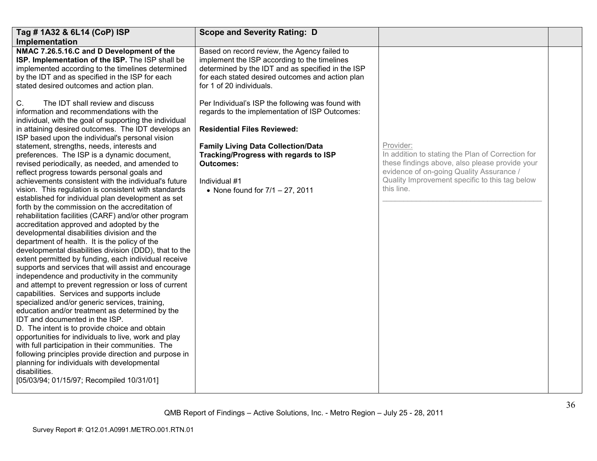| Tag # 1A32 & 6L14 (CoP) ISP                                                                                                                                                                                                                                                                                                                                                                                                                                                                                                                                                                                                                                                                                                                                                                                                                                                                                                                                                                                                                                                                                                                                                                                                                                                                                                                                                                                                              | <b>Scope and Severity Rating: D</b>                                                                                                                                                                                                                                                                                                      |                                                                                                                                                                                                                              |  |
|------------------------------------------------------------------------------------------------------------------------------------------------------------------------------------------------------------------------------------------------------------------------------------------------------------------------------------------------------------------------------------------------------------------------------------------------------------------------------------------------------------------------------------------------------------------------------------------------------------------------------------------------------------------------------------------------------------------------------------------------------------------------------------------------------------------------------------------------------------------------------------------------------------------------------------------------------------------------------------------------------------------------------------------------------------------------------------------------------------------------------------------------------------------------------------------------------------------------------------------------------------------------------------------------------------------------------------------------------------------------------------------------------------------------------------------|------------------------------------------------------------------------------------------------------------------------------------------------------------------------------------------------------------------------------------------------------------------------------------------------------------------------------------------|------------------------------------------------------------------------------------------------------------------------------------------------------------------------------------------------------------------------------|--|
| Implementation<br>NMAC 7.26.5.16.C and D Development of the<br>ISP. Implementation of the ISP. The ISP shall be<br>implemented according to the timelines determined<br>by the IDT and as specified in the ISP for each<br>stated desired outcomes and action plan.<br>The IDT shall review and discuss<br>C.<br>information and recommendations with the                                                                                                                                                                                                                                                                                                                                                                                                                                                                                                                                                                                                                                                                                                                                                                                                                                                                                                                                                                                                                                                                                | Based on record review, the Agency failed to<br>implement the ISP according to the timelines<br>determined by the IDT and as specified in the ISP<br>for each stated desired outcomes and action plan<br>for 1 of 20 individuals.<br>Per Individual's ISP the following was found with<br>regards to the implementation of ISP Outcomes: |                                                                                                                                                                                                                              |  |
| individual, with the goal of supporting the individual<br>in attaining desired outcomes. The IDT develops an<br>ISP based upon the individual's personal vision                                                                                                                                                                                                                                                                                                                                                                                                                                                                                                                                                                                                                                                                                                                                                                                                                                                                                                                                                                                                                                                                                                                                                                                                                                                                          | <b>Residential Files Reviewed:</b>                                                                                                                                                                                                                                                                                                       |                                                                                                                                                                                                                              |  |
| statement, strengths, needs, interests and<br>preferences. The ISP is a dynamic document,<br>revised periodically, as needed, and amended to<br>reflect progress towards personal goals and<br>achievements consistent with the individual's future<br>vision. This regulation is consistent with standards<br>established for individual plan development as set<br>forth by the commission on the accreditation of<br>rehabilitation facilities (CARF) and/or other program<br>accreditation approved and adopted by the<br>developmental disabilities division and the<br>department of health. It is the policy of the<br>developmental disabilities division (DDD), that to the<br>extent permitted by funding, each individual receive<br>supports and services that will assist and encourage<br>independence and productivity in the community<br>and attempt to prevent regression or loss of current<br>capabilities. Services and supports include<br>specialized and/or generic services, training,<br>education and/or treatment as determined by the<br>IDT and documented in the ISP.<br>D. The intent is to provide choice and obtain<br>opportunities for individuals to live, work and play<br>with full participation in their communities. The<br>following principles provide direction and purpose in<br>planning for individuals with developmental<br>disabilities.<br>[05/03/94; 01/15/97; Recompiled 10/31/01] | <b>Family Living Data Collection/Data</b><br>Tracking/Progress with regards to ISP<br><b>Outcomes:</b><br>Individual #1<br>• None found for $7/1 - 27$ , 2011                                                                                                                                                                            | Provider:<br>In addition to stating the Plan of Correction for<br>these findings above, also please provide your<br>evidence of on-going Quality Assurance /<br>Quality Improvement specific to this tag below<br>this line. |  |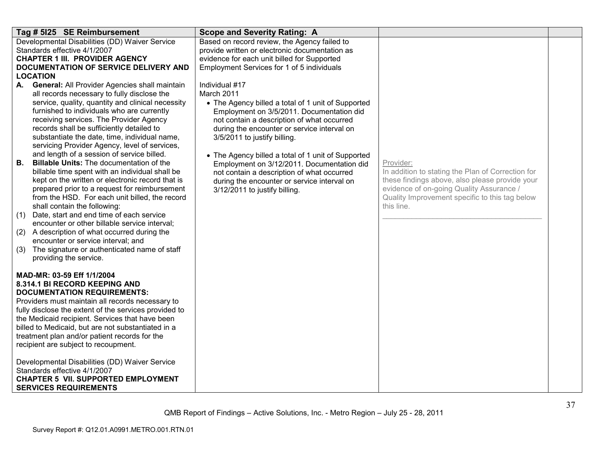| Tag # 5125 SE Reimbursement                                                                                                                                                                                                                                                                                                                                                                                                                                                                                                                                                                                                                                                                                                                                                                                                                                                                                                                                                                                                                                                              | <b>Scope and Severity Rating: A</b>                                                                                                                                                                                                                                                                                                                                                                                                                                                            |                                                                                                                                                                                                                              |  |
|------------------------------------------------------------------------------------------------------------------------------------------------------------------------------------------------------------------------------------------------------------------------------------------------------------------------------------------------------------------------------------------------------------------------------------------------------------------------------------------------------------------------------------------------------------------------------------------------------------------------------------------------------------------------------------------------------------------------------------------------------------------------------------------------------------------------------------------------------------------------------------------------------------------------------------------------------------------------------------------------------------------------------------------------------------------------------------------|------------------------------------------------------------------------------------------------------------------------------------------------------------------------------------------------------------------------------------------------------------------------------------------------------------------------------------------------------------------------------------------------------------------------------------------------------------------------------------------------|------------------------------------------------------------------------------------------------------------------------------------------------------------------------------------------------------------------------------|--|
| Developmental Disabilities (DD) Waiver Service<br>Standards effective 4/1/2007<br><b>CHAPTER 1 III. PROVIDER AGENCY</b><br><b>DOCUMENTATION OF SERVICE DELIVERY AND</b><br><b>LOCATION</b>                                                                                                                                                                                                                                                                                                                                                                                                                                                                                                                                                                                                                                                                                                                                                                                                                                                                                               | Based on record review, the Agency failed to<br>provide written or electronic documentation as<br>evidence for each unit billed for Supported<br>Employment Services for 1 of 5 individuals                                                                                                                                                                                                                                                                                                    |                                                                                                                                                                                                                              |  |
| A. General: All Provider Agencies shall maintain<br>all records necessary to fully disclose the<br>service, quality, quantity and clinical necessity<br>furnished to individuals who are currently<br>receiving services. The Provider Agency<br>records shall be sufficiently detailed to<br>substantiate the date, time, individual name,<br>servicing Provider Agency, level of services,<br>and length of a session of service billed.<br>В.<br><b>Billable Units: The documentation of the</b><br>billable time spent with an individual shall be<br>kept on the written or electronic record that is<br>prepared prior to a request for reimbursement<br>from the HSD. For each unit billed, the record<br>shall contain the following:<br>Date, start and end time of each service<br>(1)<br>encounter or other billable service interval;<br>(2) A description of what occurred during the<br>encounter or service interval; and<br>(3)<br>The signature or authenticated name of staff<br>providing the service.<br>MAD-MR: 03-59 Eff 1/1/2004<br>8.314.1 BI RECORD KEEPING AND | Individual #17<br>March 2011<br>• The Agency billed a total of 1 unit of Supported<br>Employment on 3/5/2011. Documentation did<br>not contain a description of what occurred<br>during the encounter or service interval on<br>3/5/2011 to justify billing.<br>• The Agency billed a total of 1 unit of Supported<br>Employment on 3/12/2011. Documentation did<br>not contain a description of what occurred<br>during the encounter or service interval on<br>3/12/2011 to justify billing. | Provider:<br>In addition to stating the Plan of Correction for<br>these findings above, also please provide your<br>evidence of on-going Quality Assurance /<br>Quality Improvement specific to this tag below<br>this line. |  |
| <b>DOCUMENTATION REQUIREMENTS:</b><br>Providers must maintain all records necessary to<br>fully disclose the extent of the services provided to<br>the Medicaid recipient. Services that have been<br>billed to Medicaid, but are not substantiated in a<br>treatment plan and/or patient records for the<br>recipient are subject to recoupment.<br>Developmental Disabilities (DD) Waiver Service<br>Standards effective 4/1/2007<br><b>CHAPTER 5 VII. SUPPORTED EMPLOYMENT</b><br><b>SERVICES REQUIREMENTS</b>                                                                                                                                                                                                                                                                                                                                                                                                                                                                                                                                                                        |                                                                                                                                                                                                                                                                                                                                                                                                                                                                                                |                                                                                                                                                                                                                              |  |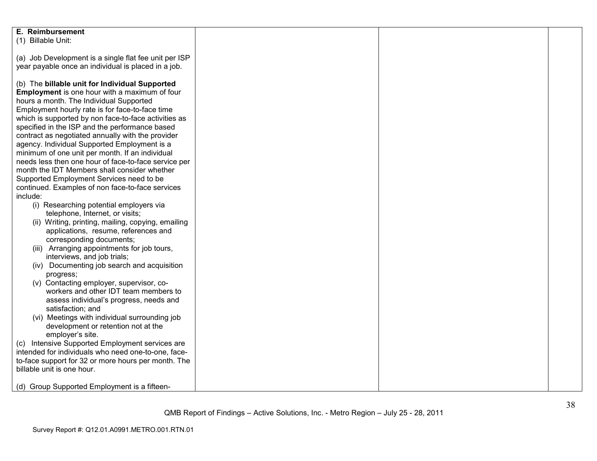| E. Reimbursement                                      |  |  |
|-------------------------------------------------------|--|--|
| (1) Billable Unit:                                    |  |  |
|                                                       |  |  |
| (a) Job Development is a single flat fee unit per ISP |  |  |
| year payable once an individual is placed in a job.   |  |  |
|                                                       |  |  |
|                                                       |  |  |
| (b) The billable unit for Individual Supported        |  |  |
| Employment is one hour with a maximum of four         |  |  |
| hours a month. The Individual Supported               |  |  |
| Employment hourly rate is for face-to-face time       |  |  |
| which is supported by non face-to-face activities as  |  |  |
| specified in the ISP and the performance based        |  |  |
| contract as negotiated annually with the provider     |  |  |
| agency. Individual Supported Employment is a          |  |  |
| minimum of one unit per month. If an individual       |  |  |
| needs less then one hour of face-to-face service per  |  |  |
| month the IDT Members shall consider whether          |  |  |
| Supported Employment Services need to be              |  |  |
| continued. Examples of non face-to-face services      |  |  |
| include:                                              |  |  |
|                                                       |  |  |
| (i) Researching potential employers via               |  |  |
| telephone, Internet, or visits;                       |  |  |
| (ii) Writing, printing, mailing, copying, emailing    |  |  |
| applications, resume, references and                  |  |  |
| corresponding documents;                              |  |  |
| (iii) Arranging appointments for job tours,           |  |  |
| interviews, and job trials;                           |  |  |
| (iv) Documenting job search and acquisition           |  |  |
| progress;                                             |  |  |
| (v) Contacting employer, supervisor, co-              |  |  |
| workers and other IDT team members to                 |  |  |
| assess individual's progress, needs and               |  |  |
| satisfaction; and                                     |  |  |
| (vi) Meetings with individual surrounding job         |  |  |
| development or retention not at the                   |  |  |
| employer's site.                                      |  |  |
| (c) Intensive Supported Employment services are       |  |  |
|                                                       |  |  |
| intended for individuals who need one-to-one, face-   |  |  |
| to-face support for 32 or more hours per month. The   |  |  |
| billable unit is one hour.                            |  |  |
|                                                       |  |  |
| (d) Group Supported Employment is a fifteen-          |  |  |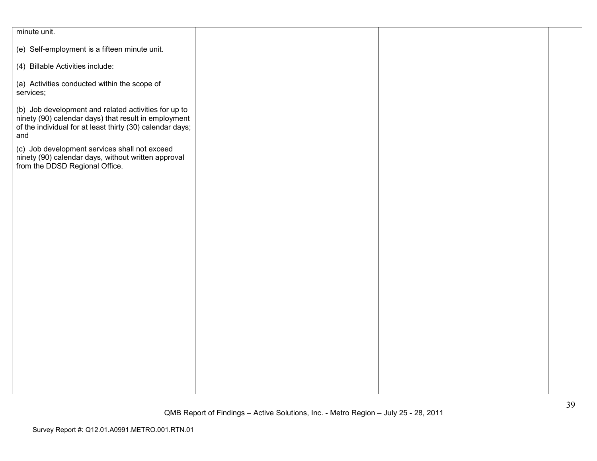| minute unit.                                                                                                                                                                     |  |  |
|----------------------------------------------------------------------------------------------------------------------------------------------------------------------------------|--|--|
| (e) Self-employment is a fifteen minute unit.                                                                                                                                    |  |  |
| (4) Billable Activities include:                                                                                                                                                 |  |  |
| (a) Activities conducted within the scope of<br>services;                                                                                                                        |  |  |
| (b) Job development and related activities for up to<br>ninety (90) calendar days) that result in employment<br>of the individual for at least thirty (30) calendar days;<br>and |  |  |
| (c) Job development services shall not exceed<br>ninety (90) calendar days, without written approval<br>from the DDSD Regional Office.                                           |  |  |
|                                                                                                                                                                                  |  |  |
|                                                                                                                                                                                  |  |  |
|                                                                                                                                                                                  |  |  |
|                                                                                                                                                                                  |  |  |
|                                                                                                                                                                                  |  |  |
|                                                                                                                                                                                  |  |  |
|                                                                                                                                                                                  |  |  |
|                                                                                                                                                                                  |  |  |
|                                                                                                                                                                                  |  |  |
|                                                                                                                                                                                  |  |  |
|                                                                                                                                                                                  |  |  |
|                                                                                                                                                                                  |  |  |
|                                                                                                                                                                                  |  |  |
|                                                                                                                                                                                  |  |  |
|                                                                                                                                                                                  |  |  |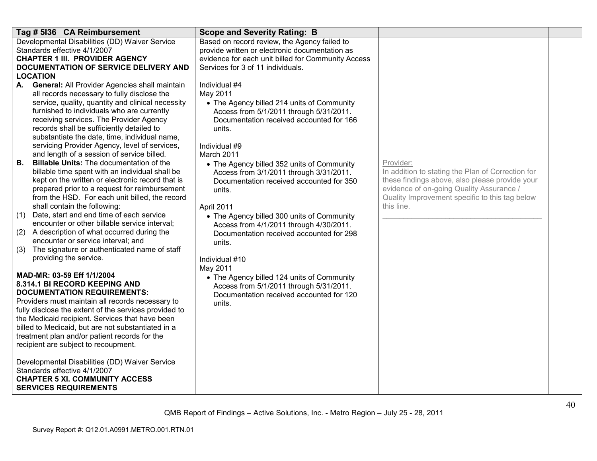|                 | Tag # 5136 CA Reimbursement                                                                         | <b>Scope and Severity Rating: B</b>                                                 |                                                                                                     |  |
|-----------------|-----------------------------------------------------------------------------------------------------|-------------------------------------------------------------------------------------|-----------------------------------------------------------------------------------------------------|--|
|                 | Developmental Disabilities (DD) Waiver Service                                                      | Based on record review, the Agency failed to                                        |                                                                                                     |  |
|                 | Standards effective 4/1/2007                                                                        | provide written or electronic documentation as                                      |                                                                                                     |  |
|                 | <b>CHAPTER 1 III. PROVIDER AGENCY</b>                                                               | evidence for each unit billed for Community Access                                  |                                                                                                     |  |
| <b>LOCATION</b> | <b>DOCUMENTATION OF SERVICE DELIVERY AND</b>                                                        | Services for 3 of 11 individuals.                                                   |                                                                                                     |  |
| А.              | <b>General: All Provider Agencies shall maintain</b>                                                | Individual #4                                                                       |                                                                                                     |  |
|                 | all records necessary to fully disclose the                                                         | May 2011                                                                            |                                                                                                     |  |
|                 | service, quality, quantity and clinical necessity                                                   | • The Agency billed 214 units of Community                                          |                                                                                                     |  |
|                 | furnished to individuals who are currently                                                          | Access from 5/1/2011 through 5/31/2011.                                             |                                                                                                     |  |
|                 | receiving services. The Provider Agency                                                             | Documentation received accounted for 166                                            |                                                                                                     |  |
|                 | records shall be sufficiently detailed to                                                           | units.                                                                              |                                                                                                     |  |
|                 | substantiate the date, time, individual name,                                                       |                                                                                     |                                                                                                     |  |
|                 | servicing Provider Agency, level of services,                                                       | Individual #9                                                                       |                                                                                                     |  |
|                 | and length of a session of service billed.                                                          | March 2011                                                                          |                                                                                                     |  |
| В.              | <b>Billable Units: The documentation of the</b>                                                     | • The Agency billed 352 units of Community                                          | Provider:                                                                                           |  |
|                 | billable time spent with an individual shall be<br>kept on the written or electronic record that is | Access from 3/1/2011 through 3/31/2011.                                             | In addition to stating the Plan of Correction for<br>these findings above, also please provide your |  |
|                 | prepared prior to a request for reimbursement                                                       | Documentation received accounted for 350<br>units.                                  | evidence of on-going Quality Assurance /                                                            |  |
|                 | from the HSD. For each unit billed, the record                                                      |                                                                                     | Quality Improvement specific to this tag below                                                      |  |
|                 | shall contain the following:                                                                        | April 2011                                                                          | this line.                                                                                          |  |
| (1)             | Date, start and end time of each service                                                            | • The Agency billed 300 units of Community                                          |                                                                                                     |  |
|                 | encounter or other billable service interval;                                                       | Access from 4/1/2011 through 4/30/2011.                                             |                                                                                                     |  |
| (2)             | A description of what occurred during the                                                           | Documentation received accounted for 298                                            |                                                                                                     |  |
|                 | encounter or service interval; and                                                                  | units.                                                                              |                                                                                                     |  |
| (3)             | The signature or authenticated name of staff                                                        |                                                                                     |                                                                                                     |  |
|                 | providing the service.                                                                              | Individual #10                                                                      |                                                                                                     |  |
|                 | MAD-MR: 03-59 Eff 1/1/2004                                                                          | May 2011                                                                            |                                                                                                     |  |
|                 | 8.314.1 BI RECORD KEEPING AND                                                                       | • The Agency billed 124 units of Community                                          |                                                                                                     |  |
|                 | <b>DOCUMENTATION REQUIREMENTS:</b>                                                                  | Access from 5/1/2011 through 5/31/2011.<br>Documentation received accounted for 120 |                                                                                                     |  |
|                 | Providers must maintain all records necessary to                                                    | units.                                                                              |                                                                                                     |  |
|                 | fully disclose the extent of the services provided to                                               |                                                                                     |                                                                                                     |  |
|                 | the Medicaid recipient. Services that have been                                                     |                                                                                     |                                                                                                     |  |
|                 | billed to Medicaid, but are not substantiated in a                                                  |                                                                                     |                                                                                                     |  |
|                 | treatment plan and/or patient records for the                                                       |                                                                                     |                                                                                                     |  |
|                 | recipient are subject to recoupment.                                                                |                                                                                     |                                                                                                     |  |
|                 | Developmental Disabilities (DD) Waiver Service                                                      |                                                                                     |                                                                                                     |  |
|                 | Standards effective 4/1/2007                                                                        |                                                                                     |                                                                                                     |  |
|                 | <b>CHAPTER 5 XI. COMMUNITY ACCESS</b>                                                               |                                                                                     |                                                                                                     |  |
|                 | <b>SERVICES REQUIREMENTS</b>                                                                        |                                                                                     |                                                                                                     |  |
|                 |                                                                                                     |                                                                                     |                                                                                                     |  |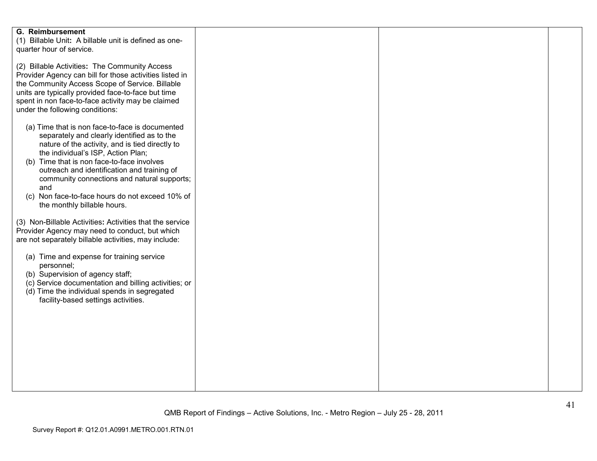| <b>G. Reimbursement</b><br>(1) Billable Unit: A billable unit is defined as one-<br>quarter hour of service.                                                                                                                                                                                                                                                                                                                 |  |  |
|------------------------------------------------------------------------------------------------------------------------------------------------------------------------------------------------------------------------------------------------------------------------------------------------------------------------------------------------------------------------------------------------------------------------------|--|--|
| (2) Billable Activities: The Community Access<br>Provider Agency can bill for those activities listed in<br>the Community Access Scope of Service. Billable<br>units are typically provided face-to-face but time<br>spent in non face-to-face activity may be claimed<br>under the following conditions:                                                                                                                    |  |  |
| (a) Time that is non face-to-face is documented<br>separately and clearly identified as to the<br>nature of the activity, and is tied directly to<br>the individual's ISP, Action Plan;<br>(b) Time that is non face-to-face involves<br>outreach and identification and training of<br>community connections and natural supports;<br>and<br>(c) Non face-to-face hours do not exceed 10% of<br>the monthly billable hours. |  |  |
| (3) Non-Billable Activities: Activities that the service<br>Provider Agency may need to conduct, but which<br>are not separately billable activities, may include:                                                                                                                                                                                                                                                           |  |  |
| (a) Time and expense for training service<br>personnel;<br>(b) Supervision of agency staff;<br>(c) Service documentation and billing activities; or<br>(d) Time the individual spends in segregated<br>facility-based settings activities.                                                                                                                                                                                   |  |  |
|                                                                                                                                                                                                                                                                                                                                                                                                                              |  |  |
|                                                                                                                                                                                                                                                                                                                                                                                                                              |  |  |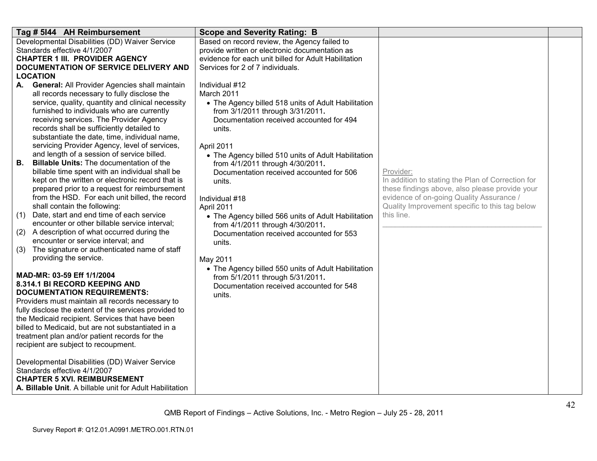| Tag # 5144 AH Reimbursement                                                                     | <b>Scope and Severity Rating: B</b>                                          |                                                   |  |
|-------------------------------------------------------------------------------------------------|------------------------------------------------------------------------------|---------------------------------------------------|--|
| Developmental Disabilities (DD) Waiver Service                                                  | Based on record review, the Agency failed to                                 |                                                   |  |
| Standards effective 4/1/2007                                                                    | provide written or electronic documentation as                               |                                                   |  |
| <b>CHAPTER 1 III. PROVIDER AGENCY</b>                                                           | evidence for each unit billed for Adult Habilitation                         |                                                   |  |
| DOCUMENTATION OF SERVICE DELIVERY AND                                                           | Services for 2 of 7 individuals.                                             |                                                   |  |
| <b>LOCATION</b>                                                                                 |                                                                              |                                                   |  |
| A. General: All Provider Agencies shall maintain                                                | Individual #12                                                               |                                                   |  |
| all records necessary to fully disclose the                                                     | March 2011                                                                   |                                                   |  |
| service, quality, quantity and clinical necessity<br>furnished to individuals who are currently | • The Agency billed 518 units of Adult Habilitation                          |                                                   |  |
| receiving services. The Provider Agency                                                         | from 3/1/2011 through 3/31/2011.<br>Documentation received accounted for 494 |                                                   |  |
| records shall be sufficiently detailed to                                                       | units.                                                                       |                                                   |  |
| substantiate the date, time, individual name,                                                   |                                                                              |                                                   |  |
| servicing Provider Agency, level of services,                                                   | April 2011                                                                   |                                                   |  |
| and length of a session of service billed.                                                      | • The Agency billed 510 units of Adult Habilitation                          |                                                   |  |
| <b>B.</b><br><b>Billable Units: The documentation of the</b>                                    | from 4/1/2011 through 4/30/2011.                                             |                                                   |  |
| billable time spent with an individual shall be                                                 | Documentation received accounted for 506                                     | Provider:                                         |  |
| kept on the written or electronic record that is                                                | units.                                                                       | In addition to stating the Plan of Correction for |  |
| prepared prior to a request for reimbursement                                                   |                                                                              | these findings above, also please provide your    |  |
| from the HSD. For each unit billed, the record                                                  | Individual #18                                                               | evidence of on-going Quality Assurance /          |  |
| shall contain the following:                                                                    | April 2011                                                                   | Quality Improvement specific to this tag below    |  |
| Date, start and end time of each service<br>(1)                                                 | • The Agency billed 566 units of Adult Habilitation                          | this line.                                        |  |
| encounter or other billable service interval;                                                   | from 4/1/2011 through 4/30/2011.                                             |                                                   |  |
| (2)<br>A description of what occurred during the                                                | Documentation received accounted for 553                                     |                                                   |  |
| encounter or service interval; and                                                              | units.                                                                       |                                                   |  |
| The signature or authenticated name of staff<br>(3)<br>providing the service.                   |                                                                              |                                                   |  |
|                                                                                                 | May 2011                                                                     |                                                   |  |
| MAD-MR: 03-59 Eff 1/1/2004                                                                      | • The Agency billed 550 units of Adult Habilitation                          |                                                   |  |
| 8.314.1 BI RECORD KEEPING AND                                                                   | from 5/1/2011 through 5/31/2011.<br>Documentation received accounted for 548 |                                                   |  |
| <b>DOCUMENTATION REQUIREMENTS:</b>                                                              | units.                                                                       |                                                   |  |
| Providers must maintain all records necessary to                                                |                                                                              |                                                   |  |
| fully disclose the extent of the services provided to                                           |                                                                              |                                                   |  |
| the Medicaid recipient. Services that have been                                                 |                                                                              |                                                   |  |
| billed to Medicaid, but are not substantiated in a                                              |                                                                              |                                                   |  |
| treatment plan and/or patient records for the                                                   |                                                                              |                                                   |  |
| recipient are subject to recoupment.                                                            |                                                                              |                                                   |  |
|                                                                                                 |                                                                              |                                                   |  |
| Developmental Disabilities (DD) Waiver Service<br>Standards effective 4/1/2007                  |                                                                              |                                                   |  |
| <b>CHAPTER 5 XVI. REIMBURSEMENT</b>                                                             |                                                                              |                                                   |  |
| A. Billable Unit. A billable unit for Adult Habilitation                                        |                                                                              |                                                   |  |
|                                                                                                 |                                                                              |                                                   |  |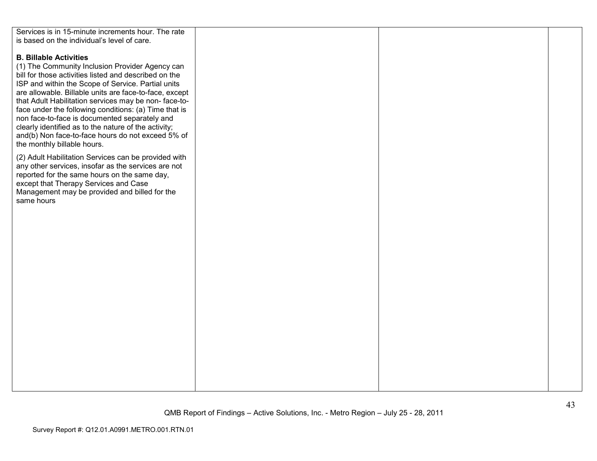| Services is in 15-minute increments hour. The rate     |  |  |
|--------------------------------------------------------|--|--|
| is based on the individual's level of care.            |  |  |
|                                                        |  |  |
|                                                        |  |  |
| <b>B. Billable Activities</b>                          |  |  |
| (1) The Community Inclusion Provider Agency can        |  |  |
| bill for those activities listed and described on the  |  |  |
|                                                        |  |  |
| ISP and within the Scope of Service. Partial units     |  |  |
| are allowable. Billable units are face-to-face, except |  |  |
| that Adult Habilitation services may be non-face-to-   |  |  |
| face under the following conditions: (a) Time that is  |  |  |
| non face-to-face is documented separately and          |  |  |
|                                                        |  |  |
| clearly identified as to the nature of the activity;   |  |  |
| and(b) Non face-to-face hours do not exceed 5% of      |  |  |
| the monthly billable hours.                            |  |  |
|                                                        |  |  |
| (2) Adult Habilitation Services can be provided with   |  |  |
| any other services, insofar as the services are not    |  |  |
| reported for the same hours on the same day,           |  |  |
| except that Therapy Services and Case                  |  |  |
|                                                        |  |  |
| Management may be provided and billed for the          |  |  |
| same hours                                             |  |  |
|                                                        |  |  |
|                                                        |  |  |
|                                                        |  |  |
|                                                        |  |  |
|                                                        |  |  |
|                                                        |  |  |
|                                                        |  |  |
|                                                        |  |  |
|                                                        |  |  |
|                                                        |  |  |
|                                                        |  |  |
|                                                        |  |  |
|                                                        |  |  |
|                                                        |  |  |
|                                                        |  |  |
|                                                        |  |  |
|                                                        |  |  |
|                                                        |  |  |
|                                                        |  |  |
|                                                        |  |  |
|                                                        |  |  |
|                                                        |  |  |
|                                                        |  |  |
|                                                        |  |  |
|                                                        |  |  |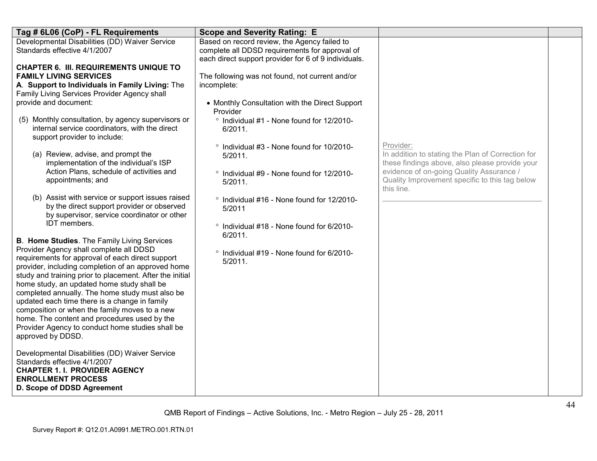| Tag # 6L06 (CoP) - FL Requirements                                                                                                                                                                                                                                                                                                                                                                                                                                                                                                        | <b>Scope and Severity Rating: E</b>                                                                                                                    |                                                                                                                  |  |
|-------------------------------------------------------------------------------------------------------------------------------------------------------------------------------------------------------------------------------------------------------------------------------------------------------------------------------------------------------------------------------------------------------------------------------------------------------------------------------------------------------------------------------------------|--------------------------------------------------------------------------------------------------------------------------------------------------------|------------------------------------------------------------------------------------------------------------------|--|
| Developmental Disabilities (DD) Waiver Service<br>Standards effective 4/1/2007                                                                                                                                                                                                                                                                                                                                                                                                                                                            | Based on record review, the Agency failed to<br>complete all DDSD requirements for approval of<br>each direct support provider for 6 of 9 individuals. |                                                                                                                  |  |
| <b>CHAPTER 6. III. REQUIREMENTS UNIQUE TO</b><br><b>FAMILY LIVING SERVICES</b><br>A. Support to Individuals in Family Living: The<br>Family Living Services Provider Agency shall                                                                                                                                                                                                                                                                                                                                                         | The following was not found, not current and/or<br>incomplete:                                                                                         |                                                                                                                  |  |
| provide and document:                                                                                                                                                                                                                                                                                                                                                                                                                                                                                                                     | • Monthly Consultation with the Direct Support<br>Provider                                                                                             |                                                                                                                  |  |
| (5) Monthly consultation, by agency supervisors or<br>internal service coordinators, with the direct<br>support provider to include:                                                                                                                                                                                                                                                                                                                                                                                                      | ° Individual #1 - None found for 12/2010-<br>6/2011.                                                                                                   |                                                                                                                  |  |
| (a) Review, advise, and prompt the<br>implementation of the individual's ISP                                                                                                                                                                                                                                                                                                                                                                                                                                                              | ° Individual #3 - None found for 10/2010-<br>5/2011.                                                                                                   | Provider:<br>In addition to stating the Plan of Correction for<br>these findings above, also please provide your |  |
| Action Plans, schedule of activities and<br>appointments; and                                                                                                                                                                                                                                                                                                                                                                                                                                                                             | ° Individual #9 - None found for 12/2010-<br>5/2011.                                                                                                   | evidence of on-going Quality Assurance /<br>Quality Improvement specific to this tag below<br>this line.         |  |
| (b) Assist with service or support issues raised<br>by the direct support provider or observed<br>by supervisor, service coordinator or other                                                                                                                                                                                                                                                                                                                                                                                             | ° Individual #16 - None found for 12/2010-<br>5/2011                                                                                                   |                                                                                                                  |  |
| IDT members.<br><b>B. Home Studies.</b> The Family Living Services                                                                                                                                                                                                                                                                                                                                                                                                                                                                        | ° Individual #18 - None found for 6/2010-<br>6/2011.                                                                                                   |                                                                                                                  |  |
| Provider Agency shall complete all DDSD<br>requirements for approval of each direct support<br>provider, including completion of an approved home<br>study and training prior to placement. After the initial<br>home study, an updated home study shall be<br>completed annually. The home study must also be<br>updated each time there is a change in family<br>composition or when the family moves to a new<br>home. The content and procedures used by the<br>Provider Agency to conduct home studies shall be<br>approved by DDSD. | ° Individual #19 - None found for 6/2010-<br>5/2011.                                                                                                   |                                                                                                                  |  |
| Developmental Disabilities (DD) Waiver Service<br>Standards effective 4/1/2007<br><b>CHAPTER 1. I. PROVIDER AGENCY</b><br><b>ENROLLMENT PROCESS</b><br>D. Scope of DDSD Agreement                                                                                                                                                                                                                                                                                                                                                         |                                                                                                                                                        |                                                                                                                  |  |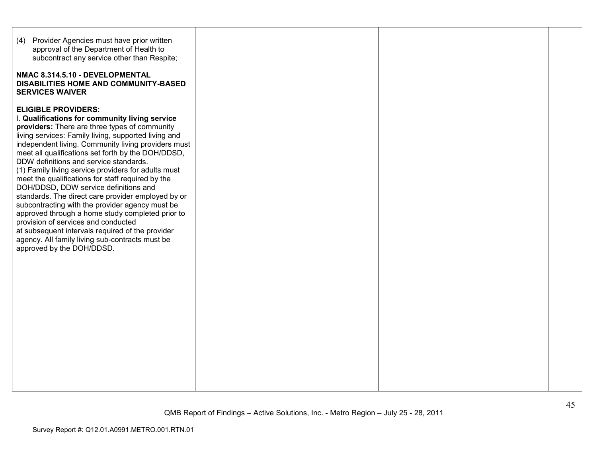| (4) Provider Agencies must have prior written<br>approval of the Department of Health to<br>subcontract any service other than Respite;<br>NMAC 8.314.5.10 - DEVELOPMENTAL<br>DISABILITIES HOME AND COMMUNITY-BASED<br><b>SERVICES WAIVER</b>                                                                                                                                                                                                                                                                                                                                                                                                                                                                                                                                                                                             |  |  |
|-------------------------------------------------------------------------------------------------------------------------------------------------------------------------------------------------------------------------------------------------------------------------------------------------------------------------------------------------------------------------------------------------------------------------------------------------------------------------------------------------------------------------------------------------------------------------------------------------------------------------------------------------------------------------------------------------------------------------------------------------------------------------------------------------------------------------------------------|--|--|
| <b>ELIGIBLE PROVIDERS:</b><br>I. Qualifications for community living service<br>providers: There are three types of community<br>living services: Family living, supported living and<br>independent living. Community living providers must<br>meet all qualifications set forth by the DOH/DDSD,<br>DDW definitions and service standards.<br>(1) Family living service providers for adults must<br>meet the qualifications for staff required by the<br>DOH/DDSD, DDW service definitions and<br>standards. The direct care provider employed by or<br>subcontracting with the provider agency must be<br>approved through a home study completed prior to<br>provision of services and conducted<br>at subsequent intervals required of the provider<br>agency. All family living sub-contracts must be<br>approved by the DOH/DDSD. |  |  |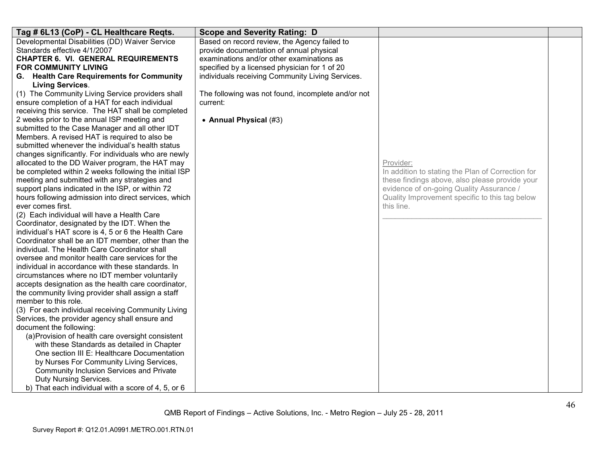| Tag # 6L13 (CoP) - CL Healthcare Reqts.               | <b>Scope and Severity Rating: D</b>                |                                                   |  |
|-------------------------------------------------------|----------------------------------------------------|---------------------------------------------------|--|
| Developmental Disabilities (DD) Waiver Service        | Based on record review, the Agency failed to       |                                                   |  |
| Standards effective 4/1/2007                          | provide documentation of annual physical           |                                                   |  |
| <b>CHAPTER 6. VI. GENERAL REQUIREMENTS</b>            | examinations and/or other examinations as          |                                                   |  |
| FOR COMMUNITY LIVING                                  | specified by a licensed physician for 1 of 20      |                                                   |  |
| G. Health Care Requirements for Community             | individuals receiving Community Living Services.   |                                                   |  |
| <b>Living Services.</b>                               |                                                    |                                                   |  |
| (1) The Community Living Service providers shall      | The following was not found, incomplete and/or not |                                                   |  |
| ensure completion of a HAT for each individual        | current:                                           |                                                   |  |
| receiving this service. The HAT shall be completed    |                                                    |                                                   |  |
| 2 weeks prior to the annual ISP meeting and           | • Annual Physical (#3)                             |                                                   |  |
| submitted to the Case Manager and all other IDT       |                                                    |                                                   |  |
| Members. A revised HAT is required to also be         |                                                    |                                                   |  |
| submitted whenever the individual's health status     |                                                    |                                                   |  |
| changes significantly. For individuals who are newly  |                                                    |                                                   |  |
| allocated to the DD Waiver program, the HAT may       |                                                    | Provider:                                         |  |
| be completed within 2 weeks following the initial ISP |                                                    | In addition to stating the Plan of Correction for |  |
| meeting and submitted with any strategies and         |                                                    | these findings above, also please provide your    |  |
| support plans indicated in the ISP, or within 72      |                                                    | evidence of on-going Quality Assurance /          |  |
| hours following admission into direct services, which |                                                    | Quality Improvement specific to this tag below    |  |
| ever comes first.                                     |                                                    | this line.                                        |  |
| (2) Each individual will have a Health Care           |                                                    |                                                   |  |
| Coordinator, designated by the IDT. When the          |                                                    |                                                   |  |
| individual's HAT score is 4, 5 or 6 the Health Care   |                                                    |                                                   |  |
| Coordinator shall be an IDT member, other than the    |                                                    |                                                   |  |
| individual. The Health Care Coordinator shall         |                                                    |                                                   |  |
| oversee and monitor health care services for the      |                                                    |                                                   |  |
| individual in accordance with these standards. In     |                                                    |                                                   |  |
| circumstances where no IDT member voluntarily         |                                                    |                                                   |  |
| accepts designation as the health care coordinator,   |                                                    |                                                   |  |
| the community living provider shall assign a staff    |                                                    |                                                   |  |
| member to this role.                                  |                                                    |                                                   |  |
| (3) For each individual receiving Community Living    |                                                    |                                                   |  |
| Services, the provider agency shall ensure and        |                                                    |                                                   |  |
| document the following:                               |                                                    |                                                   |  |
| (a) Provision of health care oversight consistent     |                                                    |                                                   |  |
| with these Standards as detailed in Chapter           |                                                    |                                                   |  |
| One section III E: Healthcare Documentation           |                                                    |                                                   |  |
| by Nurses For Community Living Services,              |                                                    |                                                   |  |
| Community Inclusion Services and Private              |                                                    |                                                   |  |
| Duty Nursing Services.                                |                                                    |                                                   |  |
| b) That each individual with a score of 4, 5, or 6    |                                                    |                                                   |  |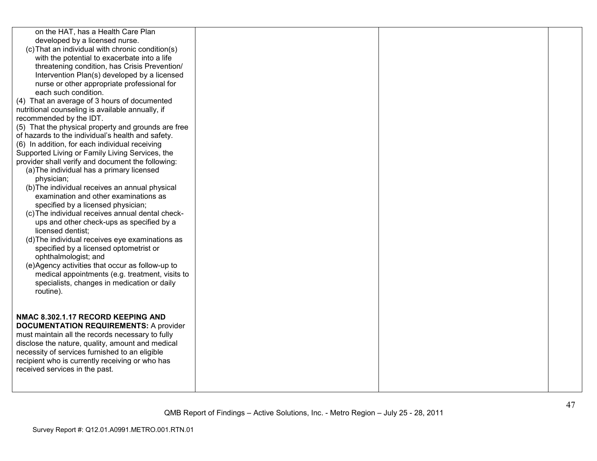| on the HAT, has a Health Care Plan<br>developed by a licensed nurse.<br>(c) That an individual with chronic condition(s)<br>with the potential to exacerbate into a life<br>threatening condition, has Crisis Prevention/<br>Intervention Plan(s) developed by a licensed<br>nurse or other appropriate professional for<br>each such condition.                                                                                                                                                                                                                                                                                                                                                                                                                |  |  |
|-----------------------------------------------------------------------------------------------------------------------------------------------------------------------------------------------------------------------------------------------------------------------------------------------------------------------------------------------------------------------------------------------------------------------------------------------------------------------------------------------------------------------------------------------------------------------------------------------------------------------------------------------------------------------------------------------------------------------------------------------------------------|--|--|
| (4) That an average of 3 hours of documented<br>nutritional counseling is available annually, if<br>recommended by the IDT.<br>(5) That the physical property and grounds are free<br>of hazards to the individual's health and safety.                                                                                                                                                                                                                                                                                                                                                                                                                                                                                                                         |  |  |
| (6) In addition, for each individual receiving<br>Supported Living or Family Living Services, the<br>provider shall verify and document the following:<br>(a) The individual has a primary licensed<br>physician;<br>(b) The individual receives an annual physical<br>examination and other examinations as<br>specified by a licensed physician;<br>(c) The individual receives annual dental check-<br>ups and other check-ups as specified by a<br>licensed dentist:<br>(d) The individual receives eye examinations as<br>specified by a licensed optometrist or<br>ophthalmologist; and<br>(e)Agency activities that occur as follow-up to<br>medical appointments (e.g. treatment, visits to<br>specialists, changes in medication or daily<br>routine). |  |  |
| NMAC 8.302.1.17 RECORD KEEPING AND<br><b>DOCUMENTATION REQUIREMENTS: A provider</b><br>must maintain all the records necessary to fully<br>disclose the nature, quality, amount and medical<br>necessity of services furnished to an eligible<br>recipient who is currently receiving or who has<br>received services in the past.                                                                                                                                                                                                                                                                                                                                                                                                                              |  |  |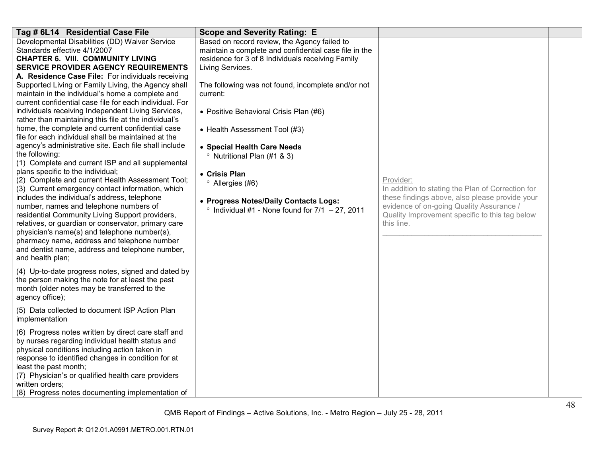| Tag # 6L14 Residential Case File                                                                                                                                                                                                                                                                                                                                                                                                                                                                                                                                                                                                                                                                                                                                                                                                                                                                                                                                                                                                                                                                                                                                                                                                                                                      | <b>Scope and Severity Rating: E</b>                                                                                                                                                                                                                                                                                                                                                                                                                                                                                                                      |                                                                                                                                                                                                                              |  |
|---------------------------------------------------------------------------------------------------------------------------------------------------------------------------------------------------------------------------------------------------------------------------------------------------------------------------------------------------------------------------------------------------------------------------------------------------------------------------------------------------------------------------------------------------------------------------------------------------------------------------------------------------------------------------------------------------------------------------------------------------------------------------------------------------------------------------------------------------------------------------------------------------------------------------------------------------------------------------------------------------------------------------------------------------------------------------------------------------------------------------------------------------------------------------------------------------------------------------------------------------------------------------------------|----------------------------------------------------------------------------------------------------------------------------------------------------------------------------------------------------------------------------------------------------------------------------------------------------------------------------------------------------------------------------------------------------------------------------------------------------------------------------------------------------------------------------------------------------------|------------------------------------------------------------------------------------------------------------------------------------------------------------------------------------------------------------------------------|--|
| Developmental Disabilities (DD) Waiver Service<br>Standards effective 4/1/2007<br><b>CHAPTER 6. VIII. COMMUNITY LIVING</b><br><b>SERVICE PROVIDER AGENCY REQUIREMENTS</b><br>A. Residence Case File: For individuals receiving<br>Supported Living or Family Living, the Agency shall<br>maintain in the individual's home a complete and<br>current confidential case file for each individual. For<br>individuals receiving Independent Living Services,<br>rather than maintaining this file at the individual's<br>home, the complete and current confidential case<br>file for each individual shall be maintained at the<br>agency's administrative site. Each file shall include<br>the following:<br>(1) Complete and current ISP and all supplemental<br>plans specific to the individual;<br>(2) Complete and current Health Assessment Tool;<br>(3) Current emergency contact information, which<br>includes the individual's address, telephone<br>number, names and telephone numbers of<br>residential Community Living Support providers,<br>relatives, or guardian or conservator, primary care<br>physician's name(s) and telephone number(s),<br>pharmacy name, address and telephone number<br>and dentist name, address and telephone number,<br>and health plan; | Based on record review, the Agency failed to<br>maintain a complete and confidential case file in the<br>residence for 3 of 8 Individuals receiving Family<br>Living Services.<br>The following was not found, incomplete and/or not<br>current:<br>• Positive Behavioral Crisis Plan (#6)<br>• Health Assessment Tool (#3)<br>• Special Health Care Needs<br><sup>o</sup> Nutritional Plan (#1 & 3)<br>• Crisis Plan<br><sup>o</sup> Allergies (#6)<br>• Progress Notes/Daily Contacts Logs:<br>$\degree$ Individual #1 - None found for 7/1 - 27, 2011 | Provider:<br>In addition to stating the Plan of Correction for<br>these findings above, also please provide your<br>evidence of on-going Quality Assurance /<br>Quality Improvement specific to this tag below<br>this line. |  |
| (4) Up-to-date progress notes, signed and dated by<br>the person making the note for at least the past<br>month (older notes may be transferred to the<br>agency office);                                                                                                                                                                                                                                                                                                                                                                                                                                                                                                                                                                                                                                                                                                                                                                                                                                                                                                                                                                                                                                                                                                             |                                                                                                                                                                                                                                                                                                                                                                                                                                                                                                                                                          |                                                                                                                                                                                                                              |  |
| (5) Data collected to document ISP Action Plan<br>implementation                                                                                                                                                                                                                                                                                                                                                                                                                                                                                                                                                                                                                                                                                                                                                                                                                                                                                                                                                                                                                                                                                                                                                                                                                      |                                                                                                                                                                                                                                                                                                                                                                                                                                                                                                                                                          |                                                                                                                                                                                                                              |  |
| (6) Progress notes written by direct care staff and<br>by nurses regarding individual health status and<br>physical conditions including action taken in<br>response to identified changes in condition for at<br>least the past month;<br>(7) Physician's or qualified health care providers<br>written orders;<br>(8) Progress notes documenting implementation of                                                                                                                                                                                                                                                                                                                                                                                                                                                                                                                                                                                                                                                                                                                                                                                                                                                                                                                  |                                                                                                                                                                                                                                                                                                                                                                                                                                                                                                                                                          |                                                                                                                                                                                                                              |  |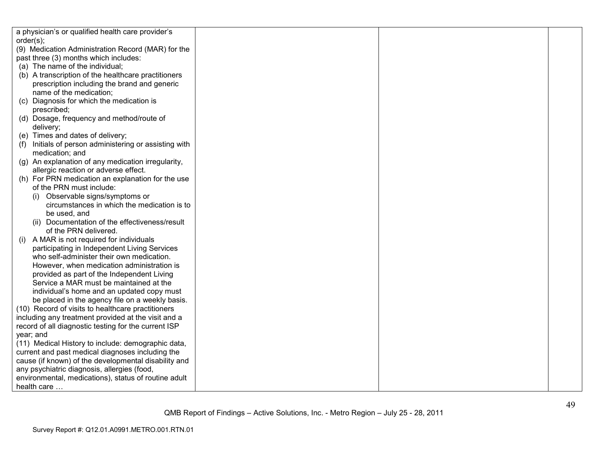| a physician's or qualified health care provider's         |  |  |
|-----------------------------------------------------------|--|--|
| order(s);                                                 |  |  |
| (9) Medication Administration Record (MAR) for the        |  |  |
| past three (3) months which includes:                     |  |  |
| (a) The name of the individual;                           |  |  |
| (b) A transcription of the healthcare practitioners       |  |  |
| prescription including the brand and generic              |  |  |
| name of the medication;                                   |  |  |
| (c) Diagnosis for which the medication is                 |  |  |
| prescribed;                                               |  |  |
| (d) Dosage, frequency and method/route of                 |  |  |
| delivery;                                                 |  |  |
| (e) Times and dates of delivery;                          |  |  |
| Initials of person administering or assisting with<br>(f) |  |  |
| medication; and                                           |  |  |
| (g) An explanation of any medication irregularity,        |  |  |
| allergic reaction or adverse effect.                      |  |  |
| (h) For PRN medication an explanation for the use         |  |  |
| of the PRN must include:                                  |  |  |
| Observable signs/symptoms or                              |  |  |
| circumstances in which the medication is to               |  |  |
| be used, and                                              |  |  |
| (ii) Documentation of the effectiveness/result            |  |  |
| of the PRN delivered.                                     |  |  |
| A MAR is not required for individuals<br>(i)              |  |  |
| participating in Independent Living Services              |  |  |
| who self-administer their own medication.                 |  |  |
| However, when medication administration is                |  |  |
| provided as part of the Independent Living                |  |  |
| Service a MAR must be maintained at the                   |  |  |
| individual's home and an updated copy must                |  |  |
| be placed in the agency file on a weekly basis.           |  |  |
| (10) Record of visits to healthcare practitioners         |  |  |
| including any treatment provided at the visit and a       |  |  |
| record of all diagnostic testing for the current ISP      |  |  |
| year; and                                                 |  |  |
| (11) Medical History to include: demographic data,        |  |  |
| current and past medical diagnoses including the          |  |  |
| cause (if known) of the developmental disability and      |  |  |
| any psychiatric diagnosis, allergies (food,               |  |  |
| environmental, medications), status of routine adult      |  |  |
| health care                                               |  |  |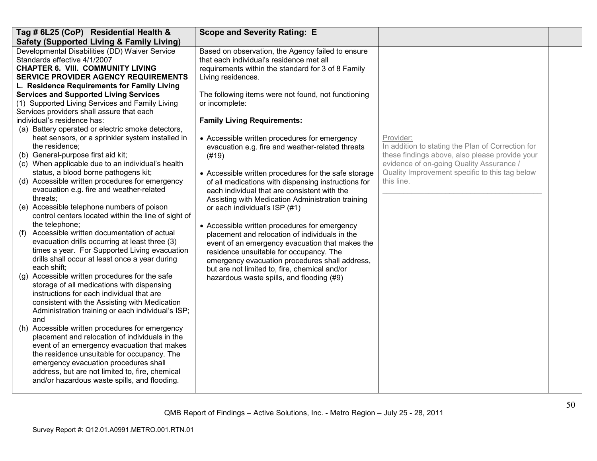| Tag # 6L25 (CoP) Residential Health &                                                                                                                                                                                                                                                                                                                                                                                                                                                                                                                                                                                                                                                                                                                                                                                                                                                                                                                                                                                                                                                                                                                                                                                                                                                                                                                                                                                                                                                                                                                                                                                                                     | <b>Scope and Severity Rating: E</b>                                                                                                                                                                                                                                                                                                                                                                                                                                                                                                                                                                                                                                                                                                                                                                                                                                                                                                                                                                          |                                                                                                                                                                                                                              |  |
|-----------------------------------------------------------------------------------------------------------------------------------------------------------------------------------------------------------------------------------------------------------------------------------------------------------------------------------------------------------------------------------------------------------------------------------------------------------------------------------------------------------------------------------------------------------------------------------------------------------------------------------------------------------------------------------------------------------------------------------------------------------------------------------------------------------------------------------------------------------------------------------------------------------------------------------------------------------------------------------------------------------------------------------------------------------------------------------------------------------------------------------------------------------------------------------------------------------------------------------------------------------------------------------------------------------------------------------------------------------------------------------------------------------------------------------------------------------------------------------------------------------------------------------------------------------------------------------------------------------------------------------------------------------|--------------------------------------------------------------------------------------------------------------------------------------------------------------------------------------------------------------------------------------------------------------------------------------------------------------------------------------------------------------------------------------------------------------------------------------------------------------------------------------------------------------------------------------------------------------------------------------------------------------------------------------------------------------------------------------------------------------------------------------------------------------------------------------------------------------------------------------------------------------------------------------------------------------------------------------------------------------------------------------------------------------|------------------------------------------------------------------------------------------------------------------------------------------------------------------------------------------------------------------------------|--|
| <b>Safety (Supported Living &amp; Family Living)</b><br>Developmental Disabilities (DD) Waiver Service<br>Standards effective 4/1/2007<br><b>CHAPTER 6. VIII. COMMUNITY LIVING</b><br><b>SERVICE PROVIDER AGENCY REQUIREMENTS</b><br>L. Residence Requirements for Family Living<br><b>Services and Supported Living Services</b><br>(1) Supported Living Services and Family Living<br>Services providers shall assure that each<br>individual's residence has:<br>(a) Battery operated or electric smoke detectors,<br>heat sensors, or a sprinkler system installed in<br>the residence;<br>(b) General-purpose first aid kit;<br>(c) When applicable due to an individual's health<br>status, a blood borne pathogens kit;<br>(d) Accessible written procedures for emergency<br>evacuation e.g. fire and weather-related<br>threats;<br>(e) Accessible telephone numbers of poison<br>control centers located within the line of sight of<br>the telephone;<br>Accessible written documentation of actual<br>(t)<br>evacuation drills occurring at least three (3)<br>times a year. For Supported Living evacuation<br>drills shall occur at least once a year during<br>each shift:<br>Accessible written procedures for the safe<br>(q)<br>storage of all medications with dispensing<br>instructions for each individual that are<br>consistent with the Assisting with Medication<br>Administration training or each individual's ISP;<br>and<br>(h) Accessible written procedures for emergency<br>placement and relocation of individuals in the<br>event of an emergency evacuation that makes<br>the residence unsuitable for occupancy. The | Based on observation, the Agency failed to ensure<br>that each individual's residence met all<br>requirements within the standard for 3 of 8 Family<br>Living residences.<br>The following items were not found, not functioning<br>or incomplete:<br><b>Family Living Requirements:</b><br>• Accessible written procedures for emergency<br>evacuation e.g. fire and weather-related threats<br>(#19)<br>• Accessible written procedures for the safe storage<br>of all medications with dispensing instructions for<br>each individual that are consistent with the<br>Assisting with Medication Administration training<br>or each individual's ISP (#1)<br>• Accessible written procedures for emergency<br>placement and relocation of individuals in the<br>event of an emergency evacuation that makes the<br>residence unsuitable for occupancy. The<br>emergency evacuation procedures shall address,<br>but are not limited to, fire, chemical and/or<br>hazardous waste spills, and flooding (#9) | Provider:<br>In addition to stating the Plan of Correction for<br>these findings above, also please provide your<br>evidence of on-going Quality Assurance /<br>Quality Improvement specific to this tag below<br>this line. |  |
| emergency evacuation procedures shall<br>address, but are not limited to, fire, chemical<br>and/or hazardous waste spills, and flooding.                                                                                                                                                                                                                                                                                                                                                                                                                                                                                                                                                                                                                                                                                                                                                                                                                                                                                                                                                                                                                                                                                                                                                                                                                                                                                                                                                                                                                                                                                                                  |                                                                                                                                                                                                                                                                                                                                                                                                                                                                                                                                                                                                                                                                                                                                                                                                                                                                                                                                                                                                              |                                                                                                                                                                                                                              |  |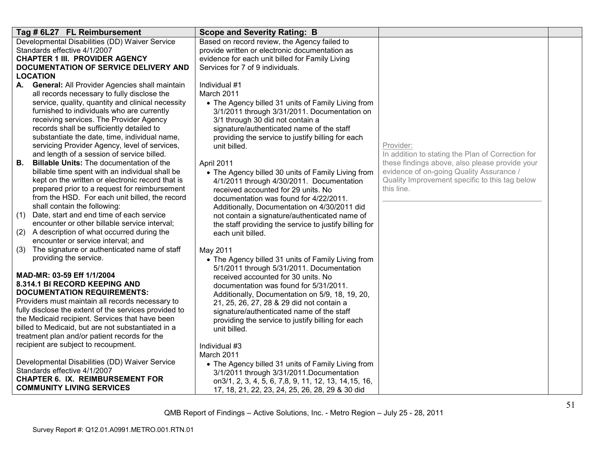| Tag # 6L27 FL Reimbursement                                                                       | <b>Scope and Severity Rating: B</b>                                                                  |                                                              |  |
|---------------------------------------------------------------------------------------------------|------------------------------------------------------------------------------------------------------|--------------------------------------------------------------|--|
| Developmental Disabilities (DD) Waiver Service                                                    | Based on record review, the Agency failed to                                                         |                                                              |  |
| Standards effective 4/1/2007                                                                      | provide written or electronic documentation as                                                       |                                                              |  |
| <b>CHAPTER 1 III. PROVIDER AGENCY</b>                                                             | evidence for each unit billed for Family Living                                                      |                                                              |  |
| DOCUMENTATION OF SERVICE DELIVERY AND<br><b>LOCATION</b>                                          | Services for 7 of 9 individuals.                                                                     |                                                              |  |
| A. General: All Provider Agencies shall maintain                                                  | Individual #1                                                                                        |                                                              |  |
| all records necessary to fully disclose the                                                       | March 2011                                                                                           |                                                              |  |
| service, quality, quantity and clinical necessity                                                 | • The Agency billed 31 units of Family Living from                                                   |                                                              |  |
| furnished to individuals who are currently                                                        | 3/1/2011 through 3/31/2011. Documentation on                                                         |                                                              |  |
| receiving services. The Provider Agency                                                           | 3/1 through 30 did not contain a                                                                     |                                                              |  |
| records shall be sufficiently detailed to                                                         | signature/authenticated name of the staff                                                            |                                                              |  |
| substantiate the date, time, individual name,                                                     | providing the service to justify billing for each                                                    |                                                              |  |
| servicing Provider Agency, level of services,                                                     | unit billed.                                                                                         | Provider:                                                    |  |
| and length of a session of service billed.                                                        |                                                                                                      | In addition to stating the Plan of Correction for            |  |
| <b>Billable Units: The documentation of the</b><br>В.                                             | April 2011                                                                                           | these findings above, also please provide your               |  |
| billable time spent with an individual shall be                                                   | • The Agency billed 30 units of Family Living from                                                   | evidence of on-going Quality Assurance /                     |  |
| kept on the written or electronic record that is<br>prepared prior to a request for reimbursement | 4/1/2011 through 4/30/2011. Documentation                                                            | Quality Improvement specific to this tag below<br>this line. |  |
| from the HSD. For each unit billed, the record                                                    | received accounted for 29 units. No<br>documentation was found for 4/22/2011.                        |                                                              |  |
| shall contain the following:                                                                      | Additionally, Documentation on 4/30/2011 did                                                         |                                                              |  |
| (1)<br>Date, start and end time of each service                                                   | not contain a signature/authenticated name of                                                        |                                                              |  |
| encounter or other billable service interval;                                                     | the staff providing the service to justify billing for                                               |                                                              |  |
| (2)<br>A description of what occurred during the                                                  | each unit billed.                                                                                    |                                                              |  |
| encounter or service interval; and                                                                |                                                                                                      |                                                              |  |
| (3)<br>The signature or authenticated name of staff                                               | May 2011                                                                                             |                                                              |  |
| providing the service.                                                                            | • The Agency billed 31 units of Family Living from                                                   |                                                              |  |
| MAD-MR: 03-59 Eff 1/1/2004                                                                        | 5/1/2011 through 5/31/2011. Documentation<br>received accounted for 30 units. No                     |                                                              |  |
| 8.314.1 BI RECORD KEEPING AND                                                                     | documentation was found for 5/31/2011.                                                               |                                                              |  |
| <b>DOCUMENTATION REQUIREMENTS:</b>                                                                | Additionally, Documentation on 5/9, 18, 19, 20,                                                      |                                                              |  |
| Providers must maintain all records necessary to                                                  | 21, 25, 26, 27, 28 & 29 did not contain a                                                            |                                                              |  |
| fully disclose the extent of the services provided to                                             | signature/authenticated name of the staff                                                            |                                                              |  |
| the Medicaid recipient. Services that have been                                                   | providing the service to justify billing for each                                                    |                                                              |  |
| billed to Medicaid, but are not substantiated in a                                                | unit billed.                                                                                         |                                                              |  |
| treatment plan and/or patient records for the                                                     |                                                                                                      |                                                              |  |
| recipient are subject to recoupment.                                                              | Individual #3                                                                                        |                                                              |  |
| Developmental Disabilities (DD) Waiver Service                                                    | March 2011                                                                                           |                                                              |  |
| Standards effective 4/1/2007                                                                      | • The Agency billed 31 units of Family Living from                                                   |                                                              |  |
| <b>CHAPTER 6. IX. REIMBURSEMENT FOR</b>                                                           | 3/1/2011 through 3/31/2011. Documentation<br>on 3/1, 2, 3, 4, 5, 6, 7, 8, 9, 11, 12, 13, 14, 15, 16, |                                                              |  |
| <b>COMMUNITY LIVING SERVICES</b>                                                                  | 17, 18, 21, 22, 23, 24, 25, 26, 28, 29 & 30 did                                                      |                                                              |  |
|                                                                                                   |                                                                                                      |                                                              |  |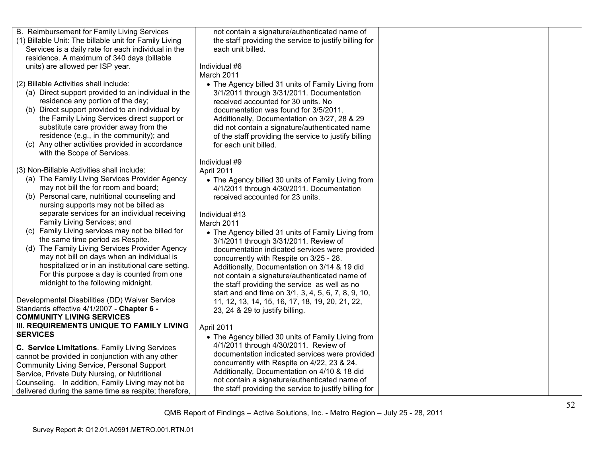| B. Reimbursement for Family Living Services<br>not contain a signature/authenticated name of<br>(1) Billable Unit: The billable unit for Family Living<br>the staff providing the service to justify billing for<br>each unit billed.<br>Services is a daily rate for each individual in the<br>residence. A maximum of 340 days (billable<br>units) are allowed per ISP year.<br>Individual #6<br>March 2011<br>(2) Billable Activities shall include:<br>• The Agency billed 31 units of Family Living from<br>(a) Direct support provided to an individual in the<br>3/1/2011 through 3/31/2011. Documentation<br>residence any portion of the day;<br>received accounted for 30 units. No<br>(b) Direct support provided to an individual by<br>documentation was found for 3/5/2011.<br>the Family Living Services direct support or<br>Additionally, Documentation on 3/27, 28 & 29<br>substitute care provider away from the<br>did not contain a signature/authenticated name<br>residence (e.g., in the community); and<br>of the staff providing the service to justify billing<br>(c) Any other activities provided in accordance<br>for each unit billed.<br>with the Scope of Services.<br>Individual #9<br>(3) Non-Billable Activities shall include:<br>April 2011<br>(a) The Family Living Services Provider Agency<br>• The Agency billed 30 units of Family Living from<br>may not bill the for room and board;<br>4/1/2011 through 4/30/2011. Documentation<br>(b) Personal care, nutritional counseling and<br>received accounted for 23 units.<br>nursing supports may not be billed as<br>separate services for an individual receiving<br>Individual #13<br>Family Living Services; and<br>March 2011<br>(c) Family Living services may not be billed for<br>• The Agency billed 31 units of Family Living from<br>the same time period as Respite.<br>3/1/2011 through 3/31/2011. Review of<br>(d) The Family Living Services Provider Agency<br>documentation indicated services were provided<br>may not bill on days when an individual is<br>concurrently with Respite on 3/25 - 28.<br>hospitalized or in an institutional care setting.<br>Additionally, Documentation on 3/14 & 19 did<br>For this purpose a day is counted from one<br>not contain a signature/authenticated name of<br>midnight to the following midnight.<br>the staff providing the service as well as no<br>start and end time on 3/1, 3, 4, 5, 6, 7, 8, 9, 10, |
|---------------------------------------------------------------------------------------------------------------------------------------------------------------------------------------------------------------------------------------------------------------------------------------------------------------------------------------------------------------------------------------------------------------------------------------------------------------------------------------------------------------------------------------------------------------------------------------------------------------------------------------------------------------------------------------------------------------------------------------------------------------------------------------------------------------------------------------------------------------------------------------------------------------------------------------------------------------------------------------------------------------------------------------------------------------------------------------------------------------------------------------------------------------------------------------------------------------------------------------------------------------------------------------------------------------------------------------------------------------------------------------------------------------------------------------------------------------------------------------------------------------------------------------------------------------------------------------------------------------------------------------------------------------------------------------------------------------------------------------------------------------------------------------------------------------------------------------------------------------------------------------------------------------------------------------------------------------------------------------------------------------------------------------------------------------------------------------------------------------------------------------------------------------------------------------------------------------------------------------------------------------------------------------------------------------------------------------------------------------------------------------------------------------------------------------------------------------------|
|                                                                                                                                                                                                                                                                                                                                                                                                                                                                                                                                                                                                                                                                                                                                                                                                                                                                                                                                                                                                                                                                                                                                                                                                                                                                                                                                                                                                                                                                                                                                                                                                                                                                                                                                                                                                                                                                                                                                                                                                                                                                                                                                                                                                                                                                                                                                                                                                                                                                     |
|                                                                                                                                                                                                                                                                                                                                                                                                                                                                                                                                                                                                                                                                                                                                                                                                                                                                                                                                                                                                                                                                                                                                                                                                                                                                                                                                                                                                                                                                                                                                                                                                                                                                                                                                                                                                                                                                                                                                                                                                                                                                                                                                                                                                                                                                                                                                                                                                                                                                     |
|                                                                                                                                                                                                                                                                                                                                                                                                                                                                                                                                                                                                                                                                                                                                                                                                                                                                                                                                                                                                                                                                                                                                                                                                                                                                                                                                                                                                                                                                                                                                                                                                                                                                                                                                                                                                                                                                                                                                                                                                                                                                                                                                                                                                                                                                                                                                                                                                                                                                     |
|                                                                                                                                                                                                                                                                                                                                                                                                                                                                                                                                                                                                                                                                                                                                                                                                                                                                                                                                                                                                                                                                                                                                                                                                                                                                                                                                                                                                                                                                                                                                                                                                                                                                                                                                                                                                                                                                                                                                                                                                                                                                                                                                                                                                                                                                                                                                                                                                                                                                     |
|                                                                                                                                                                                                                                                                                                                                                                                                                                                                                                                                                                                                                                                                                                                                                                                                                                                                                                                                                                                                                                                                                                                                                                                                                                                                                                                                                                                                                                                                                                                                                                                                                                                                                                                                                                                                                                                                                                                                                                                                                                                                                                                                                                                                                                                                                                                                                                                                                                                                     |
|                                                                                                                                                                                                                                                                                                                                                                                                                                                                                                                                                                                                                                                                                                                                                                                                                                                                                                                                                                                                                                                                                                                                                                                                                                                                                                                                                                                                                                                                                                                                                                                                                                                                                                                                                                                                                                                                                                                                                                                                                                                                                                                                                                                                                                                                                                                                                                                                                                                                     |
|                                                                                                                                                                                                                                                                                                                                                                                                                                                                                                                                                                                                                                                                                                                                                                                                                                                                                                                                                                                                                                                                                                                                                                                                                                                                                                                                                                                                                                                                                                                                                                                                                                                                                                                                                                                                                                                                                                                                                                                                                                                                                                                                                                                                                                                                                                                                                                                                                                                                     |
|                                                                                                                                                                                                                                                                                                                                                                                                                                                                                                                                                                                                                                                                                                                                                                                                                                                                                                                                                                                                                                                                                                                                                                                                                                                                                                                                                                                                                                                                                                                                                                                                                                                                                                                                                                                                                                                                                                                                                                                                                                                                                                                                                                                                                                                                                                                                                                                                                                                                     |
|                                                                                                                                                                                                                                                                                                                                                                                                                                                                                                                                                                                                                                                                                                                                                                                                                                                                                                                                                                                                                                                                                                                                                                                                                                                                                                                                                                                                                                                                                                                                                                                                                                                                                                                                                                                                                                                                                                                                                                                                                                                                                                                                                                                                                                                                                                                                                                                                                                                                     |
|                                                                                                                                                                                                                                                                                                                                                                                                                                                                                                                                                                                                                                                                                                                                                                                                                                                                                                                                                                                                                                                                                                                                                                                                                                                                                                                                                                                                                                                                                                                                                                                                                                                                                                                                                                                                                                                                                                                                                                                                                                                                                                                                                                                                                                                                                                                                                                                                                                                                     |
|                                                                                                                                                                                                                                                                                                                                                                                                                                                                                                                                                                                                                                                                                                                                                                                                                                                                                                                                                                                                                                                                                                                                                                                                                                                                                                                                                                                                                                                                                                                                                                                                                                                                                                                                                                                                                                                                                                                                                                                                                                                                                                                                                                                                                                                                                                                                                                                                                                                                     |
|                                                                                                                                                                                                                                                                                                                                                                                                                                                                                                                                                                                                                                                                                                                                                                                                                                                                                                                                                                                                                                                                                                                                                                                                                                                                                                                                                                                                                                                                                                                                                                                                                                                                                                                                                                                                                                                                                                                                                                                                                                                                                                                                                                                                                                                                                                                                                                                                                                                                     |
|                                                                                                                                                                                                                                                                                                                                                                                                                                                                                                                                                                                                                                                                                                                                                                                                                                                                                                                                                                                                                                                                                                                                                                                                                                                                                                                                                                                                                                                                                                                                                                                                                                                                                                                                                                                                                                                                                                                                                                                                                                                                                                                                                                                                                                                                                                                                                                                                                                                                     |
|                                                                                                                                                                                                                                                                                                                                                                                                                                                                                                                                                                                                                                                                                                                                                                                                                                                                                                                                                                                                                                                                                                                                                                                                                                                                                                                                                                                                                                                                                                                                                                                                                                                                                                                                                                                                                                                                                                                                                                                                                                                                                                                                                                                                                                                                                                                                                                                                                                                                     |
|                                                                                                                                                                                                                                                                                                                                                                                                                                                                                                                                                                                                                                                                                                                                                                                                                                                                                                                                                                                                                                                                                                                                                                                                                                                                                                                                                                                                                                                                                                                                                                                                                                                                                                                                                                                                                                                                                                                                                                                                                                                                                                                                                                                                                                                                                                                                                                                                                                                                     |
|                                                                                                                                                                                                                                                                                                                                                                                                                                                                                                                                                                                                                                                                                                                                                                                                                                                                                                                                                                                                                                                                                                                                                                                                                                                                                                                                                                                                                                                                                                                                                                                                                                                                                                                                                                                                                                                                                                                                                                                                                                                                                                                                                                                                                                                                                                                                                                                                                                                                     |
|                                                                                                                                                                                                                                                                                                                                                                                                                                                                                                                                                                                                                                                                                                                                                                                                                                                                                                                                                                                                                                                                                                                                                                                                                                                                                                                                                                                                                                                                                                                                                                                                                                                                                                                                                                                                                                                                                                                                                                                                                                                                                                                                                                                                                                                                                                                                                                                                                                                                     |
|                                                                                                                                                                                                                                                                                                                                                                                                                                                                                                                                                                                                                                                                                                                                                                                                                                                                                                                                                                                                                                                                                                                                                                                                                                                                                                                                                                                                                                                                                                                                                                                                                                                                                                                                                                                                                                                                                                                                                                                                                                                                                                                                                                                                                                                                                                                                                                                                                                                                     |
|                                                                                                                                                                                                                                                                                                                                                                                                                                                                                                                                                                                                                                                                                                                                                                                                                                                                                                                                                                                                                                                                                                                                                                                                                                                                                                                                                                                                                                                                                                                                                                                                                                                                                                                                                                                                                                                                                                                                                                                                                                                                                                                                                                                                                                                                                                                                                                                                                                                                     |
|                                                                                                                                                                                                                                                                                                                                                                                                                                                                                                                                                                                                                                                                                                                                                                                                                                                                                                                                                                                                                                                                                                                                                                                                                                                                                                                                                                                                                                                                                                                                                                                                                                                                                                                                                                                                                                                                                                                                                                                                                                                                                                                                                                                                                                                                                                                                                                                                                                                                     |
|                                                                                                                                                                                                                                                                                                                                                                                                                                                                                                                                                                                                                                                                                                                                                                                                                                                                                                                                                                                                                                                                                                                                                                                                                                                                                                                                                                                                                                                                                                                                                                                                                                                                                                                                                                                                                                                                                                                                                                                                                                                                                                                                                                                                                                                                                                                                                                                                                                                                     |
|                                                                                                                                                                                                                                                                                                                                                                                                                                                                                                                                                                                                                                                                                                                                                                                                                                                                                                                                                                                                                                                                                                                                                                                                                                                                                                                                                                                                                                                                                                                                                                                                                                                                                                                                                                                                                                                                                                                                                                                                                                                                                                                                                                                                                                                                                                                                                                                                                                                                     |
|                                                                                                                                                                                                                                                                                                                                                                                                                                                                                                                                                                                                                                                                                                                                                                                                                                                                                                                                                                                                                                                                                                                                                                                                                                                                                                                                                                                                                                                                                                                                                                                                                                                                                                                                                                                                                                                                                                                                                                                                                                                                                                                                                                                                                                                                                                                                                                                                                                                                     |
|                                                                                                                                                                                                                                                                                                                                                                                                                                                                                                                                                                                                                                                                                                                                                                                                                                                                                                                                                                                                                                                                                                                                                                                                                                                                                                                                                                                                                                                                                                                                                                                                                                                                                                                                                                                                                                                                                                                                                                                                                                                                                                                                                                                                                                                                                                                                                                                                                                                                     |
|                                                                                                                                                                                                                                                                                                                                                                                                                                                                                                                                                                                                                                                                                                                                                                                                                                                                                                                                                                                                                                                                                                                                                                                                                                                                                                                                                                                                                                                                                                                                                                                                                                                                                                                                                                                                                                                                                                                                                                                                                                                                                                                                                                                                                                                                                                                                                                                                                                                                     |
|                                                                                                                                                                                                                                                                                                                                                                                                                                                                                                                                                                                                                                                                                                                                                                                                                                                                                                                                                                                                                                                                                                                                                                                                                                                                                                                                                                                                                                                                                                                                                                                                                                                                                                                                                                                                                                                                                                                                                                                                                                                                                                                                                                                                                                                                                                                                                                                                                                                                     |
|                                                                                                                                                                                                                                                                                                                                                                                                                                                                                                                                                                                                                                                                                                                                                                                                                                                                                                                                                                                                                                                                                                                                                                                                                                                                                                                                                                                                                                                                                                                                                                                                                                                                                                                                                                                                                                                                                                                                                                                                                                                                                                                                                                                                                                                                                                                                                                                                                                                                     |
|                                                                                                                                                                                                                                                                                                                                                                                                                                                                                                                                                                                                                                                                                                                                                                                                                                                                                                                                                                                                                                                                                                                                                                                                                                                                                                                                                                                                                                                                                                                                                                                                                                                                                                                                                                                                                                                                                                                                                                                                                                                                                                                                                                                                                                                                                                                                                                                                                                                                     |
|                                                                                                                                                                                                                                                                                                                                                                                                                                                                                                                                                                                                                                                                                                                                                                                                                                                                                                                                                                                                                                                                                                                                                                                                                                                                                                                                                                                                                                                                                                                                                                                                                                                                                                                                                                                                                                                                                                                                                                                                                                                                                                                                                                                                                                                                                                                                                                                                                                                                     |
|                                                                                                                                                                                                                                                                                                                                                                                                                                                                                                                                                                                                                                                                                                                                                                                                                                                                                                                                                                                                                                                                                                                                                                                                                                                                                                                                                                                                                                                                                                                                                                                                                                                                                                                                                                                                                                                                                                                                                                                                                                                                                                                                                                                                                                                                                                                                                                                                                                                                     |
|                                                                                                                                                                                                                                                                                                                                                                                                                                                                                                                                                                                                                                                                                                                                                                                                                                                                                                                                                                                                                                                                                                                                                                                                                                                                                                                                                                                                                                                                                                                                                                                                                                                                                                                                                                                                                                                                                                                                                                                                                                                                                                                                                                                                                                                                                                                                                                                                                                                                     |
|                                                                                                                                                                                                                                                                                                                                                                                                                                                                                                                                                                                                                                                                                                                                                                                                                                                                                                                                                                                                                                                                                                                                                                                                                                                                                                                                                                                                                                                                                                                                                                                                                                                                                                                                                                                                                                                                                                                                                                                                                                                                                                                                                                                                                                                                                                                                                                                                                                                                     |
|                                                                                                                                                                                                                                                                                                                                                                                                                                                                                                                                                                                                                                                                                                                                                                                                                                                                                                                                                                                                                                                                                                                                                                                                                                                                                                                                                                                                                                                                                                                                                                                                                                                                                                                                                                                                                                                                                                                                                                                                                                                                                                                                                                                                                                                                                                                                                                                                                                                                     |
|                                                                                                                                                                                                                                                                                                                                                                                                                                                                                                                                                                                                                                                                                                                                                                                                                                                                                                                                                                                                                                                                                                                                                                                                                                                                                                                                                                                                                                                                                                                                                                                                                                                                                                                                                                                                                                                                                                                                                                                                                                                                                                                                                                                                                                                                                                                                                                                                                                                                     |
|                                                                                                                                                                                                                                                                                                                                                                                                                                                                                                                                                                                                                                                                                                                                                                                                                                                                                                                                                                                                                                                                                                                                                                                                                                                                                                                                                                                                                                                                                                                                                                                                                                                                                                                                                                                                                                                                                                                                                                                                                                                                                                                                                                                                                                                                                                                                                                                                                                                                     |
| Developmental Disabilities (DD) Waiver Service<br>11, 12, 13, 14, 15, 16, 17, 18, 19, 20, 21, 22,                                                                                                                                                                                                                                                                                                                                                                                                                                                                                                                                                                                                                                                                                                                                                                                                                                                                                                                                                                                                                                                                                                                                                                                                                                                                                                                                                                                                                                                                                                                                                                                                                                                                                                                                                                                                                                                                                                                                                                                                                                                                                                                                                                                                                                                                                                                                                                   |
| Standards effective 4/1/2007 - Chapter 6 -<br>23, 24 & 29 to justify billing.                                                                                                                                                                                                                                                                                                                                                                                                                                                                                                                                                                                                                                                                                                                                                                                                                                                                                                                                                                                                                                                                                                                                                                                                                                                                                                                                                                                                                                                                                                                                                                                                                                                                                                                                                                                                                                                                                                                                                                                                                                                                                                                                                                                                                                                                                                                                                                                       |
| <b>COMMUNITY LIVING SERVICES</b>                                                                                                                                                                                                                                                                                                                                                                                                                                                                                                                                                                                                                                                                                                                                                                                                                                                                                                                                                                                                                                                                                                                                                                                                                                                                                                                                                                                                                                                                                                                                                                                                                                                                                                                                                                                                                                                                                                                                                                                                                                                                                                                                                                                                                                                                                                                                                                                                                                    |
|                                                                                                                                                                                                                                                                                                                                                                                                                                                                                                                                                                                                                                                                                                                                                                                                                                                                                                                                                                                                                                                                                                                                                                                                                                                                                                                                                                                                                                                                                                                                                                                                                                                                                                                                                                                                                                                                                                                                                                                                                                                                                                                                                                                                                                                                                                                                                                                                                                                                     |
| III. REQUIREMENTS UNIQUE TO FAMILY LIVING<br>April 2011                                                                                                                                                                                                                                                                                                                                                                                                                                                                                                                                                                                                                                                                                                                                                                                                                                                                                                                                                                                                                                                                                                                                                                                                                                                                                                                                                                                                                                                                                                                                                                                                                                                                                                                                                                                                                                                                                                                                                                                                                                                                                                                                                                                                                                                                                                                                                                                                             |
| <b>SERVICES</b><br>• The Agency billed 30 units of Family Living from                                                                                                                                                                                                                                                                                                                                                                                                                                                                                                                                                                                                                                                                                                                                                                                                                                                                                                                                                                                                                                                                                                                                                                                                                                                                                                                                                                                                                                                                                                                                                                                                                                                                                                                                                                                                                                                                                                                                                                                                                                                                                                                                                                                                                                                                                                                                                                                               |
| 4/1/2011 through 4/30/2011. Review of<br>C. Service Limitations. Family Living Services                                                                                                                                                                                                                                                                                                                                                                                                                                                                                                                                                                                                                                                                                                                                                                                                                                                                                                                                                                                                                                                                                                                                                                                                                                                                                                                                                                                                                                                                                                                                                                                                                                                                                                                                                                                                                                                                                                                                                                                                                                                                                                                                                                                                                                                                                                                                                                             |
| documentation indicated services were provided                                                                                                                                                                                                                                                                                                                                                                                                                                                                                                                                                                                                                                                                                                                                                                                                                                                                                                                                                                                                                                                                                                                                                                                                                                                                                                                                                                                                                                                                                                                                                                                                                                                                                                                                                                                                                                                                                                                                                                                                                                                                                                                                                                                                                                                                                                                                                                                                                      |
| cannot be provided in conjunction with any other<br>concurrently with Respite on 4/22, 23 & 24.                                                                                                                                                                                                                                                                                                                                                                                                                                                                                                                                                                                                                                                                                                                                                                                                                                                                                                                                                                                                                                                                                                                                                                                                                                                                                                                                                                                                                                                                                                                                                                                                                                                                                                                                                                                                                                                                                                                                                                                                                                                                                                                                                                                                                                                                                                                                                                     |
| Community Living Service, Personal Support<br>Additionally, Documentation on 4/10 & 18 did                                                                                                                                                                                                                                                                                                                                                                                                                                                                                                                                                                                                                                                                                                                                                                                                                                                                                                                                                                                                                                                                                                                                                                                                                                                                                                                                                                                                                                                                                                                                                                                                                                                                                                                                                                                                                                                                                                                                                                                                                                                                                                                                                                                                                                                                                                                                                                          |
| Service, Private Duty Nursing, or Nutritional                                                                                                                                                                                                                                                                                                                                                                                                                                                                                                                                                                                                                                                                                                                                                                                                                                                                                                                                                                                                                                                                                                                                                                                                                                                                                                                                                                                                                                                                                                                                                                                                                                                                                                                                                                                                                                                                                                                                                                                                                                                                                                                                                                                                                                                                                                                                                                                                                       |
| not contain a signature/authenticated name of<br>Counseling. In addition, Family Living may not be                                                                                                                                                                                                                                                                                                                                                                                                                                                                                                                                                                                                                                                                                                                                                                                                                                                                                                                                                                                                                                                                                                                                                                                                                                                                                                                                                                                                                                                                                                                                                                                                                                                                                                                                                                                                                                                                                                                                                                                                                                                                                                                                                                                                                                                                                                                                                                  |
| the staff providing the service to justify billing for<br>delivered during the same time as respite; therefore,                                                                                                                                                                                                                                                                                                                                                                                                                                                                                                                                                                                                                                                                                                                                                                                                                                                                                                                                                                                                                                                                                                                                                                                                                                                                                                                                                                                                                                                                                                                                                                                                                                                                                                                                                                                                                                                                                                                                                                                                                                                                                                                                                                                                                                                                                                                                                     |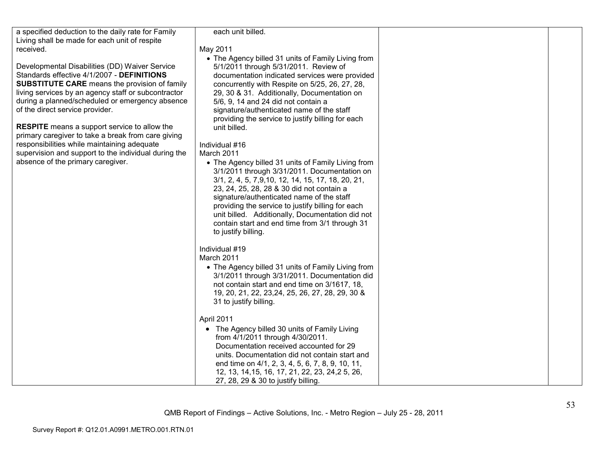| a specified deduction to the daily rate for Family<br>Living shall be made for each unit of respite                                                                                                                                                                                                                                                                                                                                                                                                                                                        | each unit billed.                                                                                                                                                                                                                                                                                                                                                                                                                                                                                                                                                                                                                                                                                                                                                                                                                                                              |  |
|------------------------------------------------------------------------------------------------------------------------------------------------------------------------------------------------------------------------------------------------------------------------------------------------------------------------------------------------------------------------------------------------------------------------------------------------------------------------------------------------------------------------------------------------------------|--------------------------------------------------------------------------------------------------------------------------------------------------------------------------------------------------------------------------------------------------------------------------------------------------------------------------------------------------------------------------------------------------------------------------------------------------------------------------------------------------------------------------------------------------------------------------------------------------------------------------------------------------------------------------------------------------------------------------------------------------------------------------------------------------------------------------------------------------------------------------------|--|
| received.                                                                                                                                                                                                                                                                                                                                                                                                                                                                                                                                                  | May 2011                                                                                                                                                                                                                                                                                                                                                                                                                                                                                                                                                                                                                                                                                                                                                                                                                                                                       |  |
| Developmental Disabilities (DD) Waiver Service<br>Standards effective 4/1/2007 - DEFINITIONS<br><b>SUBSTITUTE CARE</b> means the provision of family<br>living services by an agency staff or subcontractor<br>during a planned/scheduled or emergency absence<br>of the direct service provider.<br><b>RESPITE</b> means a support service to allow the<br>primary caregiver to take a break from care giving<br>responsibilities while maintaining adequate<br>supervision and support to the individual during the<br>absence of the primary caregiver. | • The Agency billed 31 units of Family Living from<br>5/1/2011 through 5/31/2011. Review of<br>documentation indicated services were provided<br>concurrently with Respite on 5/25, 26, 27, 28,<br>29, 30 & 31. Additionally, Documentation on<br>5/6, 9, 14 and 24 did not contain a<br>signature/authenticated name of the staff<br>providing the service to justify billing for each<br>unit billed.<br>Individual #16<br>March 2011<br>• The Agency billed 31 units of Family Living from<br>3/1/2011 through 3/31/2011. Documentation on<br>3/1, 2, 4, 5, 7,9,10, 12, 14, 15, 17, 18, 20, 21,<br>23, 24, 25, 28, 28 & 30 did not contain a<br>signature/authenticated name of the staff<br>providing the service to justify billing for each<br>unit billed. Additionally, Documentation did not<br>contain start and end time from 3/1 through 31<br>to justify billing. |  |
|                                                                                                                                                                                                                                                                                                                                                                                                                                                                                                                                                            | Individual #19<br>March 2011<br>• The Agency billed 31 units of Family Living from<br>3/1/2011 through 3/31/2011. Documentation did<br>not contain start and end time on 3/1617, 18,<br>19, 20, 21, 22, 23, 24, 25, 26, 27, 28, 29, 30 &<br>31 to justify billing.                                                                                                                                                                                                                                                                                                                                                                                                                                                                                                                                                                                                             |  |
|                                                                                                                                                                                                                                                                                                                                                                                                                                                                                                                                                            | April 2011<br>• The Agency billed 30 units of Family Living<br>from 4/1/2011 through 4/30/2011.<br>Documentation received accounted for 29<br>units. Documentation did not contain start and<br>end time on 4/1, 2, 3, 4, 5, 6, 7, 8, 9, 10, 11,<br>12, 13, 14, 15, 16, 17, 21, 22, 23, 24, 25, 26,<br>27, 28, 29 & 30 to justify billing.                                                                                                                                                                                                                                                                                                                                                                                                                                                                                                                                     |  |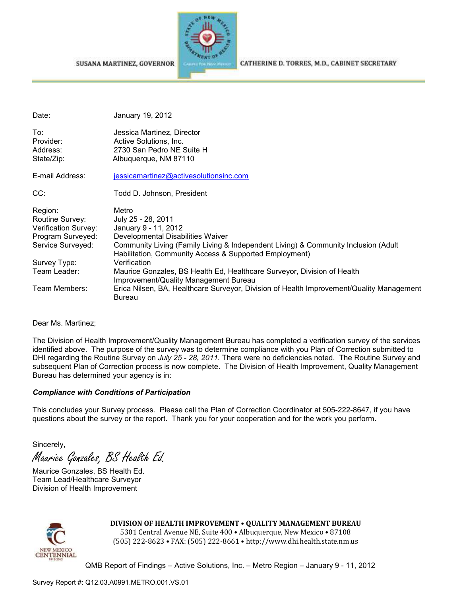SUSANA MARTINEZ, GOVERNOR



CATHERINE D. TORRES, M.D., CABINET SECRETARY

| Date:                                                                                        | January 19, 2012                                                                                                                                                                                                                         |
|----------------------------------------------------------------------------------------------|------------------------------------------------------------------------------------------------------------------------------------------------------------------------------------------------------------------------------------------|
| To:<br>Provider:<br>Address:<br>State/Zip:                                                   | Jessica Martinez, Director<br>Active Solutions, Inc.<br>2730 San Pedro NE Suite H<br>Albuquerque, NM 87110                                                                                                                               |
| E-mail Address:                                                                              | jessicamartinez@activesolutionsinc.com                                                                                                                                                                                                   |
| CC:                                                                                          | Todd D. Johnson, President                                                                                                                                                                                                               |
| Region:<br>Routine Survey:<br>Verification Survey:<br>Program Surveyed:<br>Service Surveyed: | Metro<br>July 25 - 28, 2011<br>January 9 - 11, 2012<br>Developmental Disabilities Waiver<br>Community Living (Family Living & Independent Living) & Community Inclusion (Adult<br>Habilitation, Community Access & Supported Employment) |
| Survey Type:                                                                                 | Verification                                                                                                                                                                                                                             |
| Team Leader:                                                                                 | Maurice Gonzales, BS Health Ed, Healthcare Surveyor, Division of Health<br>Improvement/Quality Management Bureau                                                                                                                         |
| Team Members:                                                                                | Erica Nilsen, BA, Healthcare Surveyor, Division of Health Improvement/Quality Management<br><b>Bureau</b>                                                                                                                                |

Dear Ms. Martinez;

The Division of Health Improvement/Quality Management Bureau has completed a verification survey of the services identified above. The purpose of the survey was to determine compliance with you Plan of Correction submitted to DHI regarding the Routine Survey on *July 25 - 28, 2011.* There were no deficiencies noted. The Routine Survey and subsequent Plan of Correction process is now complete. The Division of Health Improvement, Quality Management Bureau has determined your agency is in:

#### *Compliance with Conditions of Participation*

This concludes your Survey process. Please call the Plan of Correction Coordinator at 505-222-8647, if you have questions about the survey or the report. Thank you for your cooperation and for the work you perform.

Sincerely,

Maurice Gonzales, BS Health Ed.

Maurice Gonzales, BS Health Ed. Team Lead/Healthcare Surveyor Division of Health Improvement



**DIVISION OF HEALTH IMPROVEMENT** • **QUALITY MANAGEMENT BUREAU**

5301 Central Avenue NE, Suite 400 • Albuquerque, New Mexico • 87108 (505) 222-8623 • FAX: (505) 222-8661 • http://www.dhi.health.state.nm.us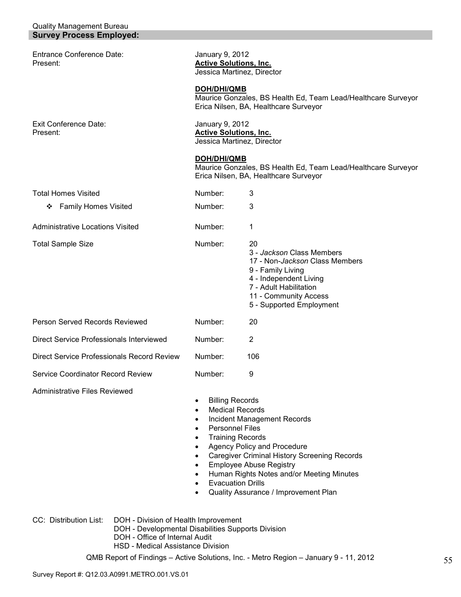#### Quality Management Bureau **Survey Process Employed:**

Entrance Conference Date: January 9, 2012<br>Present: **Active Solution** 

**Active Solutions, Inc.** Jessica Martinez, Director

**DOH/DHI/QMB** Maurice Gonzales, BS Health Ed, Team Lead/Healthcare Surveyor Erica Nilsen, BA, Healthcare Surveyor

Exit Conference Date: January 9, 2012<br>Present: **Active Solution:** Active Solution: **Active Solutions, Inc.** Jessica Martinez, Director

#### **DOH/DHI/QMB**

Maurice Gonzales, BS Health Ed, Team Lead/Healthcare Surveyor Erica Nilsen, BA, Healthcare Surveyor

| <b>Total Homes Visited</b>                 | Number:                                                                                                                                                                                                                                                                                                         | 3                                                                                                                                                                                               |
|--------------------------------------------|-----------------------------------------------------------------------------------------------------------------------------------------------------------------------------------------------------------------------------------------------------------------------------------------------------------------|-------------------------------------------------------------------------------------------------------------------------------------------------------------------------------------------------|
| <b>Family Homes Visited</b><br>❖           | Number:                                                                                                                                                                                                                                                                                                         | 3                                                                                                                                                                                               |
| Administrative Locations Visited           | Number:                                                                                                                                                                                                                                                                                                         | 1                                                                                                                                                                                               |
| <b>Total Sample Size</b>                   | Number:                                                                                                                                                                                                                                                                                                         | 20<br>3 - Jackson Class Members<br>17 - Non-Jackson Class Members<br>9 - Family Living<br>4 - Independent Living<br>7 - Adult Habilitation<br>11 - Community Access<br>5 - Supported Employment |
| Person Served Records Reviewed             | Number:                                                                                                                                                                                                                                                                                                         | 20                                                                                                                                                                                              |
| Direct Service Professionals Interviewed   | Number:                                                                                                                                                                                                                                                                                                         | $\overline{2}$                                                                                                                                                                                  |
| Direct Service Professionals Record Review | Number:                                                                                                                                                                                                                                                                                                         | 106                                                                                                                                                                                             |
| Service Coordinator Record Review          | Number:                                                                                                                                                                                                                                                                                                         | 9                                                                                                                                                                                               |
| <b>Administrative Files Reviewed</b>       | <b>Billing Records</b><br>٠<br><b>Medical Records</b><br>$\bullet$<br>Incident Management Records<br>٠<br><b>Personnel Files</b><br>٠<br><b>Training Records</b><br>٠<br>Agency Policy and Procedure<br>$\bullet$<br><b>Caregiver Criminal History Screening Records</b><br><b>Employee Abuse Registry</b><br>٠ |                                                                                                                                                                                                 |

- Human Rights Notes and/or Meeting Minutes
- **Evacuation Drills**
- Quality Assurance / Improvement Plan

CC: Distribution List: DOH - Division of Health Improvement

- DOH Developmental Disabilities Supports Division
- DOH Office of Internal Audit
- HSD Medical Assistance Division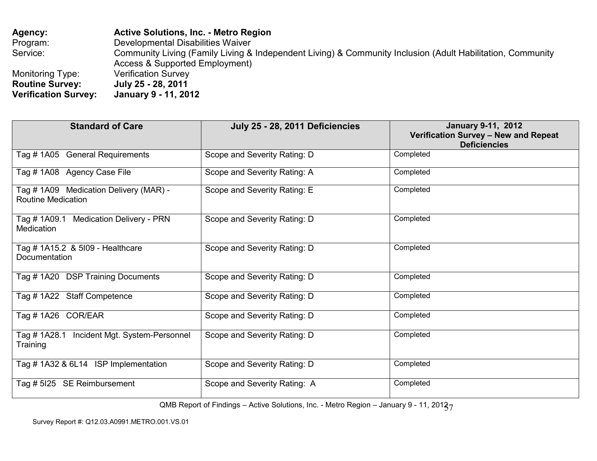**Agency: Active Solutions, Inc. - Metro Region** Program: Developmental Disabilities Waiver Service: Community Living (Family Living & Independent Living) & Community Inclusion (Adult Habilitation, Community Access & Supported Employment) Monitoring Type: Verification Survey **Routine Survey: July 25 - 28, 2011 January 9 - 11, 2012 Verification Survey:** 

| <b>Standard of Care</b>                                             | July 25 - 28, 2011 Deficiencies | <b>January 9-11, 2012</b><br>Verification Survey - New and Repeat<br><b>Deficiencies</b> |
|---------------------------------------------------------------------|---------------------------------|------------------------------------------------------------------------------------------|
| Tag # 1A05 General Requirements                                     | Scope and Severity Rating: D    | Completed                                                                                |
| Tag # 1A08 Agency Case File                                         | Scope and Severity Rating: A    | Completed                                                                                |
| Tag # 1A09 Medication Delivery (MAR) -<br><b>Routine Medication</b> | Scope and Severity Rating: E    | Completed                                                                                |
| Tag # 1A09.1 Medication Delivery - PRN<br><b>Medication</b>         | Scope and Severity Rating: D    | Completed                                                                                |
| Tag # 1A15.2 & 5109 - Healthcare<br>Documentation                   | Scope and Severity Rating: D    | Completed                                                                                |
| Tag #1A20 DSP Training Documents                                    | Scope and Severity Rating: D    | Completed                                                                                |
| Tag #1A22 Staff Competence                                          | Scope and Severity Rating: D    | Completed                                                                                |
| Tag #1A26 COR/EAR                                                   | Scope and Severity Rating: D    | Completed                                                                                |
| Tag # 1A28.1 Incident Mgt. System-Personnel<br>Training             | Scope and Severity Rating: D    | Completed                                                                                |
| Tag #1A32 & 6L14 ISP Implementation                                 | Scope and Severity Rating: D    | Completed                                                                                |
| <b>SE Reimbursement</b><br>Tag # 5125                               | Scope and Severity Rating: A    | Completed                                                                                |

QMB Report of Findings – Active Solutions, Inc. - Metro Region – January 9 - 11, 201 $\zeta_{7}$